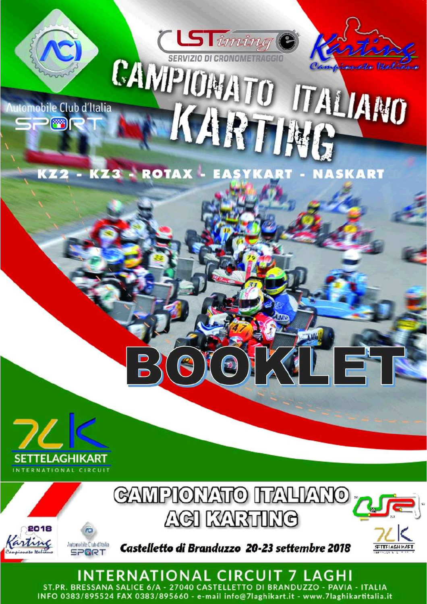

**Nutomobile Club d'Italia** 

 $\mathbb{Z}$ 

CAMPIONATO ITALIANO KARTING

 $\mathbf{L}$ 

KZ2 - KZ3 - ROTAX - EASYKART - NASKART

**CLSTiming** 





INTERNATIONAL CIRCUIT 7 LAGHI ST.PR. BRESSANA SALICE 6/A - 27040 CASTELLETTO DI BRANDUZZO - PAVIA - ITALIA INFO 0383/895524 FAX 0383/895660 - e-mail info@7laghikart.it - www.7laghikartitalia.it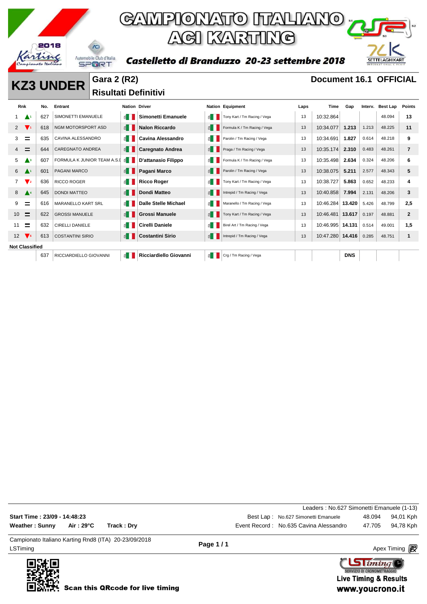

### GAMPIONATO ITALIANO<sub>I</sub> **ACI KARTING**

Castelletto di Branduzzo 20-23 settembre 2018

# SETTELAGHIKART

**KZ3 UNDER** Gara 2 (R2) **Document 16.1 OFFICIAL Risultati Definitivi** 

| <b>Rnk</b>            |                               | No. | Entrant                     | <b>Nation Driver</b> |                             |        | <b>Nation Equipment</b>      | Laps | Time             | Gap        | Interv. | <b>Best Lap</b> | <b>Points</b> |
|-----------------------|-------------------------------|-----|-----------------------------|----------------------|-----------------------------|--------|------------------------------|------|------------------|------------|---------|-----------------|---------------|
|                       | $\blacktriangle^1$            | 627 | SIMONETTI EMANUELE          | $\leq$               | <b>Simonetti Emanuele</b>   | 1 ≧    | Tony Kart / Tm Racing / Vega | 13   | 10:32.864        |            |         | 48.094          | 13            |
| $\mathbf{2}$          | $\mathbf{V}$                  | 618 | NGM MOTORSPORT ASD          | E                    | <b>Nalon Riccardo</b>       | 图      | Formula K / Tm Racing / Vega | 13   | 10:34.077        | 1.213      | 1.213   | 48.225          | 11            |
| 3.                    | $=$                           | 635 | CAVINA ALESSANDRO           | 图                    | <b>Cavina Alessandro</b>    | €∎     | Parolin / Tm Racing / Vega   | 13   | 10:34.691        | 1.827      | 0.614   | 48.218          | 9             |
| 4                     | =                             | 644 | <b>CAREGNATO ANDREA</b>     | $\leq$               | <b>Caregnato Andrea</b>     | 图      | Praga / Tm Racing / Vega     | 13   | 10:35.174        | 2.310      | 0.483   | 48.261          | 7             |
| 5                     | $\blacktriangle$ <sup>3</sup> | 607 | FORMULA K JUNIOR TEAM A.S.I | 1≦ 1                 | D'attanasio Filippo         | €      | Formula K / Tm Racing / Vega | 13   | 10:35.498        | 2.634      | 0.324   | 48.206          | 6             |
| 6                     |                               | 601 | <b>PAGANI MARCO</b>         | ₿.                   | Pagani Marco                | 1 ≧    | Parolin / Tm Racing / Vega   | 13   | 10:38.075        | 5.211      | 2.577   | 48.343          | 5             |
| 7                     | $\mathbf{V}$ <sub>2</sub>     | 636 | <b>RICCO ROGER</b>          | $\leq$ $\parallel$   | <b>Ricco Roger</b>          | €      | Tony Kart / Tm Racing / Vega | 13   | 10:38.727        | 5.863      | 0.652   | 48.233          | 4             |
| 8                     | $\blacktriangle^4$            | 645 | <b>DONDI MATTEO</b>         | 图                    | Dondi Matteo                | 图      | Intrepid / Tm Racing / Vega  | 13   | 10:40.858        | 7.994      | 2.131   | 48.206          | 3             |
| 9                     | =                             | 616 | <b>MARANELLO KART SRL</b>   | 6∎                   | <b>Dalle Stelle Michael</b> | $\leq$ | Maranello / Tm Racing / Vega | 13   | 10:46.284        | 13.420     | 5.426   | 48.799          | 2,5           |
| 10                    | $=$                           | 622 | <b>GROSSI MANUELE</b>       | E                    | <b>Grossi Manuele</b>       | 1 ≧    | Tony Kart / Tm Racing / Vega | 13   | 10:46.481        | 13.617     | 0.197   | 48.881          | $\mathbf{2}$  |
| 11                    | Ξ                             | 632 | <b>CIRELLI DANIELE</b>      | ≝                    | Cirelli Daniele             | $\leq$ | Birel Art / Tm Racing / Vega | 13   | 10:46.995 14.131 |            | 0.514   | 49.001          | 1,5           |
| 12 <sup>2</sup>       | $\mathbf{V}$                  | 613 | <b>COSTANTINI SIRIO</b>     | E.                   | <b>Costantini Sirio</b>     | "      | Intrepid / Tm Racing / Vega  | 13   | 10:47.280 14.416 |            | 0.285   | 48.751          |               |
| <b>Not Classified</b> |                               |     |                             |                      |                             |        |                              |      |                  |            |         |                 |               |
|                       |                               | 637 | RICCIARDIELLO GIOVANNI      | $\leq$               | Ricciardiello Giovanni      | 죕      | Crg / Tm Racing / Vega       |      |                  | <b>DNS</b> |         |                 |               |

| LSTiming                     |          |                                                      | Page 1/1 |                                           |        | Apex Timing <b>ng</b> |
|------------------------------|----------|------------------------------------------------------|----------|-------------------------------------------|--------|-----------------------|
|                              |          | Campionato Italiano Karting Rnd8 (ITA) 20-23/09/2018 |          |                                           |        |                       |
| <b>Weather: Sunny</b>        | Air:29°C | Track: Dry                                           |          | Event Record: No.635 Cavina Alessandro    | 47.705 | 94,78 Kph             |
| Start Time: 23/09 - 14:48:23 |          |                                                      |          | Best Lap: No.627 Simonetti Emanuele       | 48.094 | 94,01 Kph             |
|                              |          |                                                      |          | Leaders: No.627 Simonetti Emanuele (1-13) |        |                       |

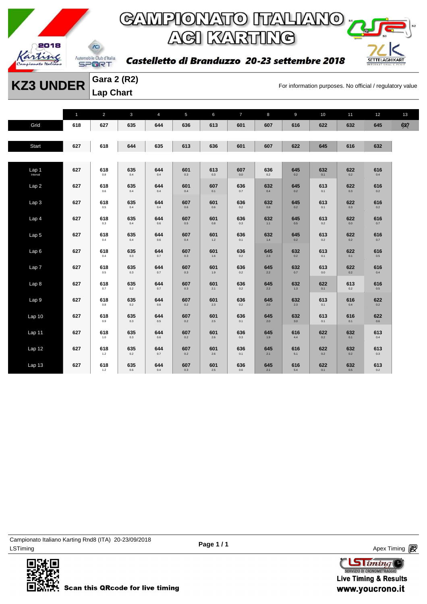

### GAMPIONATO ITALIANO <sub>"</sub> **ACI KARTING**

Castelletto di Branduzzo 20-23 settembre 2018



**KZ3 UNDER** Gara 2 (K2)<br>For information purposes. No official / regulatory value **Gara 2 (R2) Lap Chart** 

|                    | $\mathbf 1$ | $\overline{c}$      | $\mathbf{3}$   | $\overline{4}$ | 5              | 6              | $\overline{7}$ | 8              | 9              | 10         | 11             | 12             | 13  |
|--------------------|-------------|---------------------|----------------|----------------|----------------|----------------|----------------|----------------|----------------|------------|----------------|----------------|-----|
| Grid               | 618         | 627                 | 635            | 644            | 636            | 613            | 601            | 607            | 616            | 622        | 632            | 645            | 637 |
| Start              | 627         | 618                 | 644            | 635            | 613            | 636            | 601            | 607            | 622            | 645        | 616            | 632            |     |
| Lap <sub>1</sub> 1 | 627         | 618<br>$_{\rm 0.8}$ | 635<br>0.4     | 644<br>0.4     | 601<br>$0.3\,$ | 613<br>$0.3\,$ | 607<br>$0.0\,$ | 636<br>$0.2\,$ | 645<br>0.2     | 632<br>0.1 | 622<br>$0.2\,$ | 616<br>$0.4\,$ |     |
| Lap2               | 627         | 618<br>$0.6\,$      | 635<br>0.4     | 644<br>0.4     | 601<br>0.4     | 607<br>0.1     | 636<br>0.7     | 632<br>0.4     | 645<br>0.2     | 613<br>0.1 | 622<br>0.3     | 616<br>0.2     |     |
| Lap <sub>3</sub>   | 627         | 618<br>$0.5\,$      | 635<br>0.4     | 644<br>0.4     | 607<br>0.6     | 601<br>0.6     | 636<br>0.2     | 632<br>$0.8\,$ | 645<br>0.2     | 613<br>0.1 | 622<br>0.3     | 616<br>0.2     |     |
| Lap 4              | 627         | 618<br>0.3          | 635<br>0.4     | 644<br>0.6     | 607<br>0.5     | 601<br>0.8     | 636<br>0.3     | 632<br>$1.1$   | 645<br>0.5     | 613<br>0.2 | 622<br>0.0     | 616<br>0.7     |     |
| Lap <sub>5</sub>   | 627         | 618<br>0.4          | 635<br>0.4     | 644<br>0.6     | 607<br>0.4     | 601<br>$1.2$   | 636<br>0.1     | 632<br>1.4     | 645<br>0.2     | 613<br>0.2 | 622<br>0.2     | 616<br>0.7     |     |
| Lap6               | 627         | 618<br>0.4          | 635<br>0.3     | 644<br>0.7     | 607<br>0.3     | 601<br>$1.6\,$ | 636<br>0.2     | 645<br>2.3     | 632<br>0.2     | 613<br>0.1 | 622<br>0.1     | 616<br>$0.5\,$ |     |
| Lap <sub>7</sub>   | 627         | 618<br>$0.5\,$      | 635<br>0.3     | 644<br>0.7     | 607<br>0.3     | 601<br>$1.9$   | 636<br>0.2     | 645<br>$2.2\,$ | 632<br>0.7     | 613<br>0.0 | 622<br>$0.2\,$ | 616<br>$0.4\,$ |     |
| Lap 8              | 627         | 618<br>0.7          | 635<br>0.2     | 644<br>0.7     | 607<br>0.3     | 601<br>2.1     | 636<br>0.2     | 645<br>2.2     | 632<br>1.3     | 622<br>0.1 | 613<br>0.2     | 616<br>0.5     |     |
| Lap 9              | 627         | 618<br>$0.8\,$      | 635<br>0.2     | 644<br>0.6     | 607<br>0.2     | 601<br>2.3     | 636<br>0.2     | 645<br>2.0     | 632<br>2.3     | 613<br>0.1 | 616<br>0.4     | 622<br>0.2     |     |
| Lap <sub>10</sub>  | 627         | 618<br>$0.9\,$      | 635<br>$0.3\,$ | 644<br>0.5     | 607<br>0.2     | 601<br>2.5     | 636<br>0.1     | 645<br>2.0     | 632<br>3.0     | 613<br>0.1 | 616<br>0.1     | 622<br>$0.6\,$ |     |
| Lap 11             | 627         | 618<br>1.0          | 635<br>0.3     | 644<br>0.6     | 607<br>0.2     | 601<br>2.6     | 636<br>0.3     | 645<br>1.9     | 616<br>4.4     | 622<br>0.2 | 632<br>0.1     | 613<br>0.4     |     |
| Lap 12             | 627         | 618<br>$1.2$        | 635<br>0.2     | 644<br>0.7     | 607<br>0.2     | 601<br>2.6     | 636<br>0.1     | 645<br>2.1     | 616<br>5.1     | 622<br>0.2 | 632<br>0.2     | 613<br>0.3     |     |
| Lap <sub>13</sub>  | 627         | 618<br>$1.2$        | 635<br>0.6     | 644<br>0.4     | 607<br>0.3     | 601<br>2.5     | 636<br>0.6     | 645<br>2.1     | 616<br>$5.4\,$ | 622<br>0.1 | 632<br>0.5     | 613<br>0.2     |     |

LSTiming Apex Timing Apex Timing Apex Timing Apex Timing Apex Timing Apex Timing Apex Timing Campionato Italiano Karting Rnd8 (ITA) 20-23/09/2018



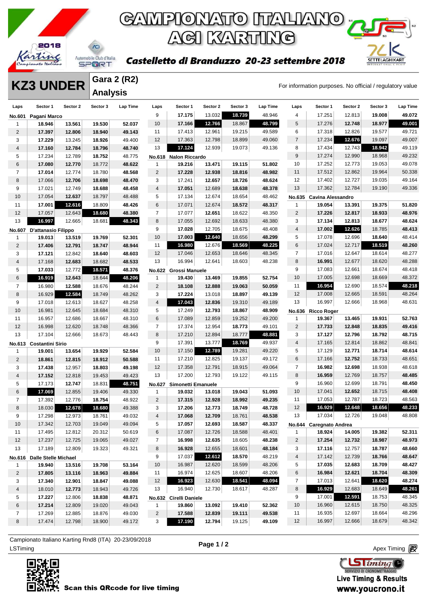

SETTELAGHIKART

#### Castelletto di Branduzzo 20-23 settembre 2018

**KZ3 UNDER** Gara 2 (K2)<br>For information purposes. No official / regulatory value **Gara 2 (R2) Analysis** 

| Laps            | Sector 1                    | Sector 2 | Sector 3 | Lap Time | Laps                | Sector 1                         | Sector 2 | Sector 3         | Lap Time | Laps                    | Sector 1                 | Sector 2 | Sector 3 | Lap Time |
|-----------------|-----------------------------|----------|----------|----------|---------------------|----------------------------------|----------|------------------|----------|-------------------------|--------------------------|----------|----------|----------|
| <b>No.601</b>   | Pagani Marco                |          |          |          | 9                   | 17.175                           | 13.032   | 18.739           | 48.946   | 4                       | 17.251                   | 12.813   | 19.008   | 49.072   |
| 1               | 18.946                      | 13.561   | 19.530   | 52.037   | 10                  | 17.166                           | 12.766   | 18.867           | 48.799   | 5                       | 17.276                   | 12.748   | 18.977   | 49.001   |
| $\overline{2}$  | 17.397                      | 12.806   | 18.940   | 49.143   | 11                  | 17.413                           | 12.961   | 19.215           | 49.589   | 6                       | 17.318                   | 12.826   | 19.577   | 49.721   |
| 3               | 17.229                      | 13.245   | 18.926   | 49.400   | 12                  | 17.363                           | 12.798   | 18.899           | 49.060   | $\overline{7}$          | 17.234                   | 12.676   | 19.097   | 49.007   |
| 4               | 17.160                      | 12.784   | 18.796   | 48.740   | 13                  | 17.124                           | 12.939   | 19.073           | 49.136   | 8                       | 17.434                   | 12.743   | 18.942   | 49.119   |
| 5               | 17.234                      | 12.789   | 18.752   | 48.775   | <b>No.618</b>       | <b>Nalon Riccardo</b>            |          |                  |          | $\boldsymbol{9}$        | 17.274                   | 12.990   | 18.968   | 49.232   |
| 6               | 17.080                      | 12.770   | 18.772   | 48.622   | $\mathbf{1}$        | 19.216                           | 13.471   | 19.115           | 51.802   | 10                      | 17.252                   | 12.773   | 19.053   | 49.078   |
| $\overline{7}$  | 17.014                      | 12.774   | 18.780   | 48.568   | 2                   | 17.228                           | 12.938   | 18.816           | 48.982   | 11                      | 17.512                   | 12.862   | 19.964   | 50.338   |
| 8               | 17.066                      | 12.706   | 18.698   | 48.470   | 3                   | 17.241                           | 12.657   | 18.726           | 48.624   | 12                      | 17.402                   | 12.727   | 19.035   | 49.164   |
| 9               | 17.021                      | 12.749   | 18.688   | 48.458   | 4                   | 17.051                           | 12.689   | 18.638           | 48.378   | 13                      | 17.362                   | 12.784   | 19.190   | 49.336   |
| 10              | 17.054                      | 12.637   | 18.797   | 48.488   | 5                   | 17.134                           | 12.674   | 18.654           | 48.462   |                         | No.635 Cavina Alessandro |          |          |          |
| 11              | 17.001                      | 12.616   | 18.809   | 48.426   | 6                   | 17.071                           | 12.674   | 18.572           | 48.317   | 1                       | 19.054                   | 13.391   | 19.375   | 51.820   |
| 12              | 17.057                      | 12.643   | 18.680   | 48.380   | $\overline{7}$      | 17.077                           | 12.651   | 18.622           | 48.350   | $\overline{2}$          | 17.226                   | 12.817   | 18.933   | 48.976   |
| 13              | 16.997                      | 12.665   | 18.681   | 48.343   | 8                   | 17.055                           | 12.692   | 18.633           | 48.380   | 3                       | 17.134                   | 12.813   | 18.677   | 48.624   |
| <b>No.607</b>   | D'attanasio Filippo         |          |          |          | 9                   | 17.028                           | 12.705   | 18.675           | 48.408   | $\overline{4}$          | 17.002                   | 12.626   | 18.785   | 48.413   |
| 1               | 19.013                      | 13.519   | 19.769   | 52.301   | 10                  | 17.003                           | 12.640   | 18.656           | 48.299   | 5                       | 17.078                   | 12.696   | 18.640   | 48.414   |
| $\overline{2}$  | 17.406                      | 12.791   | 18.747   | 48.944   | 11                  | 16.980                           | 12.676   | 18.569           | 48.225   | 6                       | 17.024                   | 12.717   | 18.519   | 48.260   |
| 3               | 17.121                      | 12.842   | 18.640   | 48.603   | 12                  | 17.046                           | 12.653   | 18.646           | 48.345   | $\overline{7}$          | 17.016                   | 12.647   | 18.614   | 48.277   |
| $\overline{4}$  | 17.168                      | 12.683   | 18.682   | 48.533   | 13                  | 16.994                           | 12.641   | 18.603           | 48.238   | 8                       | 16.991                   | 12.677   | 18.620   | 48.288   |
| 5               | 17.033                      | 12.772   | 18.571   | 48.376   |                     | No.622 Grossi Manuele            |          |                  |          | 9                       | 17.083                   | 12.661   | 18.674   | 48.418   |
| 6               | 16.919                      | 12.643   | 18.644   | 48.206   | 1                   | 19.430                           | 13.469   | 19.855           | 52.754   | 10                      | 17.005                   | 12.698   | 18.669   | 48.372   |
| 7               | 16.980                      | 12.588   | 18.676   | 48.244   | $\overline{2}$      | 18.108                           | 12.888   | 19.063           | 50.059   | 11                      | 16.954                   | 12.690   | 18.574   | 48.218   |
| 8               | 16.929                      | 12.584   | 18.749   | 48.262   | 3                   | 17.224                           | 13.018   | 18.897           | 49.139   | 12                      | 17.008                   | 12.665   | 18.591   | 48.264   |
| 9               | 17.018                      | 12.613   | 18.627   | 48.258   | 4                   | 17.043                           | 12.836   | 19.310           | 49.189   | 13                      | 16.997                   | 12.666   | 18.968   | 48.631   |
| 10              | 16.981                      | 12.645   | 18.684   | 48.310   | 5                   | 17.249                           | 12.793   | 18.867           | 48.909   | <b>No.636</b>           | <b>Ricco Roger</b>       |          |          |          |
| 11              | 16.957                      | 12.686   | 18.667   | 48.310   | 6                   | 17.089                           | 12.859   | 19.252           | 49.200   | $\mathbf{1}$            | 19.367                   | 13.465   | 19.931   | 52.763   |
| 12              | 16.998                      | 12.620   | 18.748   | 48.366   | $\overline{7}$      | 17.374                           | 12.954   | 18.773           | 49.101   | $\overline{c}$          | 17.733                   | 12.848   | 18.835   | 49.416   |
| 13              | 17.104                      | 12.666   | 18.673   | 48.443   | 8                   | 17.210                           | 12.894   | 18.777           | 48.881   | 3                       | 17.127                   | 12.796   | 18.792   | 48.715   |
|                 | No.613 Costantini Sirio     |          |          |          | 9                   | 17.391                           | 13.777   | 18.769           | 49.937   | $\overline{\mathbf{4}}$ | 17.165                   | 12.814   | 18.862   | 48.841   |
| 1               | 19.001                      | 13.654   | 19.929   | 52.584   | 10                  | 17.150                           | 12.789   | 19.281           | 49.220   | 5                       | 17.129                   | 12.771   | 18.714   | 48.614   |
| $\overline{2}$  | 18.861                      | 12.815   | 18.912   | 50.588   | 11                  | 17.210                           | 12.825   | 19.137           | 49.172   | 6                       | 17.166                   | 12.752   | 18.733   | 48.651   |
| 3               | 17.438                      | 12.957   | 18.803   | 49.198   | 12                  | 17.358                           | 12.791   | 18.915           | 49.064   | $\overline{7}$          | 16.982                   | 12.698   | 18.938   | 48.618   |
| $\overline{4}$  | 17.152                      | 12.818   | 19.453   | 49.423   | 13                  | 17.200                           | 12.793   | 19.122           | 49.115   | 8                       | 16.959                   | 12.769   | 18.757   | 48.485   |
| 5               | 17.173                      | 12.747   | 18.831   | 48.751   | <b>No.627</b>       | Simonetti Emanuele               |          |                  |          | 9                       | 16.960                   | 12.699   | 18.791   | 48.450   |
| 6               | 17.069                      | 12.855   | 19.406   | 49.330   | $\mathbf{1}$        | 19.032                           | 13.018   | 19.043           | 51.093   | 10                      | 17.041                   | 12.652   | 18.715   | 48.408   |
| 7               | 17.392                      | 12.776   | 18.754   | 48.922   | 2                   | 17.315                           | 12.928   | 18.992           | 49.235   | 11                      | 17.053                   | 12.787   | 18.723   | 48.563   |
| 8               | 18.030                      | 12.678   | 18.680   | 49.388   | 3                   | 17.206                           | 12.773   | 18.749           | 48.728   | 12                      | 16.929                   | 12.648   | 18.656   | 48.233   |
| 9               | 17.298                      | 12.973   | 18.761   | 49.032   | 4                   | 17.068                           | 12.709   | 18.761           | 48.538   | 13                      | 17.034                   | 12.726   | 19.048   | 48.808   |
| 10 <sup>°</sup> | 17.342                      | 12.703   | 19.049   | 49.094   | 5                   | 17.057                           | 12.693   | 18.587           | 48.337   |                         | No.644 Caregnato Andrea  |          |          |          |
| 11              | 17.495                      | 12.812   | 20.312   | 50.619   | 6                   | 17.087                           | 12.726   | 18.588           | 48.401   | $\mathbf{1}$            | 18.924                   | 14.005   | 19.382   | 52.311   |
| 12              | 17.237                      | 12.725   | 19.065   | 49.027   | $\overline{7}$      | 16.998                           | 12.635   | 18.605           | 48.238   | $\overline{2}$          | 17.254                   | 12.732   | 18.987   | 48.973   |
| 13              | 17.189                      | 12.809   | 19.323   | 49.321   | 8                   | 16.928                           | 12.655   | 18.601           | 48.184   | 3                       | 17.116                   | 12.757   | 18.787   | 48.660   |
|                 | No.616 Dalle Stelle Michael |          |          |          | 9                   | 17.037                           | 12.612   | 18.570           | 48.219   | 4                       | 17.142                   | 12.739   | 18.766   | 48.647   |
| 1               | 19.940                      | 13.516   | 19.708   | 53.164   | 10                  | 16.987                           | 12.620   | 18.599           | 48.206   | 5                       | 17.035                   | 12.683   | 18.709   | 48.427   |
| $\overline{2}$  | 17.805                      | 13.116   | 18.963   | 49.884   | 11                  | 16.974                           | 12.625   | 18.607           | 48.206   | 6                       | 16.984                   | 12.621   | 18.704   | 48.309   |
| 3               | 17.340                      | 12.901   | 18.847   | 49.088   | 12                  | 16.923                           | 12.630   | 18.541           | 48.094   | $\overline{7}$          | 17.013                   | 12.641   | 18.620   | 48.274   |
| $\overline{4}$  | 18.010                      | 12.773   | 18.943   | 49.726   | 13                  | 16.940                           | 12.730   | 18.617           | 48.287   | 8                       | 16.929                   | 12.683   | 18.649   | 48.261   |
| 5               | 17.227                      | 12.806   | 18.838   | 48.871   |                     |                                  |          |                  |          | 9                       | 17.001                   | 12.591   | 18.753   | 48.345   |
| 6               | 17.214                      | 12.809   | 19.020   | 49.043   |                     | No.632 Cirelli Daniele<br>19.860 | 13.092   |                  | 52.362   | 10                      | 16.960                   | 12.615   | 18.750   | 48.325   |
| $\overline{7}$  | 17.269                      | 12.885   | 18.876   | 49.030   | 1<br>$\overline{2}$ | 17.588                           | 12.839   | 19.410<br>19.111 | 49.538   | 11                      | 16.935                   | 12.697   | 18.664   | 48.296   |
| 8               | 17.474                      | 12.798   | 18.900   |          | 3                   | 17.190                           | 12.794   | 19.125           | 49.109   | 12                      | 16.997                   | 12.666   | 18.679   | 48.342   |
|                 |                             |          |          | 49.172   |                     |                                  |          |                  |          |                         |                          |          |          |          |

ex Timing and the Company of the Company of the Company of the Company of the Company of the Apex Timing Apex Timing Campionato Italiano Karting Rnd8 (ITA) 20-23/09/2018

**Page 1 / 2**

**Sliming** SERVIZIO DI CRONOMETRAGG **Live Timing & Results** 



www.youcrono.it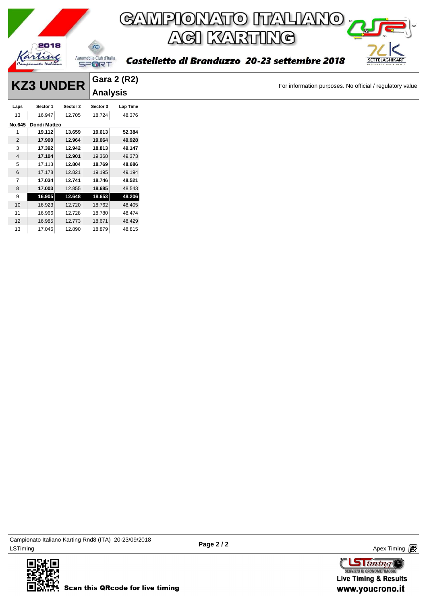

|                | <b>KZ3 UNDER</b>    |          |                 | <b>Gara 2 (R2)</b> |
|----------------|---------------------|----------|-----------------|--------------------|
|                |                     |          | <b>Analysis</b> |                    |
| Laps           | Sector 1            | Sector 2 | Sector 3        | Lap Time           |
| 13             | 16.947              | 12.705   | 18.724          | 48.376             |
|                | No.645 Dondi Matteo |          |                 |                    |
|                | 19.112              | 13.659   | 19.613          | 52.384             |
| $\overline{2}$ | 17.900              | 12.964   | 19.064          | 49.928             |
| 3              | 17.392              | 12.942   | 18.813          | 49.147             |
| 4              | 17.104              | 12.901   | 19.368          | 49.373             |
| 5              | 17.113              | 12.804   | 18.769          | 48.686             |
| 6              | 17.178              | 12.821   | 19.195          | 49.194             |
| $\overline{7}$ | 17.034              | 12.741   | 18.746          | 48.521             |
| 8              | 17.003              | 12.855   | 18.685          | 48.543             |
| 9              | 16.905              | 12.648   | 18.653          | 48.206             |
| 10             | 16.923              | 12.720   | 18.762          | 48.405             |
| 11             | 16.966              | 12.728   | 18.780          | 48.474             |
| 12             | 16.985              | 12.773   | 18.671          | 48.429             |
| 13             | 17.046              | 12.890   | 18.879          | 48.815             |

ex Timing and the Company of the Company of the Company of the Company of the Company of the Apex Timing (1990) and the Company of the Company of the Company of the Company of the Company of the Company of the Company of t Campionato Italiano Karting Rnd8 (ITA) 20-23/09/2018



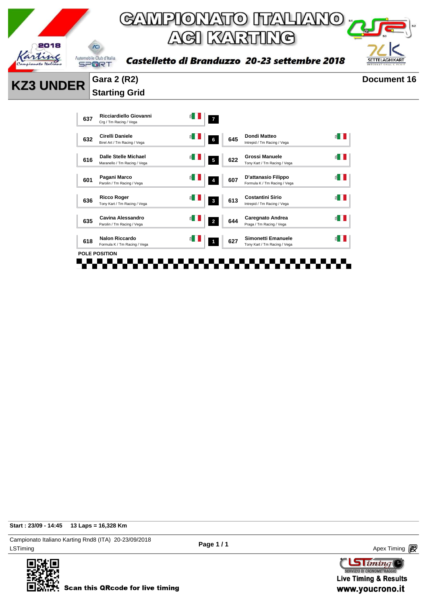

**Starting Grid** 



**Start : 23/09 - 14:45 13 Laps = 16,328 Km**

LSTiming Apex Timing Apex Timing Apex Timing Apex Timing Apex Timing Apex Timing Apex Timing Campionato Italiano Karting Rnd8 (ITA) 20-23/09/2018



**Page 1 / 1**

 $\text{G}$  iming SERVIZIO DI CRONOMETRAGG **Live Timing & Results** www.youcrono.it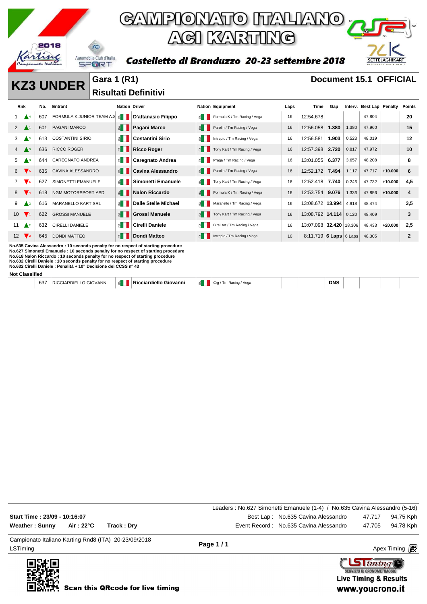

Castelletto di Branduzzo 20-23 settembre 2018



**KZ3 UNDER** Gara 1 (R1) **Document 15.1 OFFICIAL Risultati Definitivi** 

| <b>Rnk</b>      |                               | No. | Entrant                                                                                                                                                                                                                                                                                                                                                                                                          | <b>Nation Driver</b>  |                             |      | <b>Nation Equipment</b>      | Laps | Time                    | Gap        |       | Interv. Best Lap Penalty |           | Points       |
|-----------------|-------------------------------|-----|------------------------------------------------------------------------------------------------------------------------------------------------------------------------------------------------------------------------------------------------------------------------------------------------------------------------------------------------------------------------------------------------------------------|-----------------------|-----------------------------|------|------------------------------|------|-------------------------|------------|-------|--------------------------|-----------|--------------|
|                 |                               | 607 | FORMULA K JUNIOR TEAM A.S &                                                                                                                                                                                                                                                                                                                                                                                      |                       | D'attanasio Filippo         | ≝ ∐  | Formula K / Tm Racing / Vega | 16   | 12:54.678               |            |       | 47.804                   |           | 20           |
| $\mathbf{2}$    |                               | 601 | <b>PAGANI MARCO</b>                                                                                                                                                                                                                                                                                                                                                                                              | $\leq$ $\blacksquare$ | Pagani Marco                |      | Parolin / Tm Racing / Vega   | 16   | 12:56.058               | 1.380      | 1.380 | 47.960                   |           | 15           |
| 3               | $\blacktriangle$ <sub>3</sub> | 613 | <b>COSTANTINI SIRIO</b>                                                                                                                                                                                                                                                                                                                                                                                          | ≦∎                    | <b>Costantini Sirio</b>     | ≝ I  | Intrepid / Tm Racing / Vega  | 16   | 12:56.581               | 1.903      | 0.523 | 48.019                   |           | 12           |
| 4               | $\blacktriangle^3$            | 636 | <b>RICCO ROGER</b>                                                                                                                                                                                                                                                                                                                                                                                               | $\leq$ $\blacksquare$ | <b>Ricco Roger</b>          | f I  | Tony Kart / Tm Racing / Vega | 16   | 12:57.398               | 2.720      | 0.817 | 47.972                   |           | 10           |
| 5               | Aз                            | 644 | <b>CAREGNATO ANDREA</b>                                                                                                                                                                                                                                                                                                                                                                                          | ≦∎                    | <b>Caregnato Andrea</b>     | , ⊵  | Praga / Tm Racing / Vega     | 16   | 13:01.055               | 6.377      | 3.657 | 48.208                   |           | 8            |
| 6               | $\blacktriangledown_5$        | 635 | <b>CAVINA ALESSANDRO</b>                                                                                                                                                                                                                                                                                                                                                                                         | E                     | <b>Cavina Alessandro</b>    | ≝ ∐  | Parolin / Tm Racing / Vega   | 16   | 12:52.172               | 7.494      | 1.117 | 47.717                   | $+10.000$ | 6            |
| $\overline{7}$  | $\mathbf{v}$ 5                | 627 | SIMONETTI EMANUELE                                                                                                                                                                                                                                                                                                                                                                                               | E                     | <b>Simonetti Emanuele</b>   |      | Tony Kart / Tm Racing / Vega | 16   | 12:52.418               | 7.740      | 0.246 | 47.732                   | $+10.000$ | 4,5          |
| 8               | $V_{4}$                       | 618 | NGM MOTORSPORT ASD                                                                                                                                                                                                                                                                                                                                                                                               | $\leq$ $\parallel$    | <b>Nalon Riccardo</b>       |      | Formula K / Tm Racing / Vega | 16   | 12:53.754               | 9.076      | 1.336 | 47.856                   | $+10.000$ | 4            |
| 9               | $\triangle^2$                 | 616 | <b>MARANELLO KART SRL</b>                                                                                                                                                                                                                                                                                                                                                                                        | E                     | <b>Dalle Stelle Michael</b> | , ⊵  | Maranello / Tm Racing / Vega | 16   | 13:08.672 13.994        |            | 4.918 | 48.474                   |           | 3,5          |
| 10 <sup>°</sup> | $\mathbf{V}$                  | 622 | <b>GROSSI MANUELE</b>                                                                                                                                                                                                                                                                                                                                                                                            | $\leq$ $\blacksquare$ | <b>Grossi Manuele</b>       | ≝ II | Tony Kart / Tm Racing / Vega | 16   | 13:08.792 14.114 0.120  |            |       | 48,409                   |           | 3            |
| 11              | $\triangle^2$                 | 632 | <b>CIRELLI DANIELE</b>                                                                                                                                                                                                                                                                                                                                                                                           | $\leq$                | <b>Cirelli Daniele</b>      | ≝∎   | Birel Art / Tm Racing / Vega | 16   | 13:07.098 32.420 18.306 |            |       | 48.433                   | $+20.000$ | 2,5          |
| 12              | $\mathbf{V}$ <sub>2</sub>     | 645 | <b>DONDI MATTEO</b>                                                                                                                                                                                                                                                                                                                                                                                              | $\leq$                | <b>Dondi Matteo</b>         |      | Intrepid / Tm Racing / Vega  | 10   | 8:11.719 6 Laps 6 Laps  |            |       | 48.305                   |           | $\mathbf{2}$ |
|                 | <b>Not Classified</b>         |     | No.635 Cavina Alessandro: 10 seconds penalty for no respect of starting procedure<br>No.627 Simonetti Emanuele: 10 seconds penalty for no respect of starting procedure<br>No.618 Nalon Riccardo: 10 seconds penalty for no respect of starting procedure<br>No.632 Cirelli Daniele: 10 seconds penalty for no respect of starting procedure<br>No.632 Cirelli Daniele : Penalità + 10" Decisione dei CCSS n° 43 |                       |                             |      |                              |      |                         |            |       |                          |           |              |
|                 |                               | 637 | <b>RICCIARDIELLO GIOVANNI</b>                                                                                                                                                                                                                                                                                                                                                                                    | £ II                  | Ricciardiello Giovanni      | é II | Crg / Tm Racing / Vega       |      |                         | <b>DNS</b> |       |                          |           |              |

Campionato Italiano Karting Rnd8 (ITA) 20-23/09/2018 Leaders : No.627 Simonetti Emanuele (1-4) / No.635 Cavina Alessandro (5-16) **Start Time : 23/09 - 10:16:07** Best Lap : No.635 Cavina Alessandro 47.717 94,75 Kph **Weather : Sunny Air : 22°C Track : Dry** Event Record : No.635 Cavina Alessandro 47.705 94,78 Kph

LSTiming Apex Timing Apex Timing Apex Timing Apex Timing Apex Timing Apex Timing Apex Timing



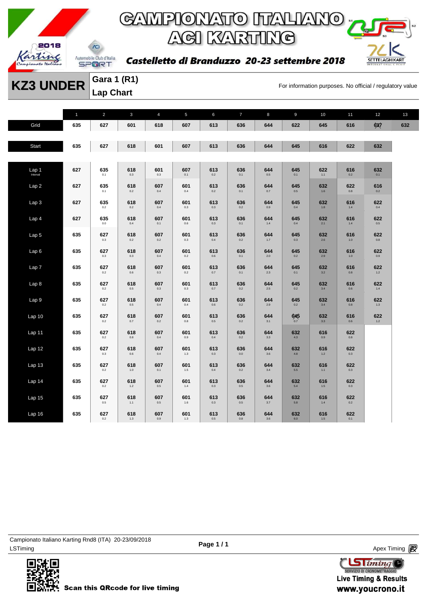

### GAMPIONATO ITALIANO <sub>"</sub> **ACI KARTING**

Castelletto di Branduzzo 20-23 settembre 2018



**KZ3 UNDER** Gara 1 (R1)<br>For information purposes. No official / regulatory value **Gara 1 (R1) Lap Chart** 

|                   | $\mathbf{1}$ | $\overline{2}$ | 3              | $\overline{4}$ | 5              | 6              | $\overline{7}$ | 8              | 9                    | 10             | 11             | 12             | 13  |
|-------------------|--------------|----------------|----------------|----------------|----------------|----------------|----------------|----------------|----------------------|----------------|----------------|----------------|-----|
| Grid              | 635          | 627            | 601            | 618            | 607            | 613            | 636            | 644            | 622                  | 645            | 616            | 637            | 632 |
|                   |              |                |                |                |                |                |                |                |                      |                |                |                |     |
| Start             | 635          | 627            | 618            | 601            | 607            | 613            | 636            | 644            | 645                  | 616            | 622            | 632            |     |
|                   |              |                |                |                |                |                |                |                |                      |                |                |                |     |
| Lap 1<br>Interval | 627          | 635<br>0.1     | 618<br>$0.3\,$ | 601<br>0.3     | 607<br>0.1     | 613<br>$0.2\,$ | 636<br>0.1     | 644<br>$0.5\,$ | 645<br>0.1           | 622<br>1.1     | 616<br>$0.2\,$ | 632<br>0.1     |     |
| Lap2              | 627          | 635<br>0.1     | 618<br>0.2     | 607<br>0.4     | 601<br>0.4     | 613<br>0.2     | 636<br>0.1     | 644<br>0.7     | 645<br>0.5           | 632<br>1.6     | 622<br>0.8     | 616<br>0.2     |     |
| Lap <sub>3</sub>  | 627          | 635<br>0.2     | 618<br>0.2     | 607<br>0.4     | 601<br>0.3     | 613<br>0.3     | 636<br>0.2     | 644<br>0.9     | 645<br>0.4           | 632<br>1.8     | 616<br>$1.4\,$ | 622<br>0.4     |     |
| Lap <sub>4</sub>  | 627          | 635<br>0.0     | 618<br>0.4     | 607<br>0.1     | 601<br>0.6     | 613<br>0.3     | 636<br>0.1     | 644<br>$1.4\,$ | 645<br>0.4           | 632<br>2.1     | 616<br>$1.4\,$ | 622<br>0.5     |     |
| Lap 5             | 635          | 627<br>0.3     | 618<br>0.2     | 607<br>0.2     | 601<br>0.3     | 613<br>0.4     | 636<br>0.2     | 644<br>1.7     | 645<br>0.3           | 632<br>2.6     | 616<br>$1.0$   | 622<br>0.8     |     |
| Lap6              | 635          | 627<br>$0.3\,$ | 618<br>0.3     | 607<br>0.4     | 601<br>$0.2\,$ | 613<br>$0.6\,$ | 636<br>0.1     | 644<br>$2.0\,$ | 645<br>0.2           | 632<br>2.9     | 616<br>$1.0\,$ | 622<br>$0.9\,$ |     |
| Lap <sub>7</sub>  | 635          | 627<br>$0.2\,$ | 618<br>$0.6\,$ | 607<br>0.3     | 601<br>$0.2\,$ | 613<br>$0.7\,$ | 636<br>0.1     | 644<br>2.3     | 645<br>0.1           | 632<br>3.2     | 616<br>$0.8\,$ | 622<br>$1.2$   |     |
| Lap <sub>8</sub>  | 635          | 627<br>$0.2\,$ | 618<br>0.5     | 607<br>0.3     | 601<br>$0.3\,$ | 613<br>0.7     | 636<br>0.2     | 644<br>$2.5\,$ | 645<br>0.2           | 632<br>3.4     | 616<br>0.6     | 622<br>$1.4\,$ |     |
| Lap <sub>9</sub>  | 635          | 627<br>0.2     | 618<br>0.5     | 607<br>0.4     | 601<br>0.4     | 613<br>0.6     | 636<br>0.2     | 644<br>2.9     | 645<br>0.2           | 632<br>3.4     | 616<br>0.8     | 622<br>1.3     |     |
| Lap 10            | 635          | 627<br>0.2     | 618<br>0.7     | 607<br>0.2     | 601<br>0.8     | 613<br>$0.5\,$ | 636<br>0.2     | 644<br>3.1     | $645$ <sub>0.7</sub> | 632<br>3.3     | 616<br>0.6     | 622<br>1.2     |     |
| Lap 11            | 635          | 627<br>0.2     | 618<br>0.8     | 607<br>0.4     | 601<br>0.9     | 613<br>0.4     | 636<br>0.2     | 644<br>3.3     | 632<br>4.3           | 616<br>0.9     | 622<br>0.8     |                |     |
| Lap 12            | 635          | 627<br>$0.3\,$ | 618<br>0.6     | 607<br>0.4     | 601<br>1.3     | 613<br>0.3     | 636<br>0.0     | 644<br>$3.6\,$ | 632<br>4.8           | 616<br>1.2     | 622<br>$0.3\,$ |                |     |
| Lap <sub>13</sub> | 635          | 627<br>$0.2\,$ | 618<br>$1.0$   | 607<br>0.1     | 601<br>$1.5\,$ | 613<br>$0.4\,$ | 636<br>$0.2\,$ | 644<br>$3.4\,$ | 632<br>5.5           | 616<br>1.1     | 622<br>$0.3\,$ |                |     |
| Lap 14            | 635          | 627<br>$0.2\,$ | 618<br>1.2     | 607<br>0.5     | 601<br>$1.4\,$ | 613<br>$0.3\,$ | 636<br>0.5     | 644<br>3.6     | 632<br>5.4           | 616<br>$1.5\,$ | 622<br>0.3     |                |     |
| Lap <sub>15</sub> | 635          | 627<br>0.5     | 618<br>1.1     | 607<br>$0.5\,$ | 601<br>1.6     | 613<br>$0.3\,$ | 636<br>$0.5\,$ | 644<br>$3.7\,$ | 632<br>$5.8\,$       | 616<br>1.4     | 622<br>$0.2\,$ |                |     |
| Lap 16            | 635          | 627<br>0.2     | 618<br>1.3     | 607<br>0.9     | 601<br>1.3     | 613<br>0.5     | 636<br>0.8     | 644<br>3.6     | 632<br>6.0           | 616<br>1.5     | 622<br>0.1     |                |     |

LSTiming Apex Timing Apex Timing Apex Timing Apex Timing Apex Timing Apex Timing Apex Timing Campionato Italiano Karting Rnd8 (ITA) 20-23/09/2018



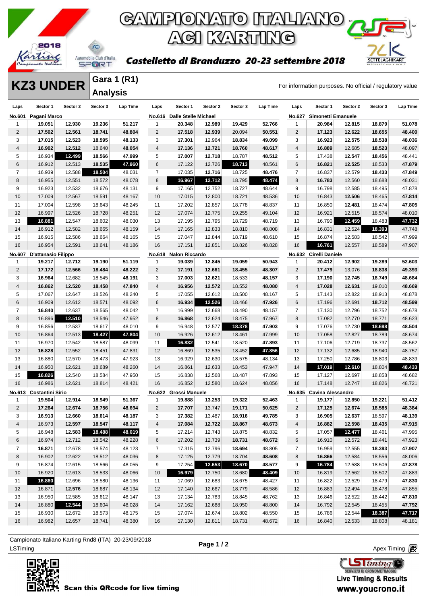

### GAMPIONATO ITALIANO <sub>"</sub> **ACI KARTING**

#### Castelletto di Branduzzo 20-23 settembre 2018



**KZ3 UNDER** Gara 1 (R1)<br>For information purposes. No official / regulatory value **Gara 1 (R1) Analysis** 

| Laps           | Sector 1                | Sector 2 | Sector 3 | Lap Time | Laps           | Sector 1                    | Sector 2 | Sector 3 | Lap Time | Laps           | Sector 1                 | Sector 2 | Sector 3 | <b>Lap Time</b> |
|----------------|-------------------------|----------|----------|----------|----------------|-----------------------------|----------|----------|----------|----------------|--------------------------|----------|----------|-----------------|
| No.601         | Pagani Marco            |          |          |          |                | No.616 Dalle Stelle Michael |          |          |          | <b>No.627</b>  | Simonetti Emanuele       |          |          |                 |
| 1              | 19.051                  | 12.930   | 19.236   | 51.217   | $\mathbf{1}$   | 20.348                      | 12.989   | 19.429   | 52.766   | $\mathbf{1}$   | 20.984                   | 12.815   | 18.879   | 51.078          |
| 2              | 17.502                  | 12.561   | 18.741   | 48.804   | $\overline{2}$ | 17.518                      | 12.939   | 20.094   | 50.551   | $\overline{c}$ | 17.123                   | 12.622   | 18.655   | 48.400          |
| 3              | 17.015                  | 12.523   | 18.595   | 48.133   | 3              | 17.301                      | 12.964   | 18.834   | 49.099   | 3              | 16.923                   | 12.575   | 18.538   | 48.036          |
| 4              | 16.902                  | 12.512   | 18.640   | 48.054   | $\overline{4}$ | 17.136                      | 12.721   | 18.760   | 48.617   | $\overline{4}$ | 16.889                   | 12.685   | 18.523   | 48.097          |
| 5              | 16.934                  | 12.499   | 18.566   | 47.999   | 5              | 17.007                      | 12.718   | 18.787   | 48.512   | 5              | 17.438                   | 12.547   | 18.456   | 48.441          |
| 6              | 16.912                  | 12.513   | 18.535   | 47.960   | 6              | 17.122                      | 12.726   | 18.713   | 48.561   | 6              | 16.821                   | 12.525   | 18.533   | 47.879          |
| $\overline{7}$ | 16.939                  | 12.588   | 18.504   | 48.031   | $\overline{7}$ | 17.035                      | 12.716   | 18.725   | 48.476   | $\overline{7}$ | 16.837                   | 12.579   | 18.433   | 47.849          |
| 8              | 16.955                  | 12.551   | 18.572   | 48.078   | 8              | 16.967                      | 12.712   | 18.795   | 48.474   | 8              | 16.783                   | 12.560   | 18.688   | 48.031          |
| 9              | 16.923                  | 12.532   | 18.676   | 48.131   | 9              | 17.165                      | 12.752   | 18.727   | 48.644   | 9              | 16.798                   | 12.585   | 18.495   | 47.878          |
| 10             | 17.009                  | 12.567   | 18.591   | 48.167   | 10             | 17.015                      | 12.800   | 18.721   | 48.536   | 10             | 16.843                   | 12.506   | 18.465   | 47.814          |
| 11             | 17.004                  | 12.598   | 18.643   | 48.245   | 11             | 17.202                      | 12.857   | 18.778   | 48.837   | 11             | 16.850                   | 12.481   | 18.474   | 47.805          |
| 12             | 16.997                  | 12.526   | 18.728   | 48.251   | 12             | 17.074                      | 12.775   | 19.255   | 49.104   | 12             | 16.921                   | 12.515   | 18.574   | 48.010          |
| 13             | 16.881                  | 12.547   | 18.602   | 48.030   | 13             | 17.195                      | 12.795   | 18.729   | 48.719   | 13             | 16.790                   | 12.459   | 18.483   | 47.732          |
| 14             | 16.912                  | 12.582   | 18.665   | 48.159   | 14             | 17.165                      | 12.833   | 18.810   | 48.808   | 14             | 16.831                   | 12.524   | 18.393   | 47.748          |
| 15             | 16.915                  | 12.586   | 18.664   | 48.165   | 15             | 17.047                      | 12.844   | 18.719   | 48.610   | 15             | 16.874                   | 12.583   | 18.542   | 47.999          |
| 16             | 16.954                  | 12.591   | 18.641   | 48.186   | 16             | 17.151                      | 12.851   | 18.826   | 48.828   | 16             | 16.761                   | 12.557   | 18.589   | 47.907          |
| <b>No.607</b>  | D'attanasio Filippo     |          |          |          | No.618         | <b>Nalon Riccardo</b>       |          |          |          |                | No.632 Cirelli Daniele   |          |          |                 |
| $\mathbf{1}$   | 19.217                  | 12.712   | 19.190   | 51.119   | 1              | 19.039                      | 12.845   | 19.059   | 50.943   | $\mathbf{1}$   | 20.412                   | 12.902   | 19.289   | 52.603          |
| $\overline{2}$ | 17.172                  | 12.566   | 18.484   | 48.222   | $\overline{2}$ | 17.191                      | 12.661   | 18.455   | 48.307   | $\overline{2}$ | 17.479                   | 13.076   | 18.838   | 49.393          |
| 3              | 16.964                  | 12.682   | 18.545   | 48.191   | 3              | 17.003                      | 12.621   | 18.533   | 48.157   | 3              | 17.190                   | 12.745   | 18.749   | 48.684          |
| 4              | 16.862                  | 12.520   | 18.458   | 47.840   | $\overline{4}$ | 16.956                      | 12.572   | 18.552   | 48.080   | $\sqrt{4}$     | 17.028                   | 12.631   | 19.010   | 48.669          |
| 5              | 17.067                  | 12.647   | 18.526   | 48.240   | 5              | 17.055                      | 12.612   | 18.500   | 48.167   | 5              | 17.143                   | 12.822   | 18.913   | 48.878          |
| 6              | 16.909                  | 12.612   | 18.571   | 48.092   | 6              | 16.934                      | 12.526   | 18.466   | 47.926   | 6              | 17.196                   | 12.691   | 18.712   | 48.599          |
| $\overline{7}$ | 16.840                  | 12.637   | 18.565   | 48.042   | $\overline{7}$ | 16.999                      | 12.668   | 18.490   | 48.157   | $\overline{7}$ | 17.130                   | 12.796   | 18.752   | 48.678          |
| 8              | 16.896                  | 12.510   | 18.546   | 47.952   | 8              | 16.868                      | 12.624   | 18.475   | 47.967   | 8              | 17.082                   | 12.770   | 18.771   | 48.623          |
| 9              | 16.856                  | 12.537   | 18.617   | 48.010   | 9              | 16.948                      | 12.577   | 18.378   | 47.903   | 9              | 17.076                   | 12.730   | 18.698   | 48.504          |
| 10             | 16.864                  | 12.513   | 18.427   | 47.804   | 10             | 16.926                      | 12.612   | 18.461   | 47.999   | 10             | 17.058                   | 12.827   | 18.789   | 48.674          |
| 11             | 16.970                  | 12.542   | 18.587   | 48.099   | 11             | 16.832                      | 12.541   | 18.520   | 47.893   | 11             | 17.106                   | 12.719   | 18.737   | 48.562          |
| 12             | 16.828                  | 12.552   | 18.451   | 47.831   | 12             | 16.869                      | 12.535   | 18.452   | 47.856   | 12             | 17.132                   | 12.685   | 18.940   | 48.757          |
| 13             | 16.880                  | 12.570   | 18.473   | 47.923   | 13             | 16.929                      | 12.630   | 18.575   | 48.134   | 13             | 17.250                   | 12.786   | 18.803   | 48.839          |
| 14             | 16.950                  | 12.621   | 18.689   | 48.260   | 14             | 16.861                      | 12.633   | 18.453   | 47.947   | 14             | 17.019                   | 12.610   | 18.804   | 48.433          |
| 15             | 16.826                  | 12.540   | 18.584   | 47.950   | 15             | 16.838                      | 12.568   | 18.487   | 47.893   | 15             | 17.127                   | 12.697   | 18.858   | 48.682          |
| 16             | 16.986                  | 12.621   | 18.814   | 48.421   | 16             | 16.852                      | 12.580   | 18.624   | 48.056   | 16             | 17.148                   | 12.747   | 18.826   | 48.721          |
|                | No.613 Costantini Sirio |          |          |          | <b>No.622</b>  | <b>Grossi Manuele</b>       |          |          |          |                | No.635 Cavina Alessandro |          |          |                 |
| $\mathbf{1}$   | 19.504                  | 12.914   | 18.949   | 51.367   | $\mathbf{1}$   | 19.888                      | 13.253   | 19.322   | 52.463   | $\mathbf{1}$   | 19.177                   | 12.850   | 19.221   | 51.412          |
| $\overline{2}$ | 17.264                  | 12.674   | 18.756   | 48.694   | $\overline{2}$ | 17.707                      | 13.747   | 19.171   | 50.625   | 2              | 17.125                   | 12.674   | 18.585   | 48.384          |
| 3              | 16.913                  | 12.660   | 18.614   | 48.187   | 3              | 17.382                      | 13.487   | 18.916   | 49.785   | 3              | 16.905                   | 12.637   | 18.597   | 48.139          |
| 4              | 16.973                  | 12.597   | 18.547   | 48.117   | 4              | 17.084                      | 12.722   | 18.867   | 48.673   | 4              | 16.882                   | 12.598   | 18.435   | 47.915          |
| 5              | 16.948                  | 12.583   | 18.488   | 48.019   | 5              | 17.214                      | 12.743   | 18.875   | 48.832   | 5              | 17.057                   | 12.477   | 18.461   | 47.995          |
| 6              | 16.974                  | 12.712   | 18.542   | 48.228   | 6              | 17.202                      | 12.739   | 18.731   | 48.672   | 6              | 16.910                   | 12.572   | 18.441   | 47.923          |
| $\overline{7}$ | 16.871                  | 12.678   | 18.574   | 48.123   | $\mathbf{7}$   | 17.315                      | 12.796   | 18.694   | 48.805   | 7              | 16.959                   | 12.555   | 18.393   | 47.907          |
| 8              | 16.902                  | 12.622   | 18.512   | 48.036   | 8              | 17.125                      | 12.779   | 18.704   | 48.608   | 8              | 16.866                   | 12.584   | 18.556   | 48.006          |
| 9              | 16.874                  | 12.615   | 18.566   | 48.055   | 9              | 17.254                      | 12.653   | 18.670   | 48.577   | 9              | 16.784                   | 12.588   | 18.506   | 47.878          |
| 10             | 16.920                  | 12.613   | 18.533   | 48.066   | 10             | 16.979                      | 12.750   | 18.680   | 48.409   | 10             | 16.819                   | 12.562   | 18.502   | 47.883          |
| 11             | 16.860                  | 12.696   | 18.580   | 48.136   | 11             | 17.069                      | 12.683   | 18.675   | 48.427   | 11             | 16.822                   | 12.529   | 18.479   | 47.830          |
| 12             | 16.871                  | 12.576   | 18.687   | 48.134   | 12             | 17.140                      | 12.667   | 18.779   | 48.586   | 12             | 16.883                   | 12.494   | 18.478   | 47.855          |
| 13             | 16.950                  | 12.585   | 18.612   | 48.147   | 13             | 17.134                      | 12.783   | 18.845   | 48.762   | 13             | 16.846                   | 12.522   | 18.442   | 47.810          |
| 14             | 16.880                  | 12.544   | 18.604   | 48.028   | 14             | 17.162                      | 12.688   | 18.950   | 48.800   | 14             | 16.792                   | 12.545   | 18.455   | 47.792          |
| 15             | 16.930                  | 12.672   | 18.573   | 48.175   | 15             | 17.074                      | 12.674   | 18.802   | 48.550   | 15             | 16.786                   | 12.544   | 18.387   | 47.717          |
| 16             | 16.982                  | 12.657   | 18.741   | 48.380   | 16             | 17.130                      | 12.811   | 18.731   | 48.672   | 16             | 16.840                   | 12.533   | 18.808   | 48.181          |
|                |                         |          |          |          |                |                             |          |          |          |                |                          |          |          |                 |

ex Timing and the Company of the Company of the Company of the Company of the Company of the Apex Timing Apex Timing Campionato Italiano Karting Rnd8 (ITA) 20-23/09/2018



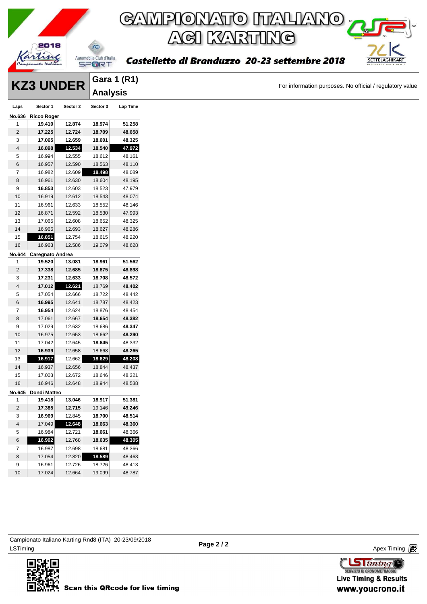

**KZ3 UNDER Gara 1 (K1)**<br>For information purposes. No official / regulatory value

|                         |                         |          | <b>Analysis</b> |                 |
|-------------------------|-------------------------|----------|-----------------|-----------------|
| Laps                    | Sector 1                | Sector 2 | Sector 3        | <b>Lap Time</b> |
|                         | No.636 Ricco Roger      |          |                 |                 |
| 1                       | 19.410                  | 12.874   | 18.974          | 51.258          |
| $\overline{\mathbf{c}}$ | 17.225                  | 12.724   | 18.709          | 48.658          |
| 3                       | 17.065                  | 12.659   | 18.601          | 48.325          |
| 4                       | 16.898                  | 12.534   | 18.540          | 47.972          |
| 5                       | 16.994                  | 12.555   | 18.612          | 48.161          |
| 6                       | 16.957                  | 12.590   | 18.563          | 48.110          |
| 7                       | 16.982                  | 12.609   | 18.498          | 48.089          |
| 8                       | 16.961                  | 12.630   | 18.604          | 48.195          |
| 9                       | 16.853                  | 12.603   | 18.523          | 47.979          |
| $10$                    | 16.919                  | 12.612   | 18.543          | 48.074          |
| 11                      | 16.961                  | 12.633   | 18.552          | 48.146          |
| 12                      | 16.871                  | 12.592   | 18.530          | 47.993          |
| 13                      | 17.065                  | 12.608   | 18.652          | 48.325          |
| 14                      | 16.966                  | 12.693   | 18.627          | 48.286          |
| 15                      | 16.851                  | 12.754   | 18.615          | 48.220          |
| 16                      | 16.963                  | 12.586   | 19.079          | 48.628          |
|                         | No.644 Caregnato Andrea |          |                 |                 |
| 1                       | 19.520                  | 13.081   | 18.961          | 51.562          |
| $\overline{\mathbf{c}}$ | 17.338                  | 12.685   | 18.875          | 48.898          |
| 3                       | 17.231                  | 12.633   | 18.708          | 48.572          |
| $\overline{4}$          | 17.012                  | 12.621   | 18.769          | 48.402          |
| 5                       | 17.054                  | 12.666   | 18.722          | 48.442          |
| 6                       | 16.995                  | 12.641   | 18.787          | 48.423          |
| 7                       | 16.954                  | 12.624   | 18.876          | 48.454          |
| 8                       | 17.061                  | 12.667   | 18.654          | 48.382          |
| 9                       | 17.029                  | 12.632   | 18.686          | 48.347          |
| 10                      | 16.975                  | 12.653   | 18.662          | 48.290          |
| 11                      | 17.042                  | 12.645   | 18.645          | 48.332          |
| 12                      | 16.939                  | 12.658   | 18.668          | 48.265          |
| 13                      | 16.917                  | 12.662   | 18.629          | 48.208          |
| 14                      | 16.937                  | 12.656   | 18.844          | 48.437          |
| 15                      | 17.003                  | 12.672   | 18.646          | 48.321          |
| 16                      | 16.946                  | 12.648   | 18.944          | 48.538          |
|                         | No.645 Dondi Matteo     |          |                 |                 |
| 1                       | 19.418                  | 13.046   | 18.917          | 51.381          |
| $\overline{c}$          | 17.385                  | 12.715   | 19.146          | 49.246          |
| 3                       | 16.969                  | 12.845   | 18.700          | 48.514          |
| $\overline{\mathbf{4}}$ | 17.049                  | 12.648   | 18.663          | 48.360          |
| 5                       | 16.984                  | 12.721   | 18.661          | 48.366          |
| 6                       | 16.902                  | 12.768   | 18.635          | 48.305          |
| 7                       | 16.987                  | 12.698   | 18.681          | 48.366          |
| 8                       | 17.054                  | 12.820   | 18.589          | 48.463          |
| 9                       | 16.961                  | 12.726   | 18.726          | 48.413          |
| 10                      | 17.024                  | 12.664   | 19.099          | 48.787          |
|                         |                         |          |                 |                 |

**Gara 1 (R1)**

ex Timing and the Company of the Company of the Company of the Company of the Company of the Apex Timing (1990) and the Company of the Company of the Company of the Company of the Company of the Company of the Company of t Campionato Italiano Karting Rnd8 (ITA) 20-23/09/2018



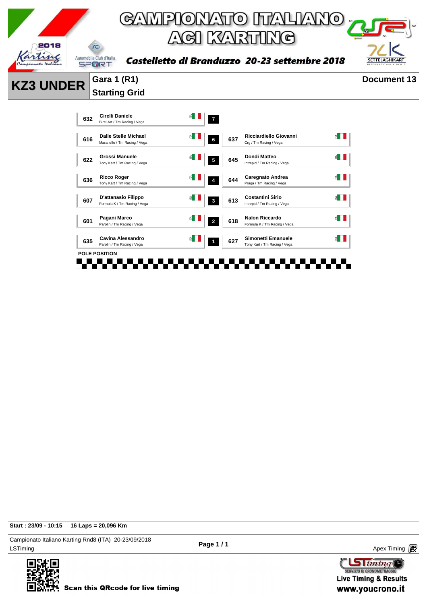

**KZ3 UNDER** Gara 1 (R1) Document 13 **Starting Grid** 



**Start : 23/09 - 10:15 16 Laps = 20,096 Km**

LSTiming Apex Timing Apex Timing Apex Timing Apex Timing Apex Timing Apex Timing Apex Timing Campionato Italiano Karting Rnd8 (ITA) 20-23/09/2018



**Page 1 / 1**

 $\text{G}$  iming SERVIZIO DI CRONOMETRAGG **Live Timing & Results** 

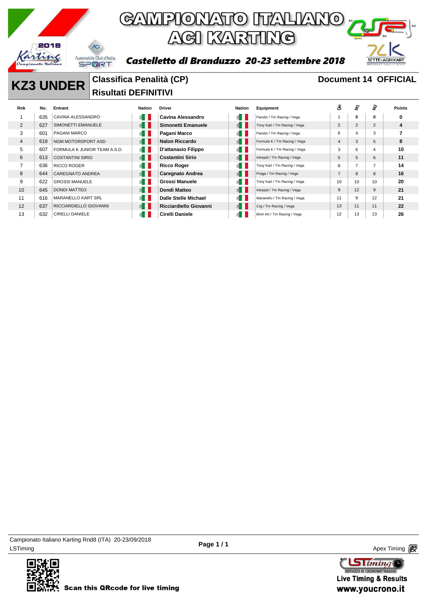

### GAMPIONATO ITALIANO<sub>I</sub> ACI KARTING



#### Castelletto di Branduzzo 20-23 settembre 2018

#### **KZ3 UNDER** Classifica Penalità (CP) **Document 14 OFFICIAL Risultati DEFINITIVI**

| Rnk            | No. | Entrant                      | <b>Nation</b>         | <b>Driver</b>           | <b>Nation</b>          | Equipment                    | ô              | t,              | £              | <b>Points</b> |
|----------------|-----|------------------------------|-----------------------|-------------------------|------------------------|------------------------------|----------------|-----------------|----------------|---------------|
|                | 635 | CAVINA ALESSANDRO            | ≝ ∐                   | Cavina Alessandro       | ≝ II                   | Parolin / Tm Racing / Vega   |                | 0               | 0              | 0             |
| $\overline{2}$ | 627 | SIMONETTI EMANUELE           | $\leq$ $\blacksquare$ | Simonetti Emanuele      | $\leq$                 | Tony Kart / Tm Racing / Vega | $\overline{2}$ | 2               | 2              | 4             |
| 3              | 601 | PAGANI MARCO                 | $\leq$                | Pagani Marco            | £Π                     | Parolin / Tm Racing / Vega   | 6              | $\overline{4}$  | 3              |               |
| 4              | 618 | NGM MOTORSPORT ASD           | $\leq$ $\blacksquare$ | <b>Nalon Riccardo</b>   | E                      | Formula K / Tm Racing / Vega | 4              | 3               | 5              | 8             |
| 5              | 607 | FORMULA K JUNIOR TEAM A.S.D. | $\leq$                | D'attanasio Filippo     | £Π                     | Formula K / Tm Racing / Vega | 3              | 6               | 4              | 10            |
| 6              | 613 | <b>COSTANTINI SIRIO</b>      | $\leq$ $\blacksquare$ | <b>Costantini Sirio</b> | $\leq$ $\parallel$     | Intrepid / Tm Racing / Vega  | 5              | 5               | 6              | 11            |
| 7              | 636 | <b>RICCO ROGER</b>           | $\leq$                | <b>Ricco Roger</b>      | £Π                     | Tony Kart / Tm Racing / Vega | 8              |                 | $\overline{7}$ | 14            |
| 8              | 644 | <b>CAREGNATO ANDREA</b>      | $\leq$                | <b>Caregnato Andrea</b> | $\leq$ $\parallel$     | Praga / Tm Racing / Vega     |                | 8               | 8              | 16            |
| 9              | 622 | <b>GROSSI MANUELE</b>        | $\leq$                | Grossi Manuele          | $\leq$ $\parallel$     | Tony Kart / Tm Racing / Vega | 10             | 10 <sup>1</sup> | 10             | 20            |
| 10             | 645 | <b>DONDI MATTEO</b>          | $\leq$ $\blacksquare$ | Dondi Matteo            | $\leq$ $\vert$ $\vert$ | Intrepid / Tm Racing / Vega  | 9              | 12              | 9              | 21            |
| 11             | 616 | <b>MARANELLO KART SRL</b>    | ≝ ∏                   | Dalle Stelle Michael    | ≝∎ I                   | Maranello / Tm Racing / Vega | 11             | 9               | 12             | 21            |
| 12             | 637 | RICCIARDIELLO GIOVANNI       | $\leq$ $\blacksquare$ | Ricciardiello Giovanni  | $\leq$ $\vert \vert$   | Crg / Tm Racing / Vega       | 13             | 11              | 11             | 22            |
| 13             | 632 | <b>CIRELLI DANIELE</b>       | ≝ ∐                   | Cirelli Daniele         | $\Delta$               | Birel Art / Tm Racing / Vega | 12             | 13              | 13             | 26            |

LSTiming Apex Timing Apex Timing Apex Timing Apex Timing Apex Timing Apex Timing Apex Timing Campionato Italiano Karting Rnd8 (ITA) 20-23/09/2018



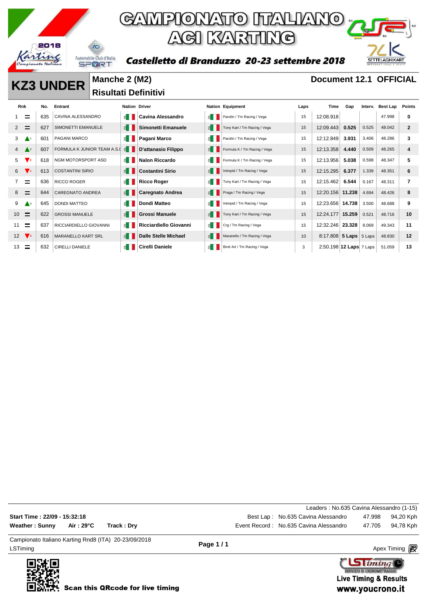

Castelletto di Branduzzo 20-23 settembre 2018



**KZ3 UNDER** Manche 2 (M2) **Document 12.1 OFFICIAL Risultati Definitivi** 

| Rnk                             | No. | Entrant                     | <b>Nation Driver</b>  |                         |                       | <b>Nation Equipment</b>      | Laps | Time                    | Gap    | Interv. | Best Lap | Points       |
|---------------------------------|-----|-----------------------------|-----------------------|-------------------------|-----------------------|------------------------------|------|-------------------------|--------|---------|----------|--------------|
| Ξ                               | 635 | CAVINA ALESSANDRO           | $\leq$ $\blacksquare$ | Cavina Alessandro       | 11                    | Parolin / Tm Racing / Vega   | 15   | 12:08.918               |        |         | 47.998   | 0            |
| Ξ<br>2                          | 627 | SIMONETTI EMANUELE          | E                     | Simonetti Emanuele      | $\leq$ $\blacksquare$ | Tony Kart / Tm Racing / Vega | 15   | 12:09.443               | 0.525  | 0.525   | 48.042   | $\mathbf{2}$ |
| 3<br>$\blacktriangle$ 1         | 601 | PAGANI MARCO                | ≦ II                  | Pagani Marco            | ੬∎                    | Parolin / Tm Racing / Vega   | 15   | 12:12.849               | 3.931  | 3.406   | 48.286   | 3            |
| $\triangle^2$<br>$4 \quad$      | 607 | FORMULA K JUNIOR TEAM A.S.I | $\leq$ $\blacksquare$ | D'attanasio Filippo     | $\leq$ $\blacksquare$ | Formula K / Tm Racing / Vega | 15   | 12:13.358               | 4.440  | 0.509   | 48.265   | 4            |
| $\mathbf{V}_2$<br>5             | 618 | <b>NGM MOTORSPORT ASD</b>   | $\leq$ $\blacksquare$ | <b>Nalon Riccardo</b>   | 斗                     | Formula K / Tm Racing / Vega | 15   | 12:13.956               | 5.038  | 0.598   | 48.347   | 5            |
| $\mathbf{V}$<br>6               | 613 | <b>COSTANTINI SIRIO</b>     | $\leq$ $\blacksquare$ | <b>Costantini Sirio</b> | $\leq$ $\blacksquare$ | Intrepid / Tm Racing / Vega  | 15   | 12:15.295               | 6.377  | 1.339   | 48.351   | 6            |
| $\equiv$                        | 636 | <b>RICCO ROGER</b>          | $\leq$ $\blacksquare$ | <b>Ricco Roger</b>      | ੬∎                    | Tony Kart / Tm Racing / Vega | 15   | 12:15.462               | 6.544  | 0.167   | 48.311   | 7            |
| $\equiv$<br>8                   | 644 | <b>CAREGNATO ANDREA</b>     | $\leq$ $\blacksquare$ | <b>Caregnato Andrea</b> | $\leq$ $\blacksquare$ | Praga / Tm Racing / Vega     | 15   | 12:20.156 11.238        |        | 4.694   | 48.426   | 8            |
| 9<br>$\triangle^3$              | 645 | <b>DONDI MATTEO</b>         | $\leq$ $\blacksquare$ | Dondi Matteo            | ੬∎                    | Intrepid / Tm Racing / Vega  | 15   | 12:23.656 14.738        |        | 3.500   | 48.688   | 9            |
| $\equiv$<br>10 <sup>°</sup>     | 622 | <b>GROSSI MANUELE</b>       | E                     | <b>Grossi Manuele</b>   | $\leq$ $\blacksquare$ | Tony Kart / Tm Racing / Vega | 15   | 12:24.177               | 15.259 | 0.521   | 48.716   | 10           |
| $\equiv$<br>11                  | 637 | RICCIARDIELLO GIOVANNI      | $\leq$ $\blacksquare$ | Ricciardiello Giovanni  | ≦ II                  | Crg / Tm Racing / Vega       | 15   | 12:32.246 23.328        |        | 8.069   | 49.343   | 11           |
| $\mathbf{V}$ <sub>3</sub><br>12 | 616 | <b>MARANELLO KART SRL</b>   | E                     | Dalle Stelle Michael    |                       | Maranello / Tm Racing / Vega | 10   | 8:17.808 5 Laps 5 Laps  |        |         | 48.830   | 12           |
| 13                              | 632 | <b>CIRELLI DANIELE</b>      | £.                    | <b>Cirelli Daniele</b>  | 죕                     | Birel Art / Tm Racing / Vega | 3    | 2:50.198 12 Laps 7 Laps |        |         | 51.059   | 13           |

LSTiming Apex Timing Apex Timing Apex Timing Apex Timing Apex Timing Apex Timing Apex Timing Campionato Italiano Karting Rnd8 (ITA) 20-23/09/2018 **Page 1 / 1** Leaders : No.635 Cavina Alessandro (1-15) **Start Time : 22/09 - 15:32:18 Best Lap : No.635 Cavina Alessandro** 47.998 94,20 Kph Weather : Sunny Air : 29°C Track : Dry **Exercise 2018** Event Record : No.635 Cavina Alessandro 47.705 94,78 Kph

> $\text{G}$  iming SERVIZIO DI CRONOMETRAGGI **Live Timing & Results** www.youcrono.it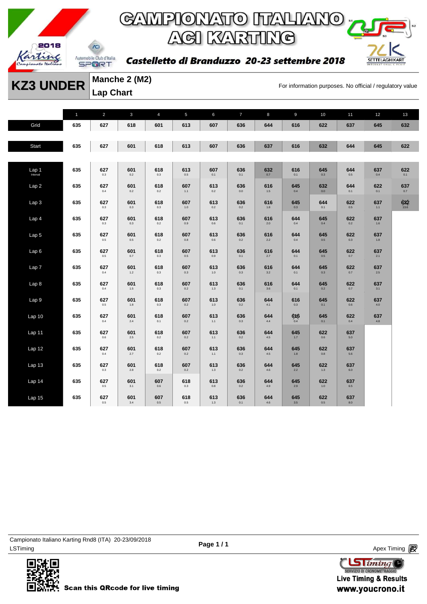

Castelletto di Branduzzo 20-23 settembre 2018



**KZ3 UNDER** Manche 2 (MZ)<br>For information purposes. No official / regulatory value

**Manche 2 (M2) Lap Chart** 

|                    | $\mathbf{1}$ | $\overline{2}$ | $\mathbf{3}$   | $\overline{4}$ | 5              | 6            | $\overline{7}$ | 8              | $\overline{9}$ | $10$           | 11             | 12         | 13              |
|--------------------|--------------|----------------|----------------|----------------|----------------|--------------|----------------|----------------|----------------|----------------|----------------|------------|-----------------|
| Grid               | 635          | 627            | 618            | 601            | 613            | 607          | 636            | 644            | 616            | 622            | 637            | 645        | 632             |
|                    |              |                |                |                |                |              |                |                |                |                |                |            |                 |
| Start              | 635          | 627            | 601            | 618            | 613            | 607          | 636            | 637            | 616            | 632            | 644            | 645        | 622             |
|                    |              |                |                |                |                |              |                |                |                |                |                |            |                 |
| Lap <sub>1</sub> 1 | 635          | 627<br>0.3     | 601<br>0.2     | 618<br>0.3     | 613<br>$0.5\,$ | 607<br>0.1   | 636<br>0.1     | 632<br>0.7     | 616<br>0.1     | 645<br>0.3     | 644<br>0.5     | 637<br>0.4 | 622<br>0.1      |
| Lap2               | 635          | 627<br>0.4     | 601<br>0.2     | 618<br>0.2     | 607<br>1.1     | 613<br>0.2   | 636<br>0.0     | 616<br>$1.5$   | 645<br>0.4     | 632<br>0.0     | 644<br>0.1     | 622<br>0.1 | 637<br>0.7      |
| Lap <sub>3</sub>   | 635          | 627<br>0.3     | 601<br>0.3     | 618<br>0.3     | 607<br>1.0     | 613<br>0.2   | 636<br>0.2     | 616<br>1.8     | 645<br>0.3     | 644<br>0.1     | 622<br>0.5     | 637<br>1.1 | $632$<br>$13.6$ |
| Lap 4              | 635          | 627<br>0.3     | 601<br>0.3     | 618<br>0.2     | 607<br>0.9     | 613<br>0.6   | 636<br>0.1     | 616<br>2.0     | 644<br>0.4     | 645<br>0.4     | 622<br>0.2     | 637<br>1.6 |                 |
| Lap <sub>5</sub>   | 635          | 627<br>0.5     | 601<br>$0.5\,$ | 618<br>0.2     | 607<br>0.8     | 613<br>0.6   | 636<br>0.2     | 616<br>2.2     | 644<br>0.4     | 645<br>0.5     | 622<br>0.3     | 637<br>1.8 |                 |
| Lap6               | 635          | 627<br>0.5     | 601<br>0.7     | 618<br>0.3     | 607<br>0.5     | 613<br>0.9   | 636<br>0.1     | 616<br>2.7     | 644<br>0.1     | 645<br>0.5     | 622<br>0.7     | 637<br>2.1 |                 |
| Lap 7              | 635          | 627<br>$0.4\,$ | 601<br>$1.2$   | 618<br>0.3     | 607<br>0.3     | 613<br>1.0   | 636<br>0.3     | 616<br>3.2     | 644<br>0.1     | 645<br>0.3     | 622<br>0.7     | 637<br>2.5 |                 |
| Lap 8              | 635          | 627<br>0.4     | 601<br>1.5     | 618<br>0.3     | 607<br>0.2     | 613<br>1.3   | 636<br>0.1     | 616<br>3.6     | 644<br>0.1     | 645<br>0.2     | 622<br>0.7     | 637<br>3.1 |                 |
| Lap 9              | 635          | 627<br>$0.5\,$ | 601<br>$1.8\,$ | 618<br>0.3     | 607<br>0.2     | 613<br>1.0   | 636<br>0.2     | 644<br>4.1     | 616<br>0.3     | 645<br>0.1     | 622<br>0.6     | 637<br>4.0 |                 |
| Lap <sub>10</sub>  | 635          | 627<br>0.4     | 601<br>2.4     | 618<br>0.1     | 607<br>0.2     | 613<br>$1.1$ | 636<br>0.3     | 644<br>$4.4\,$ | 6X6<br>0.4     | 645<br>0.1     | 622<br>0.4     | 637<br>4.8 |                 |
| Lap 11             | 635          | 627<br>0.6     | 601<br>2.5     | 618<br>0.2     | 607<br>0.2     | 613<br>$1.1$ | 636<br>0.2     | 644<br>$4.5\,$ | 645<br>1.7     | 622<br>0.6     | 637<br>5.0     |            |                 |
| Lap <sub>12</sub>  | 635          | 627<br>$0.4\,$ | 601<br>$2.7\,$ | 618<br>0.2     | 607<br>$0.2\,$ | 613<br>$1.1$ | 636<br>$0.3\,$ | 644<br>$4.5\,$ | 645<br>1.8     | 622<br>$0.8\,$ | 637<br>$5.6\,$ |            |                 |
| Lap13              | 635          | 627<br>0.3     | 601<br>$2.8$   | 618<br>0.2     | 607<br>0.2     | 613<br>1.3   | 636<br>0.2     | 644<br>4.6     | 645<br>2.2     | 622<br>1.3     | 637<br>6.0     |            |                 |
| Lap 14             | 635          | 627<br>0.5     | 601<br>3.1     | 607<br>0.6     | 618<br>0.3     | 613<br>0.8   | 636<br>0.2     | 644<br>4.9     | 645<br>2.9     | 622<br>1.0     | 637<br>6.5     |            |                 |
| Lap 15             | 635          | 627<br>0.5     | 601<br>$3.4\,$ | 607<br>$0.5\,$ | 618<br>0.5     | 613<br>1.3   | 636<br>0.1     | 644<br>4.6     | 645<br>3.5     | 622<br>$0.5\,$ | 637<br>8.0     |            |                 |

LSTiming Apex Timing Apex Timing Apex Timing Apex Timing Apex Timing Apex Timing Apex Timing Campionato Italiano Karting Rnd8 (ITA) 20-23/09/2018



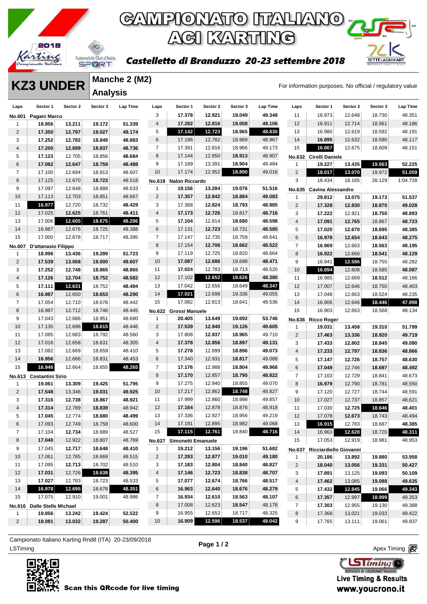



Castelletto di Branduzzo 20-23 settembre 2018

#### **KZ3 UNDER** Manche 2 (M2)<br>For information purposes. No official / regulatory value **Manche 2 (M2) Analysis**

| 3<br>12.921<br>19.049<br>48.351<br>17.378<br>49.348<br>11<br>16.973<br>12.648<br>18.730<br>No.601<br>Pagani Marco<br>51.339<br>17.282<br>12.816<br>19.008<br>49.106<br>48.186<br>13.211<br>19.172<br>4<br>12<br>16.911<br>12.714<br>18.561<br>18.956<br>1<br>5<br>17.142<br>12.723<br>18.965<br>48.830<br>48.191<br>$\overline{2}$<br>17.350<br>13<br>16.980<br>12.619<br>18.592<br>12.797<br>19.027<br>49.174<br>6<br>12.782<br>18.989<br>48.967<br>14<br>16.895<br>48.117<br>17.196<br>12.632<br>18.590<br>3<br>17.252<br>18.849<br>48.883<br>12.782<br>$\overline{7}$<br>15<br>16.867<br>48.151<br>17.391<br>12.816<br>18.966<br>49.173<br>12.675<br>18.609<br>$\overline{4}$<br>17.200<br>12.699<br>18.837<br>48.736<br>12.850<br>18.913<br>48.907<br>8<br>17.144<br>5<br>17.123<br>12.705<br>18.856<br>48.684<br>No.632 Cirelli Daniele<br>13.391<br>6<br>9<br>17.189<br>18.904<br>49.484<br>13.435<br>19.563<br>52.225<br>17.082<br>12.647<br>18.759<br>19.227<br>48.488<br>1<br>10<br>12.952<br>18.890<br>49.016<br>$\overline{c}$<br>$\overline{7}$<br>17.174<br>18.017<br>51.059<br>17.100<br>13.070<br>19.972<br>12.694<br>18.813<br>48.607<br>8<br>17.125<br>12.670<br>18.723<br>3<br>18.434<br>28.129<br>1:04.728<br>48.518<br>18.165<br>No.618<br><b>Nalon Riccardo</b><br>9<br>51.516<br>17.097<br>13.284<br>19.076<br>12.648<br>18.888<br>48.633<br>$\mathbf{1}$<br>19.156<br>No.635 Cavina Alessandro<br>12.842<br>10<br>12.703<br>18.851<br>2<br>17.357<br>18.884<br>49.083<br>17.113<br>48.667<br>51.537<br>29.812<br>1<br>13.075<br>19.173<br>16.977<br>48.429<br>3<br>12.824<br>18.793<br>48.985<br>11<br>12.720<br>18.732<br>17.368<br>$\overline{2}$<br>49.028<br>17.328<br>12.830<br>18.870<br>12<br>17.025<br>12.625<br>18.761<br>48.411<br>17.173<br>12.726<br>18.817<br>$\overline{4}$<br>48.716<br>48.893<br>3<br>17.222<br>12.921<br>18.750<br>13<br>17.006<br>12.605<br>5<br>48.598<br>18.675<br>48.286<br>17.104<br>12.814<br>18.680<br>48.723<br>$\overline{4}$<br>17.091<br>12.765<br>18.867<br>14<br>18.725<br>48.388<br>6<br>12.723<br>48.585<br>16.987<br>12.676<br>17.131<br>18.731<br>5<br>48.385<br>17.020<br>12.670<br>18.695<br>15<br>17.000<br>$\overline{7}$<br>6<br>48.275<br>12.678<br>18.717<br>48.395<br>17.147<br>12.735<br>18.759<br>48.641<br>16.978<br>12.654<br>18.643<br>8<br>12.706<br>$\overline{7}$<br>17.154<br>18.662<br>48.522<br>48.195<br>16.969<br>12.663<br>18.563<br>No.607<br>D'attanasio Filippo<br>9<br>12.725<br>18.998<br>13.436<br>19.289<br>51.723<br>17.119<br>18.820<br>48.664<br>8<br>16.922<br>48.129<br>12.666<br>18.541<br>1<br>10<br>48.282<br>$\overline{2}$<br>17.539<br>17.087<br>12.686<br>18.698<br>48.471<br>9<br>13.068<br>19.000<br>49.607<br>16.941<br>12.586<br>18.755<br>17.024<br>12.783<br>48.520<br>3<br>11<br>18.713<br>48.087<br>17.252<br>12.748<br>18.865<br>48.865<br>10<br>16.894<br>12.608<br>18.585<br>12<br>12.652<br>18.626<br>17.102<br>48.380<br>$\overline{4}$<br>17.126<br>12.704<br>48.582<br>11<br>48.166<br>18.752<br>16.985<br>12.669<br>18.512<br>48.347<br>13<br>17.042<br>12.656<br>18.649<br>5<br>17.111<br>12.631<br>18.752<br>48.494<br>12<br>17.007<br>48.403<br>12.646<br>18.750<br>17.021<br>14<br>12.698<br>19.336<br>49.055<br>6<br>18.653<br>13<br>48.235<br>16.987<br>12.650<br>48.290<br>17.048<br>12.663<br>18.524<br>17.082<br>12.813<br>18.641<br>$\overline{7}$<br>15<br>48.536<br>18.446<br>47.998<br>17.054<br>12.710<br>18.678<br>14<br>12.646<br>48.442<br>16.906<br>48.134<br>8<br>12.712<br>15<br>16.987<br>18.746<br>48.445<br>16.903<br>12.663<br>18.568<br><b>No.622</b><br>Grossi Manuele<br>9<br>12.686<br>53.746<br>17.043<br>18.951<br>48.680<br>20.405<br>13.649<br>19.692<br>$\mathbf{1}$<br>No.636<br><b>Ricco Roger</b><br>10<br>17.135<br>12.696<br>18.615<br>$\overline{2}$<br>17.539<br>12.940<br>19.126<br>48.446<br>49.605<br>51.799<br>$\mathbf{1}$<br>19.031<br>13.458<br>19.310<br>3<br>17.085<br>12.683<br>12.937<br>18.965<br>11<br>18.792<br>48.560<br>17.808<br>49.710<br>$\overline{2}$<br>49.719<br>17.463<br>13.336<br>18.920<br>12<br>17.016<br>12.856<br>12.658<br>18.631<br>48.305<br>4<br>17.378<br>18.897<br>49.131<br>3<br>49.080<br>17.433<br>12.802<br>18.845<br>17.082<br>5<br>13<br>12.669<br>18.659<br>48.410<br>17.278<br>12.899<br>18.896<br>49.073<br>$\overline{4}$<br>48.866<br>17.233<br>12.797<br>18.836<br>14<br>16.956<br>12.666<br>18.831<br>6<br>12.931<br>18.817<br>48.630<br>48.453<br>17.340<br>49.088<br>5<br>17.147<br>12.726<br>18.757<br>16.946<br>$\overline{7}$<br>15<br>18.655<br>48.265<br>12.664<br>17.176<br>12.988<br>18.804<br>48.968<br>6<br>48.492<br>17.049<br>12.746<br>18.697<br>8<br>17.170<br>12.857<br>$\overline{7}$<br>48.673<br>18.795<br>48.822<br>17.103<br>12.729<br>18.841<br>No.613 Costantini Sirio<br>9<br>12.940<br>13.309<br>19.425<br>51.795<br>17.275<br>18.855<br>49.070<br>8<br>48.550<br>19.061<br>16.979<br>12.790<br>18.781<br>1<br>$\overline{c}$<br>10<br>12.862<br>18.748<br>17.548<br>19.031<br>17.217<br>48.827<br>9<br>48.591<br>13.346<br>49.925<br>17.120<br>12.727<br>18.744<br>11<br>17.999<br>12.860<br>18.998<br>49.857<br>3<br>17.316<br>12.738<br>18.867<br>48.921<br>10<br>48.621<br>17.027<br>12.737<br>18.857<br>17.164<br>12.878<br>12<br>18.876<br>48.918<br>11<br>18.646<br>48.401<br>4<br>17.314<br>12.789<br>18.839<br>48.942<br>17.030<br>12.725<br>13<br>17.336<br>12.927<br>18.956<br>49.219<br>5<br>17.045<br>12.774<br>18.680<br>48.499<br>12<br>17.078<br>48.494<br>12.673<br>18.743<br>18.982<br>49.068<br>17.191<br>12.895<br>48.385<br>12.749<br>48.600<br>14<br>16.915<br>18.687<br>6<br>17.093<br>18.758<br>13<br>12.783<br>18.840<br>48.716<br>17.115<br>12.761<br>48.527<br>15<br>48.311<br>7<br>17.104<br>12.734<br>18.689<br>14<br>16.963<br>12.628<br>18.720<br>8<br>17.040<br>12.922<br>18.807<br>48.769<br>15<br>17.053<br>18.981<br>48.953<br>12.919<br>No.627 Simonetti Emanuele<br>9<br>17.045<br>12.717<br>48.410<br>18.648<br>19.212<br>19.196<br>51.682<br>$\mathbf{1}$<br>13.156<br>No.637 Ricciardiello Giovanni<br>10 <sup>°</sup><br>17.061<br>12.785<br>18.669<br>48.515<br>$\overline{2}$<br>17.293<br>12.877<br>19.010<br>49.180<br>53.958<br>1<br>20.186<br>13.892<br>19.880<br>17.095<br>12.713<br>17.183<br>12.804<br>18.840<br>18.702<br>48.510<br>3<br>48.827<br>11<br>$\overline{c}$<br>18.040<br>13.056<br>19.331<br>50.427<br>12<br>17.031<br>12.726<br>18.638<br>48.395<br>17.146<br>12.723<br>18.838<br>4<br>48.707<br>3<br>17.891<br>13.125<br>19.093<br>50.109<br>17.027<br>48.517<br>13<br>12.783<br>18.723<br>48.533<br>5<br>17.077<br>12.674<br>18.766<br>49.635<br>4<br>17.462<br>13.085<br>19.088<br>16.978<br>12.695<br>48.351<br>14<br>18.678<br>6<br>16.963<br>12.640<br>18.676<br>17.432<br>19.066<br>49.343<br>48.279<br>5<br>12.845<br>18.563<br>17.075<br>12.910<br>19.001<br>48.986<br>$\overline{7}$<br>16.934<br>12.610<br>48.107<br>18.999<br>15<br>6<br>17.357<br>12.997<br>49.353<br>8<br>17.008<br>12.623<br>18.547<br>48.178<br>7<br>17.303<br>12.955<br>19.130<br>49.388<br>No.616 Dalle Stelle Michael<br>16.955<br>12.653<br>18.717<br>52.522<br>9<br>48.325<br>19.856<br>13.242<br>19.424<br>8<br>17.368<br>13.021<br>19.033<br>49.422<br>$\mathbf{1}$<br>16.909<br>12.596<br>18.537<br>48.042<br>$\overline{2}$<br>18.081<br>13.032<br>19.287<br>50.400<br>10<br>9<br>19.061<br>49.937<br>17.765<br>13.111 | Laps | Sector 1 | Sector 2 | Sector 3 | Lap Time | Laps | Sector 1 | Sector 2 | Sector 3 | Lap Time | Laps | Sector 1 | Sector 2 | Sector 3 | Lap Time |
|-------------------------------------------------------------------------------------------------------------------------------------------------------------------------------------------------------------------------------------------------------------------------------------------------------------------------------------------------------------------------------------------------------------------------------------------------------------------------------------------------------------------------------------------------------------------------------------------------------------------------------------------------------------------------------------------------------------------------------------------------------------------------------------------------------------------------------------------------------------------------------------------------------------------------------------------------------------------------------------------------------------------------------------------------------------------------------------------------------------------------------------------------------------------------------------------------------------------------------------------------------------------------------------------------------------------------------------------------------------------------------------------------------------------------------------------------------------------------------------------------------------------------------------------------------------------------------------------------------------------------------------------------------------------------------------------------------------------------------------------------------------------------------------------------------------------------------------------------------------------------------------------------------------------------------------------------------------------------------------------------------------------------------------------------------------------------------------------------------------------------------------------------------------------------------------------------------------------------------------------------------------------------------------------------------------------------------------------------------------------------------------------------------------------------------------------------------------------------------------------------------------------------------------------------------------------------------------------------------------------------------------------------------------------------------------------------------------------------------------------------------------------------------------------------------------------------------------------------------------------------------------------------------------------------------------------------------------------------------------------------------------------------------------------------------------------------------------------------------------------------------------------------------------------------------------------------------------------------------------------------------------------------------------------------------------------------------------------------------------------------------------------------------------------------------------------------------------------------------------------------------------------------------------------------------------------------------------------------------------------------------------------------------------------------------------------------------------------------------------------------------------------------------------------------------------------------------------------------------------------------------------------------------------------------------------------------------------------------------------------------------------------------------------------------------------------------------------------------------------------------------------------------------------------------------------------------------------------------------------------------------------------------------------------------------------------------------------------------------------------------------------------------------------------------------------------------------------------------------------------------------------------------------------------------------------------------------------------------------------------------------------------------------------------------------------------------------------------------------------------------------------------------------------------------------------------------------------------------------------------------------------------------------------------------------------------------------------------------------------------------------------------------------------------------------------------------------------------------------------------------------------------------------------------------------------------------------------------------------------------------------------------------------------------------------------------------------------------------------------------------------------------------------------------------------------------------------------------------------------------------------------------------------------------------------------------------------------------------------------------------------------------------------------------------------------------------------------------------------------------------------------------------------------------------------------------------------------------------------------------------------------------------------------------------------------------------------------------------------------------------------------------------------------------------------------------------------------------------------------------------------------------------------------------------------------------------------------------------------------------------------------------------------------------------------------------------------------------------------------------------------------------------------------------------------------------------------------------------------------------------------------------------------------------------------------------------------------------------------------------------------------------------------------------------------------------------------------------------------------------------------------------------------------------------------------------------------------------------------------------------------------------------------------------------------------------------------------------------------------------------------------------------------------------------------------------------------------------------------------------------------------------------------------------------------------------------------------------------------------------------------------------------------------------------------------------------------------------------------------------------------------------------------------------------------------|------|----------|----------|----------|----------|------|----------|----------|----------|----------|------|----------|----------|----------|----------|
|                                                                                                                                                                                                                                                                                                                                                                                                                                                                                                                                                                                                                                                                                                                                                                                                                                                                                                                                                                                                                                                                                                                                                                                                                                                                                                                                                                                                                                                                                                                                                                                                                                                                                                                                                                                                                                                                                                                                                                                                                                                                                                                                                                                                                                                                                                                                                                                                                                                                                                                                                                                                                                                                                                                                                                                                                                                                                                                                                                                                                                                                                                                                                                                                                                                                                                                                                                                                                                                                                                                                                                                                                                                                                                                                                                                                                                                                                                                                                                                                                                                                                                                                                                                                                                                                                                                                                                                                                                                                                                                                                                                                                                                                                                                                                                                                                                                                                                                                                                                                                                                                                                                                                                                                                                                                                                                                                                                                                                                                                                                                                                                                                                                                                                                                                                                                                                                                                                                                                                                                                                                                                                                                                                                                                                                                                                                                                                                                                                                                                                                                                                                                                                                                                                                                                                                                                                                                                                                                                                                                                                                                                                                                                                                                                                                                                                                                                                                                                                     |      |          |          |          |          |      |          |          |          |          |      |          |          |          |          |
|                                                                                                                                                                                                                                                                                                                                                                                                                                                                                                                                                                                                                                                                                                                                                                                                                                                                                                                                                                                                                                                                                                                                                                                                                                                                                                                                                                                                                                                                                                                                                                                                                                                                                                                                                                                                                                                                                                                                                                                                                                                                                                                                                                                                                                                                                                                                                                                                                                                                                                                                                                                                                                                                                                                                                                                                                                                                                                                                                                                                                                                                                                                                                                                                                                                                                                                                                                                                                                                                                                                                                                                                                                                                                                                                                                                                                                                                                                                                                                                                                                                                                                                                                                                                                                                                                                                                                                                                                                                                                                                                                                                                                                                                                                                                                                                                                                                                                                                                                                                                                                                                                                                                                                                                                                                                                                                                                                                                                                                                                                                                                                                                                                                                                                                                                                                                                                                                                                                                                                                                                                                                                                                                                                                                                                                                                                                                                                                                                                                                                                                                                                                                                                                                                                                                                                                                                                                                                                                                                                                                                                                                                                                                                                                                                                                                                                                                                                                                                                     |      |          |          |          |          |      |          |          |          |          |      |          |          |          |          |
|                                                                                                                                                                                                                                                                                                                                                                                                                                                                                                                                                                                                                                                                                                                                                                                                                                                                                                                                                                                                                                                                                                                                                                                                                                                                                                                                                                                                                                                                                                                                                                                                                                                                                                                                                                                                                                                                                                                                                                                                                                                                                                                                                                                                                                                                                                                                                                                                                                                                                                                                                                                                                                                                                                                                                                                                                                                                                                                                                                                                                                                                                                                                                                                                                                                                                                                                                                                                                                                                                                                                                                                                                                                                                                                                                                                                                                                                                                                                                                                                                                                                                                                                                                                                                                                                                                                                                                                                                                                                                                                                                                                                                                                                                                                                                                                                                                                                                                                                                                                                                                                                                                                                                                                                                                                                                                                                                                                                                                                                                                                                                                                                                                                                                                                                                                                                                                                                                                                                                                                                                                                                                                                                                                                                                                                                                                                                                                                                                                                                                                                                                                                                                                                                                                                                                                                                                                                                                                                                                                                                                                                                                                                                                                                                                                                                                                                                                                                                                                     |      |          |          |          |          |      |          |          |          |          |      |          |          |          |          |
|                                                                                                                                                                                                                                                                                                                                                                                                                                                                                                                                                                                                                                                                                                                                                                                                                                                                                                                                                                                                                                                                                                                                                                                                                                                                                                                                                                                                                                                                                                                                                                                                                                                                                                                                                                                                                                                                                                                                                                                                                                                                                                                                                                                                                                                                                                                                                                                                                                                                                                                                                                                                                                                                                                                                                                                                                                                                                                                                                                                                                                                                                                                                                                                                                                                                                                                                                                                                                                                                                                                                                                                                                                                                                                                                                                                                                                                                                                                                                                                                                                                                                                                                                                                                                                                                                                                                                                                                                                                                                                                                                                                                                                                                                                                                                                                                                                                                                                                                                                                                                                                                                                                                                                                                                                                                                                                                                                                                                                                                                                                                                                                                                                                                                                                                                                                                                                                                                                                                                                                                                                                                                                                                                                                                                                                                                                                                                                                                                                                                                                                                                                                                                                                                                                                                                                                                                                                                                                                                                                                                                                                                                                                                                                                                                                                                                                                                                                                                                                     |      |          |          |          |          |      |          |          |          |          |      |          |          |          |          |
|                                                                                                                                                                                                                                                                                                                                                                                                                                                                                                                                                                                                                                                                                                                                                                                                                                                                                                                                                                                                                                                                                                                                                                                                                                                                                                                                                                                                                                                                                                                                                                                                                                                                                                                                                                                                                                                                                                                                                                                                                                                                                                                                                                                                                                                                                                                                                                                                                                                                                                                                                                                                                                                                                                                                                                                                                                                                                                                                                                                                                                                                                                                                                                                                                                                                                                                                                                                                                                                                                                                                                                                                                                                                                                                                                                                                                                                                                                                                                                                                                                                                                                                                                                                                                                                                                                                                                                                                                                                                                                                                                                                                                                                                                                                                                                                                                                                                                                                                                                                                                                                                                                                                                                                                                                                                                                                                                                                                                                                                                                                                                                                                                                                                                                                                                                                                                                                                                                                                                                                                                                                                                                                                                                                                                                                                                                                                                                                                                                                                                                                                                                                                                                                                                                                                                                                                                                                                                                                                                                                                                                                                                                                                                                                                                                                                                                                                                                                                                                     |      |          |          |          |          |      |          |          |          |          |      |          |          |          |          |
|                                                                                                                                                                                                                                                                                                                                                                                                                                                                                                                                                                                                                                                                                                                                                                                                                                                                                                                                                                                                                                                                                                                                                                                                                                                                                                                                                                                                                                                                                                                                                                                                                                                                                                                                                                                                                                                                                                                                                                                                                                                                                                                                                                                                                                                                                                                                                                                                                                                                                                                                                                                                                                                                                                                                                                                                                                                                                                                                                                                                                                                                                                                                                                                                                                                                                                                                                                                                                                                                                                                                                                                                                                                                                                                                                                                                                                                                                                                                                                                                                                                                                                                                                                                                                                                                                                                                                                                                                                                                                                                                                                                                                                                                                                                                                                                                                                                                                                                                                                                                                                                                                                                                                                                                                                                                                                                                                                                                                                                                                                                                                                                                                                                                                                                                                                                                                                                                                                                                                                                                                                                                                                                                                                                                                                                                                                                                                                                                                                                                                                                                                                                                                                                                                                                                                                                                                                                                                                                                                                                                                                                                                                                                                                                                                                                                                                                                                                                                                                     |      |          |          |          |          |      |          |          |          |          |      |          |          |          |          |
|                                                                                                                                                                                                                                                                                                                                                                                                                                                                                                                                                                                                                                                                                                                                                                                                                                                                                                                                                                                                                                                                                                                                                                                                                                                                                                                                                                                                                                                                                                                                                                                                                                                                                                                                                                                                                                                                                                                                                                                                                                                                                                                                                                                                                                                                                                                                                                                                                                                                                                                                                                                                                                                                                                                                                                                                                                                                                                                                                                                                                                                                                                                                                                                                                                                                                                                                                                                                                                                                                                                                                                                                                                                                                                                                                                                                                                                                                                                                                                                                                                                                                                                                                                                                                                                                                                                                                                                                                                                                                                                                                                                                                                                                                                                                                                                                                                                                                                                                                                                                                                                                                                                                                                                                                                                                                                                                                                                                                                                                                                                                                                                                                                                                                                                                                                                                                                                                                                                                                                                                                                                                                                                                                                                                                                                                                                                                                                                                                                                                                                                                                                                                                                                                                                                                                                                                                                                                                                                                                                                                                                                                                                                                                                                                                                                                                                                                                                                                                                     |      |          |          |          |          |      |          |          |          |          |      |          |          |          |          |
|                                                                                                                                                                                                                                                                                                                                                                                                                                                                                                                                                                                                                                                                                                                                                                                                                                                                                                                                                                                                                                                                                                                                                                                                                                                                                                                                                                                                                                                                                                                                                                                                                                                                                                                                                                                                                                                                                                                                                                                                                                                                                                                                                                                                                                                                                                                                                                                                                                                                                                                                                                                                                                                                                                                                                                                                                                                                                                                                                                                                                                                                                                                                                                                                                                                                                                                                                                                                                                                                                                                                                                                                                                                                                                                                                                                                                                                                                                                                                                                                                                                                                                                                                                                                                                                                                                                                                                                                                                                                                                                                                                                                                                                                                                                                                                                                                                                                                                                                                                                                                                                                                                                                                                                                                                                                                                                                                                                                                                                                                                                                                                                                                                                                                                                                                                                                                                                                                                                                                                                                                                                                                                                                                                                                                                                                                                                                                                                                                                                                                                                                                                                                                                                                                                                                                                                                                                                                                                                                                                                                                                                                                                                                                                                                                                                                                                                                                                                                                                     |      |          |          |          |          |      |          |          |          |          |      |          |          |          |          |
|                                                                                                                                                                                                                                                                                                                                                                                                                                                                                                                                                                                                                                                                                                                                                                                                                                                                                                                                                                                                                                                                                                                                                                                                                                                                                                                                                                                                                                                                                                                                                                                                                                                                                                                                                                                                                                                                                                                                                                                                                                                                                                                                                                                                                                                                                                                                                                                                                                                                                                                                                                                                                                                                                                                                                                                                                                                                                                                                                                                                                                                                                                                                                                                                                                                                                                                                                                                                                                                                                                                                                                                                                                                                                                                                                                                                                                                                                                                                                                                                                                                                                                                                                                                                                                                                                                                                                                                                                                                                                                                                                                                                                                                                                                                                                                                                                                                                                                                                                                                                                                                                                                                                                                                                                                                                                                                                                                                                                                                                                                                                                                                                                                                                                                                                                                                                                                                                                                                                                                                                                                                                                                                                                                                                                                                                                                                                                                                                                                                                                                                                                                                                                                                                                                                                                                                                                                                                                                                                                                                                                                                                                                                                                                                                                                                                                                                                                                                                                                     |      |          |          |          |          |      |          |          |          |          |      |          |          |          |          |
|                                                                                                                                                                                                                                                                                                                                                                                                                                                                                                                                                                                                                                                                                                                                                                                                                                                                                                                                                                                                                                                                                                                                                                                                                                                                                                                                                                                                                                                                                                                                                                                                                                                                                                                                                                                                                                                                                                                                                                                                                                                                                                                                                                                                                                                                                                                                                                                                                                                                                                                                                                                                                                                                                                                                                                                                                                                                                                                                                                                                                                                                                                                                                                                                                                                                                                                                                                                                                                                                                                                                                                                                                                                                                                                                                                                                                                                                                                                                                                                                                                                                                                                                                                                                                                                                                                                                                                                                                                                                                                                                                                                                                                                                                                                                                                                                                                                                                                                                                                                                                                                                                                                                                                                                                                                                                                                                                                                                                                                                                                                                                                                                                                                                                                                                                                                                                                                                                                                                                                                                                                                                                                                                                                                                                                                                                                                                                                                                                                                                                                                                                                                                                                                                                                                                                                                                                                                                                                                                                                                                                                                                                                                                                                                                                                                                                                                                                                                                                                     |      |          |          |          |          |      |          |          |          |          |      |          |          |          |          |
|                                                                                                                                                                                                                                                                                                                                                                                                                                                                                                                                                                                                                                                                                                                                                                                                                                                                                                                                                                                                                                                                                                                                                                                                                                                                                                                                                                                                                                                                                                                                                                                                                                                                                                                                                                                                                                                                                                                                                                                                                                                                                                                                                                                                                                                                                                                                                                                                                                                                                                                                                                                                                                                                                                                                                                                                                                                                                                                                                                                                                                                                                                                                                                                                                                                                                                                                                                                                                                                                                                                                                                                                                                                                                                                                                                                                                                                                                                                                                                                                                                                                                                                                                                                                                                                                                                                                                                                                                                                                                                                                                                                                                                                                                                                                                                                                                                                                                                                                                                                                                                                                                                                                                                                                                                                                                                                                                                                                                                                                                                                                                                                                                                                                                                                                                                                                                                                                                                                                                                                                                                                                                                                                                                                                                                                                                                                                                                                                                                                                                                                                                                                                                                                                                                                                                                                                                                                                                                                                                                                                                                                                                                                                                                                                                                                                                                                                                                                                                                     |      |          |          |          |          |      |          |          |          |          |      |          |          |          |          |
|                                                                                                                                                                                                                                                                                                                                                                                                                                                                                                                                                                                                                                                                                                                                                                                                                                                                                                                                                                                                                                                                                                                                                                                                                                                                                                                                                                                                                                                                                                                                                                                                                                                                                                                                                                                                                                                                                                                                                                                                                                                                                                                                                                                                                                                                                                                                                                                                                                                                                                                                                                                                                                                                                                                                                                                                                                                                                                                                                                                                                                                                                                                                                                                                                                                                                                                                                                                                                                                                                                                                                                                                                                                                                                                                                                                                                                                                                                                                                                                                                                                                                                                                                                                                                                                                                                                                                                                                                                                                                                                                                                                                                                                                                                                                                                                                                                                                                                                                                                                                                                                                                                                                                                                                                                                                                                                                                                                                                                                                                                                                                                                                                                                                                                                                                                                                                                                                                                                                                                                                                                                                                                                                                                                                                                                                                                                                                                                                                                                                                                                                                                                                                                                                                                                                                                                                                                                                                                                                                                                                                                                                                                                                                                                                                                                                                                                                                                                                                                     |      |          |          |          |          |      |          |          |          |          |      |          |          |          |          |
|                                                                                                                                                                                                                                                                                                                                                                                                                                                                                                                                                                                                                                                                                                                                                                                                                                                                                                                                                                                                                                                                                                                                                                                                                                                                                                                                                                                                                                                                                                                                                                                                                                                                                                                                                                                                                                                                                                                                                                                                                                                                                                                                                                                                                                                                                                                                                                                                                                                                                                                                                                                                                                                                                                                                                                                                                                                                                                                                                                                                                                                                                                                                                                                                                                                                                                                                                                                                                                                                                                                                                                                                                                                                                                                                                                                                                                                                                                                                                                                                                                                                                                                                                                                                                                                                                                                                                                                                                                                                                                                                                                                                                                                                                                                                                                                                                                                                                                                                                                                                                                                                                                                                                                                                                                                                                                                                                                                                                                                                                                                                                                                                                                                                                                                                                                                                                                                                                                                                                                                                                                                                                                                                                                                                                                                                                                                                                                                                                                                                                                                                                                                                                                                                                                                                                                                                                                                                                                                                                                                                                                                                                                                                                                                                                                                                                                                                                                                                                                     |      |          |          |          |          |      |          |          |          |          |      |          |          |          |          |
|                                                                                                                                                                                                                                                                                                                                                                                                                                                                                                                                                                                                                                                                                                                                                                                                                                                                                                                                                                                                                                                                                                                                                                                                                                                                                                                                                                                                                                                                                                                                                                                                                                                                                                                                                                                                                                                                                                                                                                                                                                                                                                                                                                                                                                                                                                                                                                                                                                                                                                                                                                                                                                                                                                                                                                                                                                                                                                                                                                                                                                                                                                                                                                                                                                                                                                                                                                                                                                                                                                                                                                                                                                                                                                                                                                                                                                                                                                                                                                                                                                                                                                                                                                                                                                                                                                                                                                                                                                                                                                                                                                                                                                                                                                                                                                                                                                                                                                                                                                                                                                                                                                                                                                                                                                                                                                                                                                                                                                                                                                                                                                                                                                                                                                                                                                                                                                                                                                                                                                                                                                                                                                                                                                                                                                                                                                                                                                                                                                                                                                                                                                                                                                                                                                                                                                                                                                                                                                                                                                                                                                                                                                                                                                                                                                                                                                                                                                                                                                     |      |          |          |          |          |      |          |          |          |          |      |          |          |          |          |
|                                                                                                                                                                                                                                                                                                                                                                                                                                                                                                                                                                                                                                                                                                                                                                                                                                                                                                                                                                                                                                                                                                                                                                                                                                                                                                                                                                                                                                                                                                                                                                                                                                                                                                                                                                                                                                                                                                                                                                                                                                                                                                                                                                                                                                                                                                                                                                                                                                                                                                                                                                                                                                                                                                                                                                                                                                                                                                                                                                                                                                                                                                                                                                                                                                                                                                                                                                                                                                                                                                                                                                                                                                                                                                                                                                                                                                                                                                                                                                                                                                                                                                                                                                                                                                                                                                                                                                                                                                                                                                                                                                                                                                                                                                                                                                                                                                                                                                                                                                                                                                                                                                                                                                                                                                                                                                                                                                                                                                                                                                                                                                                                                                                                                                                                                                                                                                                                                                                                                                                                                                                                                                                                                                                                                                                                                                                                                                                                                                                                                                                                                                                                                                                                                                                                                                                                                                                                                                                                                                                                                                                                                                                                                                                                                                                                                                                                                                                                                                     |      |          |          |          |          |      |          |          |          |          |      |          |          |          |          |
|                                                                                                                                                                                                                                                                                                                                                                                                                                                                                                                                                                                                                                                                                                                                                                                                                                                                                                                                                                                                                                                                                                                                                                                                                                                                                                                                                                                                                                                                                                                                                                                                                                                                                                                                                                                                                                                                                                                                                                                                                                                                                                                                                                                                                                                                                                                                                                                                                                                                                                                                                                                                                                                                                                                                                                                                                                                                                                                                                                                                                                                                                                                                                                                                                                                                                                                                                                                                                                                                                                                                                                                                                                                                                                                                                                                                                                                                                                                                                                                                                                                                                                                                                                                                                                                                                                                                                                                                                                                                                                                                                                                                                                                                                                                                                                                                                                                                                                                                                                                                                                                                                                                                                                                                                                                                                                                                                                                                                                                                                                                                                                                                                                                                                                                                                                                                                                                                                                                                                                                                                                                                                                                                                                                                                                                                                                                                                                                                                                                                                                                                                                                                                                                                                                                                                                                                                                                                                                                                                                                                                                                                                                                                                                                                                                                                                                                                                                                                                                     |      |          |          |          |          |      |          |          |          |          |      |          |          |          |          |
|                                                                                                                                                                                                                                                                                                                                                                                                                                                                                                                                                                                                                                                                                                                                                                                                                                                                                                                                                                                                                                                                                                                                                                                                                                                                                                                                                                                                                                                                                                                                                                                                                                                                                                                                                                                                                                                                                                                                                                                                                                                                                                                                                                                                                                                                                                                                                                                                                                                                                                                                                                                                                                                                                                                                                                                                                                                                                                                                                                                                                                                                                                                                                                                                                                                                                                                                                                                                                                                                                                                                                                                                                                                                                                                                                                                                                                                                                                                                                                                                                                                                                                                                                                                                                                                                                                                                                                                                                                                                                                                                                                                                                                                                                                                                                                                                                                                                                                                                                                                                                                                                                                                                                                                                                                                                                                                                                                                                                                                                                                                                                                                                                                                                                                                                                                                                                                                                                                                                                                                                                                                                                                                                                                                                                                                                                                                                                                                                                                                                                                                                                                                                                                                                                                                                                                                                                                                                                                                                                                                                                                                                                                                                                                                                                                                                                                                                                                                                                                     |      |          |          |          |          |      |          |          |          |          |      |          |          |          |          |
|                                                                                                                                                                                                                                                                                                                                                                                                                                                                                                                                                                                                                                                                                                                                                                                                                                                                                                                                                                                                                                                                                                                                                                                                                                                                                                                                                                                                                                                                                                                                                                                                                                                                                                                                                                                                                                                                                                                                                                                                                                                                                                                                                                                                                                                                                                                                                                                                                                                                                                                                                                                                                                                                                                                                                                                                                                                                                                                                                                                                                                                                                                                                                                                                                                                                                                                                                                                                                                                                                                                                                                                                                                                                                                                                                                                                                                                                                                                                                                                                                                                                                                                                                                                                                                                                                                                                                                                                                                                                                                                                                                                                                                                                                                                                                                                                                                                                                                                                                                                                                                                                                                                                                                                                                                                                                                                                                                                                                                                                                                                                                                                                                                                                                                                                                                                                                                                                                                                                                                                                                                                                                                                                                                                                                                                                                                                                                                                                                                                                                                                                                                                                                                                                                                                                                                                                                                                                                                                                                                                                                                                                                                                                                                                                                                                                                                                                                                                                                                     |      |          |          |          |          |      |          |          |          |          |      |          |          |          |          |
|                                                                                                                                                                                                                                                                                                                                                                                                                                                                                                                                                                                                                                                                                                                                                                                                                                                                                                                                                                                                                                                                                                                                                                                                                                                                                                                                                                                                                                                                                                                                                                                                                                                                                                                                                                                                                                                                                                                                                                                                                                                                                                                                                                                                                                                                                                                                                                                                                                                                                                                                                                                                                                                                                                                                                                                                                                                                                                                                                                                                                                                                                                                                                                                                                                                                                                                                                                                                                                                                                                                                                                                                                                                                                                                                                                                                                                                                                                                                                                                                                                                                                                                                                                                                                                                                                                                                                                                                                                                                                                                                                                                                                                                                                                                                                                                                                                                                                                                                                                                                                                                                                                                                                                                                                                                                                                                                                                                                                                                                                                                                                                                                                                                                                                                                                                                                                                                                                                                                                                                                                                                                                                                                                                                                                                                                                                                                                                                                                                                                                                                                                                                                                                                                                                                                                                                                                                                                                                                                                                                                                                                                                                                                                                                                                                                                                                                                                                                                                                     |      |          |          |          |          |      |          |          |          |          |      |          |          |          |          |
|                                                                                                                                                                                                                                                                                                                                                                                                                                                                                                                                                                                                                                                                                                                                                                                                                                                                                                                                                                                                                                                                                                                                                                                                                                                                                                                                                                                                                                                                                                                                                                                                                                                                                                                                                                                                                                                                                                                                                                                                                                                                                                                                                                                                                                                                                                                                                                                                                                                                                                                                                                                                                                                                                                                                                                                                                                                                                                                                                                                                                                                                                                                                                                                                                                                                                                                                                                                                                                                                                                                                                                                                                                                                                                                                                                                                                                                                                                                                                                                                                                                                                                                                                                                                                                                                                                                                                                                                                                                                                                                                                                                                                                                                                                                                                                                                                                                                                                                                                                                                                                                                                                                                                                                                                                                                                                                                                                                                                                                                                                                                                                                                                                                                                                                                                                                                                                                                                                                                                                                                                                                                                                                                                                                                                                                                                                                                                                                                                                                                                                                                                                                                                                                                                                                                                                                                                                                                                                                                                                                                                                                                                                                                                                                                                                                                                                                                                                                                                                     |      |          |          |          |          |      |          |          |          |          |      |          |          |          |          |
|                                                                                                                                                                                                                                                                                                                                                                                                                                                                                                                                                                                                                                                                                                                                                                                                                                                                                                                                                                                                                                                                                                                                                                                                                                                                                                                                                                                                                                                                                                                                                                                                                                                                                                                                                                                                                                                                                                                                                                                                                                                                                                                                                                                                                                                                                                                                                                                                                                                                                                                                                                                                                                                                                                                                                                                                                                                                                                                                                                                                                                                                                                                                                                                                                                                                                                                                                                                                                                                                                                                                                                                                                                                                                                                                                                                                                                                                                                                                                                                                                                                                                                                                                                                                                                                                                                                                                                                                                                                                                                                                                                                                                                                                                                                                                                                                                                                                                                                                                                                                                                                                                                                                                                                                                                                                                                                                                                                                                                                                                                                                                                                                                                                                                                                                                                                                                                                                                                                                                                                                                                                                                                                                                                                                                                                                                                                                                                                                                                                                                                                                                                                                                                                                                                                                                                                                                                                                                                                                                                                                                                                                                                                                                                                                                                                                                                                                                                                                                                     |      |          |          |          |          |      |          |          |          |          |      |          |          |          |          |
|                                                                                                                                                                                                                                                                                                                                                                                                                                                                                                                                                                                                                                                                                                                                                                                                                                                                                                                                                                                                                                                                                                                                                                                                                                                                                                                                                                                                                                                                                                                                                                                                                                                                                                                                                                                                                                                                                                                                                                                                                                                                                                                                                                                                                                                                                                                                                                                                                                                                                                                                                                                                                                                                                                                                                                                                                                                                                                                                                                                                                                                                                                                                                                                                                                                                                                                                                                                                                                                                                                                                                                                                                                                                                                                                                                                                                                                                                                                                                                                                                                                                                                                                                                                                                                                                                                                                                                                                                                                                                                                                                                                                                                                                                                                                                                                                                                                                                                                                                                                                                                                                                                                                                                                                                                                                                                                                                                                                                                                                                                                                                                                                                                                                                                                                                                                                                                                                                                                                                                                                                                                                                                                                                                                                                                                                                                                                                                                                                                                                                                                                                                                                                                                                                                                                                                                                                                                                                                                                                                                                                                                                                                                                                                                                                                                                                                                                                                                                                                     |      |          |          |          |          |      |          |          |          |          |      |          |          |          |          |
|                                                                                                                                                                                                                                                                                                                                                                                                                                                                                                                                                                                                                                                                                                                                                                                                                                                                                                                                                                                                                                                                                                                                                                                                                                                                                                                                                                                                                                                                                                                                                                                                                                                                                                                                                                                                                                                                                                                                                                                                                                                                                                                                                                                                                                                                                                                                                                                                                                                                                                                                                                                                                                                                                                                                                                                                                                                                                                                                                                                                                                                                                                                                                                                                                                                                                                                                                                                                                                                                                                                                                                                                                                                                                                                                                                                                                                                                                                                                                                                                                                                                                                                                                                                                                                                                                                                                                                                                                                                                                                                                                                                                                                                                                                                                                                                                                                                                                                                                                                                                                                                                                                                                                                                                                                                                                                                                                                                                                                                                                                                                                                                                                                                                                                                                                                                                                                                                                                                                                                                                                                                                                                                                                                                                                                                                                                                                                                                                                                                                                                                                                                                                                                                                                                                                                                                                                                                                                                                                                                                                                                                                                                                                                                                                                                                                                                                                                                                                                                     |      |          |          |          |          |      |          |          |          |          |      |          |          |          |          |
|                                                                                                                                                                                                                                                                                                                                                                                                                                                                                                                                                                                                                                                                                                                                                                                                                                                                                                                                                                                                                                                                                                                                                                                                                                                                                                                                                                                                                                                                                                                                                                                                                                                                                                                                                                                                                                                                                                                                                                                                                                                                                                                                                                                                                                                                                                                                                                                                                                                                                                                                                                                                                                                                                                                                                                                                                                                                                                                                                                                                                                                                                                                                                                                                                                                                                                                                                                                                                                                                                                                                                                                                                                                                                                                                                                                                                                                                                                                                                                                                                                                                                                                                                                                                                                                                                                                                                                                                                                                                                                                                                                                                                                                                                                                                                                                                                                                                                                                                                                                                                                                                                                                                                                                                                                                                                                                                                                                                                                                                                                                                                                                                                                                                                                                                                                                                                                                                                                                                                                                                                                                                                                                                                                                                                                                                                                                                                                                                                                                                                                                                                                                                                                                                                                                                                                                                                                                                                                                                                                                                                                                                                                                                                                                                                                                                                                                                                                                                                                     |      |          |          |          |          |      |          |          |          |          |      |          |          |          |          |
|                                                                                                                                                                                                                                                                                                                                                                                                                                                                                                                                                                                                                                                                                                                                                                                                                                                                                                                                                                                                                                                                                                                                                                                                                                                                                                                                                                                                                                                                                                                                                                                                                                                                                                                                                                                                                                                                                                                                                                                                                                                                                                                                                                                                                                                                                                                                                                                                                                                                                                                                                                                                                                                                                                                                                                                                                                                                                                                                                                                                                                                                                                                                                                                                                                                                                                                                                                                                                                                                                                                                                                                                                                                                                                                                                                                                                                                                                                                                                                                                                                                                                                                                                                                                                                                                                                                                                                                                                                                                                                                                                                                                                                                                                                                                                                                                                                                                                                                                                                                                                                                                                                                                                                                                                                                                                                                                                                                                                                                                                                                                                                                                                                                                                                                                                                                                                                                                                                                                                                                                                                                                                                                                                                                                                                                                                                                                                                                                                                                                                                                                                                                                                                                                                                                                                                                                                                                                                                                                                                                                                                                                                                                                                                                                                                                                                                                                                                                                                                     |      |          |          |          |          |      |          |          |          |          |      |          |          |          |          |
|                                                                                                                                                                                                                                                                                                                                                                                                                                                                                                                                                                                                                                                                                                                                                                                                                                                                                                                                                                                                                                                                                                                                                                                                                                                                                                                                                                                                                                                                                                                                                                                                                                                                                                                                                                                                                                                                                                                                                                                                                                                                                                                                                                                                                                                                                                                                                                                                                                                                                                                                                                                                                                                                                                                                                                                                                                                                                                                                                                                                                                                                                                                                                                                                                                                                                                                                                                                                                                                                                                                                                                                                                                                                                                                                                                                                                                                                                                                                                                                                                                                                                                                                                                                                                                                                                                                                                                                                                                                                                                                                                                                                                                                                                                                                                                                                                                                                                                                                                                                                                                                                                                                                                                                                                                                                                                                                                                                                                                                                                                                                                                                                                                                                                                                                                                                                                                                                                                                                                                                                                                                                                                                                                                                                                                                                                                                                                                                                                                                                                                                                                                                                                                                                                                                                                                                                                                                                                                                                                                                                                                                                                                                                                                                                                                                                                                                                                                                                                                     |      |          |          |          |          |      |          |          |          |          |      |          |          |          |          |
|                                                                                                                                                                                                                                                                                                                                                                                                                                                                                                                                                                                                                                                                                                                                                                                                                                                                                                                                                                                                                                                                                                                                                                                                                                                                                                                                                                                                                                                                                                                                                                                                                                                                                                                                                                                                                                                                                                                                                                                                                                                                                                                                                                                                                                                                                                                                                                                                                                                                                                                                                                                                                                                                                                                                                                                                                                                                                                                                                                                                                                                                                                                                                                                                                                                                                                                                                                                                                                                                                                                                                                                                                                                                                                                                                                                                                                                                                                                                                                                                                                                                                                                                                                                                                                                                                                                                                                                                                                                                                                                                                                                                                                                                                                                                                                                                                                                                                                                                                                                                                                                                                                                                                                                                                                                                                                                                                                                                                                                                                                                                                                                                                                                                                                                                                                                                                                                                                                                                                                                                                                                                                                                                                                                                                                                                                                                                                                                                                                                                                                                                                                                                                                                                                                                                                                                                                                                                                                                                                                                                                                                                                                                                                                                                                                                                                                                                                                                                                                     |      |          |          |          |          |      |          |          |          |          |      |          |          |          |          |
|                                                                                                                                                                                                                                                                                                                                                                                                                                                                                                                                                                                                                                                                                                                                                                                                                                                                                                                                                                                                                                                                                                                                                                                                                                                                                                                                                                                                                                                                                                                                                                                                                                                                                                                                                                                                                                                                                                                                                                                                                                                                                                                                                                                                                                                                                                                                                                                                                                                                                                                                                                                                                                                                                                                                                                                                                                                                                                                                                                                                                                                                                                                                                                                                                                                                                                                                                                                                                                                                                                                                                                                                                                                                                                                                                                                                                                                                                                                                                                                                                                                                                                                                                                                                                                                                                                                                                                                                                                                                                                                                                                                                                                                                                                                                                                                                                                                                                                                                                                                                                                                                                                                                                                                                                                                                                                                                                                                                                                                                                                                                                                                                                                                                                                                                                                                                                                                                                                                                                                                                                                                                                                                                                                                                                                                                                                                                                                                                                                                                                                                                                                                                                                                                                                                                                                                                                                                                                                                                                                                                                                                                                                                                                                                                                                                                                                                                                                                                                                     |      |          |          |          |          |      |          |          |          |          |      |          |          |          |          |
|                                                                                                                                                                                                                                                                                                                                                                                                                                                                                                                                                                                                                                                                                                                                                                                                                                                                                                                                                                                                                                                                                                                                                                                                                                                                                                                                                                                                                                                                                                                                                                                                                                                                                                                                                                                                                                                                                                                                                                                                                                                                                                                                                                                                                                                                                                                                                                                                                                                                                                                                                                                                                                                                                                                                                                                                                                                                                                                                                                                                                                                                                                                                                                                                                                                                                                                                                                                                                                                                                                                                                                                                                                                                                                                                                                                                                                                                                                                                                                                                                                                                                                                                                                                                                                                                                                                                                                                                                                                                                                                                                                                                                                                                                                                                                                                                                                                                                                                                                                                                                                                                                                                                                                                                                                                                                                                                                                                                                                                                                                                                                                                                                                                                                                                                                                                                                                                                                                                                                                                                                                                                                                                                                                                                                                                                                                                                                                                                                                                                                                                                                                                                                                                                                                                                                                                                                                                                                                                                                                                                                                                                                                                                                                                                                                                                                                                                                                                                                                     |      |          |          |          |          |      |          |          |          |          |      |          |          |          |          |
|                                                                                                                                                                                                                                                                                                                                                                                                                                                                                                                                                                                                                                                                                                                                                                                                                                                                                                                                                                                                                                                                                                                                                                                                                                                                                                                                                                                                                                                                                                                                                                                                                                                                                                                                                                                                                                                                                                                                                                                                                                                                                                                                                                                                                                                                                                                                                                                                                                                                                                                                                                                                                                                                                                                                                                                                                                                                                                                                                                                                                                                                                                                                                                                                                                                                                                                                                                                                                                                                                                                                                                                                                                                                                                                                                                                                                                                                                                                                                                                                                                                                                                                                                                                                                                                                                                                                                                                                                                                                                                                                                                                                                                                                                                                                                                                                                                                                                                                                                                                                                                                                                                                                                                                                                                                                                                                                                                                                                                                                                                                                                                                                                                                                                                                                                                                                                                                                                                                                                                                                                                                                                                                                                                                                                                                                                                                                                                                                                                                                                                                                                                                                                                                                                                                                                                                                                                                                                                                                                                                                                                                                                                                                                                                                                                                                                                                                                                                                                                     |      |          |          |          |          |      |          |          |          |          |      |          |          |          |          |
|                                                                                                                                                                                                                                                                                                                                                                                                                                                                                                                                                                                                                                                                                                                                                                                                                                                                                                                                                                                                                                                                                                                                                                                                                                                                                                                                                                                                                                                                                                                                                                                                                                                                                                                                                                                                                                                                                                                                                                                                                                                                                                                                                                                                                                                                                                                                                                                                                                                                                                                                                                                                                                                                                                                                                                                                                                                                                                                                                                                                                                                                                                                                                                                                                                                                                                                                                                                                                                                                                                                                                                                                                                                                                                                                                                                                                                                                                                                                                                                                                                                                                                                                                                                                                                                                                                                                                                                                                                                                                                                                                                                                                                                                                                                                                                                                                                                                                                                                                                                                                                                                                                                                                                                                                                                                                                                                                                                                                                                                                                                                                                                                                                                                                                                                                                                                                                                                                                                                                                                                                                                                                                                                                                                                                                                                                                                                                                                                                                                                                                                                                                                                                                                                                                                                                                                                                                                                                                                                                                                                                                                                                                                                                                                                                                                                                                                                                                                                                                     |      |          |          |          |          |      |          |          |          |          |      |          |          |          |          |
|                                                                                                                                                                                                                                                                                                                                                                                                                                                                                                                                                                                                                                                                                                                                                                                                                                                                                                                                                                                                                                                                                                                                                                                                                                                                                                                                                                                                                                                                                                                                                                                                                                                                                                                                                                                                                                                                                                                                                                                                                                                                                                                                                                                                                                                                                                                                                                                                                                                                                                                                                                                                                                                                                                                                                                                                                                                                                                                                                                                                                                                                                                                                                                                                                                                                                                                                                                                                                                                                                                                                                                                                                                                                                                                                                                                                                                                                                                                                                                                                                                                                                                                                                                                                                                                                                                                                                                                                                                                                                                                                                                                                                                                                                                                                                                                                                                                                                                                                                                                                                                                                                                                                                                                                                                                                                                                                                                                                                                                                                                                                                                                                                                                                                                                                                                                                                                                                                                                                                                                                                                                                                                                                                                                                                                                                                                                                                                                                                                                                                                                                                                                                                                                                                                                                                                                                                                                                                                                                                                                                                                                                                                                                                                                                                                                                                                                                                                                                                                     |      |          |          |          |          |      |          |          |          |          |      |          |          |          |          |
|                                                                                                                                                                                                                                                                                                                                                                                                                                                                                                                                                                                                                                                                                                                                                                                                                                                                                                                                                                                                                                                                                                                                                                                                                                                                                                                                                                                                                                                                                                                                                                                                                                                                                                                                                                                                                                                                                                                                                                                                                                                                                                                                                                                                                                                                                                                                                                                                                                                                                                                                                                                                                                                                                                                                                                                                                                                                                                                                                                                                                                                                                                                                                                                                                                                                                                                                                                                                                                                                                                                                                                                                                                                                                                                                                                                                                                                                                                                                                                                                                                                                                                                                                                                                                                                                                                                                                                                                                                                                                                                                                                                                                                                                                                                                                                                                                                                                                                                                                                                                                                                                                                                                                                                                                                                                                                                                                                                                                                                                                                                                                                                                                                                                                                                                                                                                                                                                                                                                                                                                                                                                                                                                                                                                                                                                                                                                                                                                                                                                                                                                                                                                                                                                                                                                                                                                                                                                                                                                                                                                                                                                                                                                                                                                                                                                                                                                                                                                                                     |      |          |          |          |          |      |          |          |          |          |      |          |          |          |          |
|                                                                                                                                                                                                                                                                                                                                                                                                                                                                                                                                                                                                                                                                                                                                                                                                                                                                                                                                                                                                                                                                                                                                                                                                                                                                                                                                                                                                                                                                                                                                                                                                                                                                                                                                                                                                                                                                                                                                                                                                                                                                                                                                                                                                                                                                                                                                                                                                                                                                                                                                                                                                                                                                                                                                                                                                                                                                                                                                                                                                                                                                                                                                                                                                                                                                                                                                                                                                                                                                                                                                                                                                                                                                                                                                                                                                                                                                                                                                                                                                                                                                                                                                                                                                                                                                                                                                                                                                                                                                                                                                                                                                                                                                                                                                                                                                                                                                                                                                                                                                                                                                                                                                                                                                                                                                                                                                                                                                                                                                                                                                                                                                                                                                                                                                                                                                                                                                                                                                                                                                                                                                                                                                                                                                                                                                                                                                                                                                                                                                                                                                                                                                                                                                                                                                                                                                                                                                                                                                                                                                                                                                                                                                                                                                                                                                                                                                                                                                                                     |      |          |          |          |          |      |          |          |          |          |      |          |          |          |          |
|                                                                                                                                                                                                                                                                                                                                                                                                                                                                                                                                                                                                                                                                                                                                                                                                                                                                                                                                                                                                                                                                                                                                                                                                                                                                                                                                                                                                                                                                                                                                                                                                                                                                                                                                                                                                                                                                                                                                                                                                                                                                                                                                                                                                                                                                                                                                                                                                                                                                                                                                                                                                                                                                                                                                                                                                                                                                                                                                                                                                                                                                                                                                                                                                                                                                                                                                                                                                                                                                                                                                                                                                                                                                                                                                                                                                                                                                                                                                                                                                                                                                                                                                                                                                                                                                                                                                                                                                                                                                                                                                                                                                                                                                                                                                                                                                                                                                                                                                                                                                                                                                                                                                                                                                                                                                                                                                                                                                                                                                                                                                                                                                                                                                                                                                                                                                                                                                                                                                                                                                                                                                                                                                                                                                                                                                                                                                                                                                                                                                                                                                                                                                                                                                                                                                                                                                                                                                                                                                                                                                                                                                                                                                                                                                                                                                                                                                                                                                                                     |      |          |          |          |          |      |          |          |          |          |      |          |          |          |          |
|                                                                                                                                                                                                                                                                                                                                                                                                                                                                                                                                                                                                                                                                                                                                                                                                                                                                                                                                                                                                                                                                                                                                                                                                                                                                                                                                                                                                                                                                                                                                                                                                                                                                                                                                                                                                                                                                                                                                                                                                                                                                                                                                                                                                                                                                                                                                                                                                                                                                                                                                                                                                                                                                                                                                                                                                                                                                                                                                                                                                                                                                                                                                                                                                                                                                                                                                                                                                                                                                                                                                                                                                                                                                                                                                                                                                                                                                                                                                                                                                                                                                                                                                                                                                                                                                                                                                                                                                                                                                                                                                                                                                                                                                                                                                                                                                                                                                                                                                                                                                                                                                                                                                                                                                                                                                                                                                                                                                                                                                                                                                                                                                                                                                                                                                                                                                                                                                                                                                                                                                                                                                                                                                                                                                                                                                                                                                                                                                                                                                                                                                                                                                                                                                                                                                                                                                                                                                                                                                                                                                                                                                                                                                                                                                                                                                                                                                                                                                                                     |      |          |          |          |          |      |          |          |          |          |      |          |          |          |          |
|                                                                                                                                                                                                                                                                                                                                                                                                                                                                                                                                                                                                                                                                                                                                                                                                                                                                                                                                                                                                                                                                                                                                                                                                                                                                                                                                                                                                                                                                                                                                                                                                                                                                                                                                                                                                                                                                                                                                                                                                                                                                                                                                                                                                                                                                                                                                                                                                                                                                                                                                                                                                                                                                                                                                                                                                                                                                                                                                                                                                                                                                                                                                                                                                                                                                                                                                                                                                                                                                                                                                                                                                                                                                                                                                                                                                                                                                                                                                                                                                                                                                                                                                                                                                                                                                                                                                                                                                                                                                                                                                                                                                                                                                                                                                                                                                                                                                                                                                                                                                                                                                                                                                                                                                                                                                                                                                                                                                                                                                                                                                                                                                                                                                                                                                                                                                                                                                                                                                                                                                                                                                                                                                                                                                                                                                                                                                                                                                                                                                                                                                                                                                                                                                                                                                                                                                                                                                                                                                                                                                                                                                                                                                                                                                                                                                                                                                                                                                                                     |      |          |          |          |          |      |          |          |          |          |      |          |          |          |          |
|                                                                                                                                                                                                                                                                                                                                                                                                                                                                                                                                                                                                                                                                                                                                                                                                                                                                                                                                                                                                                                                                                                                                                                                                                                                                                                                                                                                                                                                                                                                                                                                                                                                                                                                                                                                                                                                                                                                                                                                                                                                                                                                                                                                                                                                                                                                                                                                                                                                                                                                                                                                                                                                                                                                                                                                                                                                                                                                                                                                                                                                                                                                                                                                                                                                                                                                                                                                                                                                                                                                                                                                                                                                                                                                                                                                                                                                                                                                                                                                                                                                                                                                                                                                                                                                                                                                                                                                                                                                                                                                                                                                                                                                                                                                                                                                                                                                                                                                                                                                                                                                                                                                                                                                                                                                                                                                                                                                                                                                                                                                                                                                                                                                                                                                                                                                                                                                                                                                                                                                                                                                                                                                                                                                                                                                                                                                                                                                                                                                                                                                                                                                                                                                                                                                                                                                                                                                                                                                                                                                                                                                                                                                                                                                                                                                                                                                                                                                                                                     |      |          |          |          |          |      |          |          |          |          |      |          |          |          |          |
|                                                                                                                                                                                                                                                                                                                                                                                                                                                                                                                                                                                                                                                                                                                                                                                                                                                                                                                                                                                                                                                                                                                                                                                                                                                                                                                                                                                                                                                                                                                                                                                                                                                                                                                                                                                                                                                                                                                                                                                                                                                                                                                                                                                                                                                                                                                                                                                                                                                                                                                                                                                                                                                                                                                                                                                                                                                                                                                                                                                                                                                                                                                                                                                                                                                                                                                                                                                                                                                                                                                                                                                                                                                                                                                                                                                                                                                                                                                                                                                                                                                                                                                                                                                                                                                                                                                                                                                                                                                                                                                                                                                                                                                                                                                                                                                                                                                                                                                                                                                                                                                                                                                                                                                                                                                                                                                                                                                                                                                                                                                                                                                                                                                                                                                                                                                                                                                                                                                                                                                                                                                                                                                                                                                                                                                                                                                                                                                                                                                                                                                                                                                                                                                                                                                                                                                                                                                                                                                                                                                                                                                                                                                                                                                                                                                                                                                                                                                                                                     |      |          |          |          |          |      |          |          |          |          |      |          |          |          |          |
|                                                                                                                                                                                                                                                                                                                                                                                                                                                                                                                                                                                                                                                                                                                                                                                                                                                                                                                                                                                                                                                                                                                                                                                                                                                                                                                                                                                                                                                                                                                                                                                                                                                                                                                                                                                                                                                                                                                                                                                                                                                                                                                                                                                                                                                                                                                                                                                                                                                                                                                                                                                                                                                                                                                                                                                                                                                                                                                                                                                                                                                                                                                                                                                                                                                                                                                                                                                                                                                                                                                                                                                                                                                                                                                                                                                                                                                                                                                                                                                                                                                                                                                                                                                                                                                                                                                                                                                                                                                                                                                                                                                                                                                                                                                                                                                                                                                                                                                                                                                                                                                                                                                                                                                                                                                                                                                                                                                                                                                                                                                                                                                                                                                                                                                                                                                                                                                                                                                                                                                                                                                                                                                                                                                                                                                                                                                                                                                                                                                                                                                                                                                                                                                                                                                                                                                                                                                                                                                                                                                                                                                                                                                                                                                                                                                                                                                                                                                                                                     |      |          |          |          |          |      |          |          |          |          |      |          |          |          |          |
|                                                                                                                                                                                                                                                                                                                                                                                                                                                                                                                                                                                                                                                                                                                                                                                                                                                                                                                                                                                                                                                                                                                                                                                                                                                                                                                                                                                                                                                                                                                                                                                                                                                                                                                                                                                                                                                                                                                                                                                                                                                                                                                                                                                                                                                                                                                                                                                                                                                                                                                                                                                                                                                                                                                                                                                                                                                                                                                                                                                                                                                                                                                                                                                                                                                                                                                                                                                                                                                                                                                                                                                                                                                                                                                                                                                                                                                                                                                                                                                                                                                                                                                                                                                                                                                                                                                                                                                                                                                                                                                                                                                                                                                                                                                                                                                                                                                                                                                                                                                                                                                                                                                                                                                                                                                                                                                                                                                                                                                                                                                                                                                                                                                                                                                                                                                                                                                                                                                                                                                                                                                                                                                                                                                                                                                                                                                                                                                                                                                                                                                                                                                                                                                                                                                                                                                                                                                                                                                                                                                                                                                                                                                                                                                                                                                                                                                                                                                                                                     |      |          |          |          |          |      |          |          |          |          |      |          |          |          |          |
|                                                                                                                                                                                                                                                                                                                                                                                                                                                                                                                                                                                                                                                                                                                                                                                                                                                                                                                                                                                                                                                                                                                                                                                                                                                                                                                                                                                                                                                                                                                                                                                                                                                                                                                                                                                                                                                                                                                                                                                                                                                                                                                                                                                                                                                                                                                                                                                                                                                                                                                                                                                                                                                                                                                                                                                                                                                                                                                                                                                                                                                                                                                                                                                                                                                                                                                                                                                                                                                                                                                                                                                                                                                                                                                                                                                                                                                                                                                                                                                                                                                                                                                                                                                                                                                                                                                                                                                                                                                                                                                                                                                                                                                                                                                                                                                                                                                                                                                                                                                                                                                                                                                                                                                                                                                                                                                                                                                                                                                                                                                                                                                                                                                                                                                                                                                                                                                                                                                                                                                                                                                                                                                                                                                                                                                                                                                                                                                                                                                                                                                                                                                                                                                                                                                                                                                                                                                                                                                                                                                                                                                                                                                                                                                                                                                                                                                                                                                                                                     |      |          |          |          |          |      |          |          |          |          |      |          |          |          |          |
|                                                                                                                                                                                                                                                                                                                                                                                                                                                                                                                                                                                                                                                                                                                                                                                                                                                                                                                                                                                                                                                                                                                                                                                                                                                                                                                                                                                                                                                                                                                                                                                                                                                                                                                                                                                                                                                                                                                                                                                                                                                                                                                                                                                                                                                                                                                                                                                                                                                                                                                                                                                                                                                                                                                                                                                                                                                                                                                                                                                                                                                                                                                                                                                                                                                                                                                                                                                                                                                                                                                                                                                                                                                                                                                                                                                                                                                                                                                                                                                                                                                                                                                                                                                                                                                                                                                                                                                                                                                                                                                                                                                                                                                                                                                                                                                                                                                                                                                                                                                                                                                                                                                                                                                                                                                                                                                                                                                                                                                                                                                                                                                                                                                                                                                                                                                                                                                                                                                                                                                                                                                                                                                                                                                                                                                                                                                                                                                                                                                                                                                                                                                                                                                                                                                                                                                                                                                                                                                                                                                                                                                                                                                                                                                                                                                                                                                                                                                                                                     |      |          |          |          |          |      |          |          |          |          |      |          |          |          |          |
|                                                                                                                                                                                                                                                                                                                                                                                                                                                                                                                                                                                                                                                                                                                                                                                                                                                                                                                                                                                                                                                                                                                                                                                                                                                                                                                                                                                                                                                                                                                                                                                                                                                                                                                                                                                                                                                                                                                                                                                                                                                                                                                                                                                                                                                                                                                                                                                                                                                                                                                                                                                                                                                                                                                                                                                                                                                                                                                                                                                                                                                                                                                                                                                                                                                                                                                                                                                                                                                                                                                                                                                                                                                                                                                                                                                                                                                                                                                                                                                                                                                                                                                                                                                                                                                                                                                                                                                                                                                                                                                                                                                                                                                                                                                                                                                                                                                                                                                                                                                                                                                                                                                                                                                                                                                                                                                                                                                                                                                                                                                                                                                                                                                                                                                                                                                                                                                                                                                                                                                                                                                                                                                                                                                                                                                                                                                                                                                                                                                                                                                                                                                                                                                                                                                                                                                                                                                                                                                                                                                                                                                                                                                                                                                                                                                                                                                                                                                                                                     |      |          |          |          |          |      |          |          |          |          |      |          |          |          |          |
|                                                                                                                                                                                                                                                                                                                                                                                                                                                                                                                                                                                                                                                                                                                                                                                                                                                                                                                                                                                                                                                                                                                                                                                                                                                                                                                                                                                                                                                                                                                                                                                                                                                                                                                                                                                                                                                                                                                                                                                                                                                                                                                                                                                                                                                                                                                                                                                                                                                                                                                                                                                                                                                                                                                                                                                                                                                                                                                                                                                                                                                                                                                                                                                                                                                                                                                                                                                                                                                                                                                                                                                                                                                                                                                                                                                                                                                                                                                                                                                                                                                                                                                                                                                                                                                                                                                                                                                                                                                                                                                                                                                                                                                                                                                                                                                                                                                                                                                                                                                                                                                                                                                                                                                                                                                                                                                                                                                                                                                                                                                                                                                                                                                                                                                                                                                                                                                                                                                                                                                                                                                                                                                                                                                                                                                                                                                                                                                                                                                                                                                                                                                                                                                                                                                                                                                                                                                                                                                                                                                                                                                                                                                                                                                                                                                                                                                                                                                                                                     |      |          |          |          |          |      |          |          |          |          |      |          |          |          |          |
|                                                                                                                                                                                                                                                                                                                                                                                                                                                                                                                                                                                                                                                                                                                                                                                                                                                                                                                                                                                                                                                                                                                                                                                                                                                                                                                                                                                                                                                                                                                                                                                                                                                                                                                                                                                                                                                                                                                                                                                                                                                                                                                                                                                                                                                                                                                                                                                                                                                                                                                                                                                                                                                                                                                                                                                                                                                                                                                                                                                                                                                                                                                                                                                                                                                                                                                                                                                                                                                                                                                                                                                                                                                                                                                                                                                                                                                                                                                                                                                                                                                                                                                                                                                                                                                                                                                                                                                                                                                                                                                                                                                                                                                                                                                                                                                                                                                                                                                                                                                                                                                                                                                                                                                                                                                                                                                                                                                                                                                                                                                                                                                                                                                                                                                                                                                                                                                                                                                                                                                                                                                                                                                                                                                                                                                                                                                                                                                                                                                                                                                                                                                                                                                                                                                                                                                                                                                                                                                                                                                                                                                                                                                                                                                                                                                                                                                                                                                                                                     |      |          |          |          |          |      |          |          |          |          |      |          |          |          |          |
|                                                                                                                                                                                                                                                                                                                                                                                                                                                                                                                                                                                                                                                                                                                                                                                                                                                                                                                                                                                                                                                                                                                                                                                                                                                                                                                                                                                                                                                                                                                                                                                                                                                                                                                                                                                                                                                                                                                                                                                                                                                                                                                                                                                                                                                                                                                                                                                                                                                                                                                                                                                                                                                                                                                                                                                                                                                                                                                                                                                                                                                                                                                                                                                                                                                                                                                                                                                                                                                                                                                                                                                                                                                                                                                                                                                                                                                                                                                                                                                                                                                                                                                                                                                                                                                                                                                                                                                                                                                                                                                                                                                                                                                                                                                                                                                                                                                                                                                                                                                                                                                                                                                                                                                                                                                                                                                                                                                                                                                                                                                                                                                                                                                                                                                                                                                                                                                                                                                                                                                                                                                                                                                                                                                                                                                                                                                                                                                                                                                                                                                                                                                                                                                                                                                                                                                                                                                                                                                                                                                                                                                                                                                                                                                                                                                                                                                                                                                                                                     |      |          |          |          |          |      |          |          |          |          |      |          |          |          |          |
|                                                                                                                                                                                                                                                                                                                                                                                                                                                                                                                                                                                                                                                                                                                                                                                                                                                                                                                                                                                                                                                                                                                                                                                                                                                                                                                                                                                                                                                                                                                                                                                                                                                                                                                                                                                                                                                                                                                                                                                                                                                                                                                                                                                                                                                                                                                                                                                                                                                                                                                                                                                                                                                                                                                                                                                                                                                                                                                                                                                                                                                                                                                                                                                                                                                                                                                                                                                                                                                                                                                                                                                                                                                                                                                                                                                                                                                                                                                                                                                                                                                                                                                                                                                                                                                                                                                                                                                                                                                                                                                                                                                                                                                                                                                                                                                                                                                                                                                                                                                                                                                                                                                                                                                                                                                                                                                                                                                                                                                                                                                                                                                                                                                                                                                                                                                                                                                                                                                                                                                                                                                                                                                                                                                                                                                                                                                                                                                                                                                                                                                                                                                                                                                                                                                                                                                                                                                                                                                                                                                                                                                                                                                                                                                                                                                                                                                                                                                                                                     |      |          |          |          |          |      |          |          |          |          |      |          |          |          |          |
|                                                                                                                                                                                                                                                                                                                                                                                                                                                                                                                                                                                                                                                                                                                                                                                                                                                                                                                                                                                                                                                                                                                                                                                                                                                                                                                                                                                                                                                                                                                                                                                                                                                                                                                                                                                                                                                                                                                                                                                                                                                                                                                                                                                                                                                                                                                                                                                                                                                                                                                                                                                                                                                                                                                                                                                                                                                                                                                                                                                                                                                                                                                                                                                                                                                                                                                                                                                                                                                                                                                                                                                                                                                                                                                                                                                                                                                                                                                                                                                                                                                                                                                                                                                                                                                                                                                                                                                                                                                                                                                                                                                                                                                                                                                                                                                                                                                                                                                                                                                                                                                                                                                                                                                                                                                                                                                                                                                                                                                                                                                                                                                                                                                                                                                                                                                                                                                                                                                                                                                                                                                                                                                                                                                                                                                                                                                                                                                                                                                                                                                                                                                                                                                                                                                                                                                                                                                                                                                                                                                                                                                                                                                                                                                                                                                                                                                                                                                                                                     |      |          |          |          |          |      |          |          |          |          |      |          |          |          |          |
|                                                                                                                                                                                                                                                                                                                                                                                                                                                                                                                                                                                                                                                                                                                                                                                                                                                                                                                                                                                                                                                                                                                                                                                                                                                                                                                                                                                                                                                                                                                                                                                                                                                                                                                                                                                                                                                                                                                                                                                                                                                                                                                                                                                                                                                                                                                                                                                                                                                                                                                                                                                                                                                                                                                                                                                                                                                                                                                                                                                                                                                                                                                                                                                                                                                                                                                                                                                                                                                                                                                                                                                                                                                                                                                                                                                                                                                                                                                                                                                                                                                                                                                                                                                                                                                                                                                                                                                                                                                                                                                                                                                                                                                                                                                                                                                                                                                                                                                                                                                                                                                                                                                                                                                                                                                                                                                                                                                                                                                                                                                                                                                                                                                                                                                                                                                                                                                                                                                                                                                                                                                                                                                                                                                                                                                                                                                                                                                                                                                                                                                                                                                                                                                                                                                                                                                                                                                                                                                                                                                                                                                                                                                                                                                                                                                                                                                                                                                                                                     |      |          |          |          |          |      |          |          |          |          |      |          |          |          |          |
|                                                                                                                                                                                                                                                                                                                                                                                                                                                                                                                                                                                                                                                                                                                                                                                                                                                                                                                                                                                                                                                                                                                                                                                                                                                                                                                                                                                                                                                                                                                                                                                                                                                                                                                                                                                                                                                                                                                                                                                                                                                                                                                                                                                                                                                                                                                                                                                                                                                                                                                                                                                                                                                                                                                                                                                                                                                                                                                                                                                                                                                                                                                                                                                                                                                                                                                                                                                                                                                                                                                                                                                                                                                                                                                                                                                                                                                                                                                                                                                                                                                                                                                                                                                                                                                                                                                                                                                                                                                                                                                                                                                                                                                                                                                                                                                                                                                                                                                                                                                                                                                                                                                                                                                                                                                                                                                                                                                                                                                                                                                                                                                                                                                                                                                                                                                                                                                                                                                                                                                                                                                                                                                                                                                                                                                                                                                                                                                                                                                                                                                                                                                                                                                                                                                                                                                                                                                                                                                                                                                                                                                                                                                                                                                                                                                                                                                                                                                                                                     |      |          |          |          |          |      |          |          |          |          |      |          |          |          |          |

ex Timing and the Company of the Company of the Company of the Company of the Company of the Apex Timing Apex Timing Campionato Italiano Karting Rnd8 (ITA) 20-23/09/2018



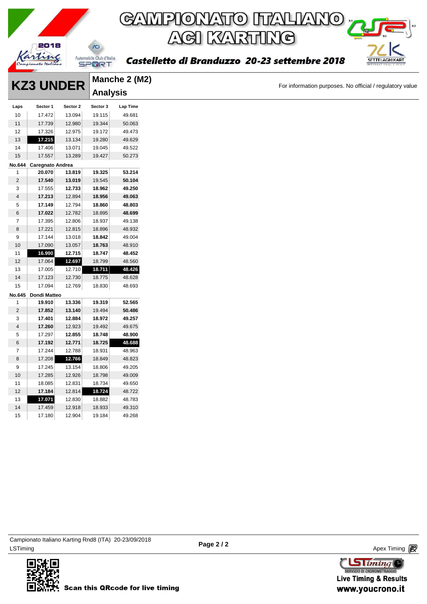

# GAMPIONATO ITALIANO<sub>I</sub> **ACI KARTING**

Castelletto di Branduzzo 20-23 settembre 2018

|                | <b>KZ3 UNDER</b>        |                  |                  | Manche 2 (M2)    |
|----------------|-------------------------|------------------|------------------|------------------|
|                |                         |                  | <b>Analysis</b>  |                  |
| Laps           | Sector 1                | Sector 2         | Sector 3         | Lap Time         |
| 10             | 17.472                  | 13.094           | 19.115           | 49.681           |
| 11             | 17.739                  | 12.980           | 19.344           | 50.063           |
| 12             | 17.326                  | 12.975           | 19.172           | 49.473           |
| 13             | 17.215                  | 13.134           | 19.280           | 49.629           |
| 14             | 17.406                  | 13.071           | 19.045           | 49.522           |
| 15             | 17.557                  | 13.289           | 19.427           | 50.273           |
|                | No.644 Caregnato Andrea |                  |                  |                  |
| $\mathbf{1}$   | 20.070                  | 13.819           | 19.325           | 53.214           |
| $\overline{2}$ | 17.540                  | 13.019           | 19.545           | 50.104           |
| $\mathbf{3}$   | 17.555                  | 12.733           | 18.962           | 49.250           |
| $\overline{4}$ | 17.213                  | 12.894           | 18.956           | 49.063           |
| 5              | 17.149                  | 12.794           | 18.860           | 48.803           |
| 6              | 17.022                  | 12.782           | 18.895           | 48.699           |
| $\overline{7}$ | 17.395                  | 12.806           | 18.937           | 49.138           |
| 8              | 17.221                  | 12.815           | 18.896           | 48.932           |
| 9              | 17.144                  | 13.018           | 18.842           | 49.004           |
| $10$           | 17.090                  | 13.057           | 18.763           | 48.910           |
| 11             | 16.990                  | 12.715           | 18.747           | 48.452           |
| 12             | 17.064                  | 12.697           | 18.799           | 48.560           |
| 13             | 17.005                  | 12.710           | 18.711           | 48.426           |
| 14             | 17.123                  | 12.730           | 18.775           | 48.628           |
| 15             | 17.094                  | 12.769           | 18.830           | 48.693           |
|                | No.645 Dondi Matteo     |                  |                  |                  |
| $\mathbf{1}$   | 19.910                  | 13.336           | 19.319           | 52.565           |
| $\overline{2}$ | 17.852                  | 13.140           | 19.494           | 50.486           |
| 3              | 17.401                  | 12.884           | 18.972           | 49.257           |
| $\overline{4}$ | 17.260                  | 12.923           | 19.492           | 49.675           |
| 5              | 17.297                  | 12.855           | 18.748           | 48.900           |
| 6              | 17.192                  | 12.771           | 18.725           | 48.688           |
| $\overline{7}$ | 17.244                  | 12.788           | 18.931           | 48.963           |
| 8              | 17.208                  | 12.766           | 18.849           | 48.823           |
| 9              | 17.245                  | 13.154           | 18.806           | 49.205           |
| 10<br>11       | 17.285<br>18.085        | 12.926<br>12.831 | 18.798<br>18.734 | 49.009<br>49.650 |
| 12             | 17.184                  | 12.814           | 18.724           | 48.722           |
| 13             | 17.071                  | 12.830           | 18.882           | 48.783           |
| 14             | 17.459                  | 12.918           | 18.933           | 49.310           |
|                |                         |                  |                  |                  |

ex Timing and the Company of the Company of the Company of the Company of the Company of the Apex Timing (1990) and the Company of the Company of the Company of the Company of the Company of the Company of the Company of t Campionato Italiano Karting Rnd8 (ITA) 20-23/09/2018

17.180 12.904 19.184 49.268





SETTELAGHIKART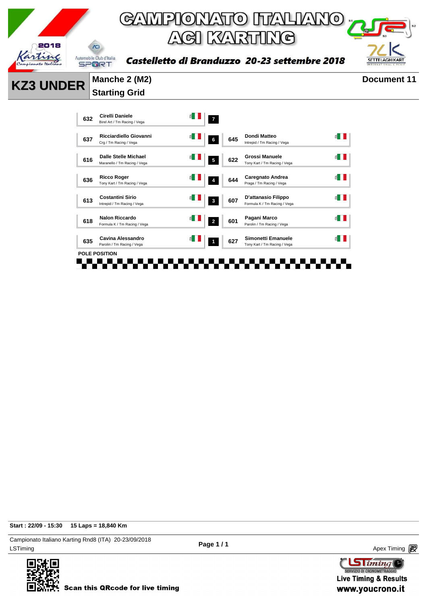

Intrepid / Tm Racing / Vega

 $\leq$ 

 $\leq$   $\blacksquare$ 

 $\leq$   $\blacksquare$ 

 $\leq$   $\blacksquare$ 

 $\leq$   $\blacksquare$ 

 $\leq$   $\blacksquare$ 

Tony Kart / Tm Racing / Vega

Praga / Tm Racing / Vega

Parolin / Tm Racing / Vega

. . . . . . .

**Start : 22/09 - 15:30 15 Laps = 18,840 Km**

LSTiming Apex Timing Apex Timing Apex Timing Apex Timing Apex Timing Apex Timing Apex Timing Campionato Italiano Karting Rnd8 (ITA) 20-23/09/2018





**Scan this QRcode for live timing** 

**<sup>632</sup> Cirelli Daniele**

**<sup>616</sup> Dalle Stelle Michael**

**<sup>613</sup> Costantini Sirio**

**<sup>618</sup> Nalon Riccardo**

**<sup>635</sup> Cavina Alessandro**

n din ser

a ser

**POLE POSITION**

**<sup>636</sup> Ricco Roger**

**Cirelli Daniele**<br>Birel Art / Tm Racing / Vega **7** 

**<sup>637</sup> Ricciardiello Giovanni** Crg / Tm Racing / Vega **<sup>6</sup> <sup>645</sup> Dondi Matteo**

Maranello / Tm Racing / Vega **<sup>5</sup> <sup>622</sup> Grossi Manuele**

**Ricco Roger 1988 1999 <b>1999 12: 1999 12: Tony Kart / Tm Racing / Vega 1999 12: Tony Kart / Tm Racing / Vega** 

Intrepid / Tm Racing / Vega **<sup>3</sup> <sup>607</sup> D'attanasio Filippo** Formula K / Tm Racing / Vega

Parolin / Tm Racing / Vega **<sup>1</sup> <sup>627</sup> Simonetti Emanuele** Tony Kart / Tm Racing / Vega

FFF

 $\overline{\phantom{a}}$ 

Formula K / Tm Racing / Vega **<sup>2</sup> <sup>601</sup> Pagani Marco**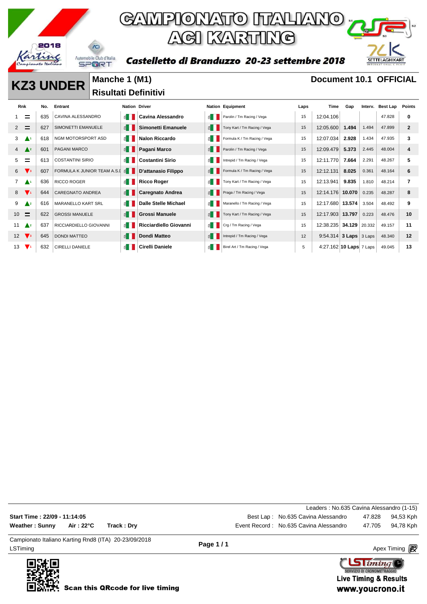

Castelletto di Branduzzo 20-23 settembre 2018



 $\text{G}$  iming SERVIZIO DI CRONOMETRAGGI **Live Timing & Results** 

www.youcrono.it

**KZ3 UNDER** Manche 1 (M1) **Document 10.1 OFFICIAL Risultati Definitivi** 

| <b>Rnk</b>      |                           | No. | Entrant                     | <b>Nation Driver</b>  |                             |                        | <b>Nation Equipment</b>      | Laps | Time                    | Gap    | Interv. | Best Lap | Points       |
|-----------------|---------------------------|-----|-----------------------------|-----------------------|-----------------------------|------------------------|------------------------------|------|-------------------------|--------|---------|----------|--------------|
|                 | $\equiv$                  | 635 | CAVINA ALESSANDRO           | ≝ ∣                   | Cavina Alessandro           | ≝ ∣                    | Parolin / Tm Racing / Vega   | 15   | 12:04.106               |        |         | 47.828   | 0            |
| 2               | $\equiv$                  | 627 | SIMONETTI EMANUELE          | $\leq$ $\blacksquare$ | Simonetti Emanuele          | $\epsilon$             | Tony Kart / Tm Racing / Vega | 15   | 12:05.600               | 1.494  | 1.494   | 47.899   | $\mathbf{2}$ |
| 3               | A1                        | 618 | NGM MOTORSPORT ASD          | ≝ ।                   | <b>Nalon Riccardo</b>       |                        | Formula K / Tm Racing / Vega | 15   | 12:07.034               | 2.928  | 1.434   | 47.935   | 3            |
| 4               | $\triangle^2$             | 601 | <b>PAGANI MARCO</b>         | $\leq$ $\blacksquare$ | Pagani Marco                | $\leq$ $\Box$          | Parolin / Tm Racing / Vega   | 15   | 12:09.479               | 5.373  | 2.445   | 48.004   | 4            |
| 5               | =                         | 613 | <b>COSTANTINI SIRIO</b>     | $\leq$ $\blacksquare$ | Costantini Sirio            | ≝∥                     | Intrepid / Tm Racing / Vega  | 15   | 12:11.770               | 7.664  | 2.291   | 48.267   | 5            |
| 6               | $\mathbf{V}$ <sub>3</sub> | 607 | FORMULA K JUNIOR TEAM A.S.I | $\leq$ $\parallel$    | D'attanasio Filippo         | $\leq$ $\blacksquare$  | Formula K / Tm Racing / Vega | 15   | 12:12.131               | 8.025  | 0.361   | 48.164   | 6            |
| 7               | $\blacktriangle^1$        | 636 | <b>RICCO ROGER</b>          | $\leq$ $\blacksquare$ | <b>Ricco Roger</b>          | 旨Ⅱ                     | Tony Kart / Tm Racing / Vega | 15   | 12:13.941               | 9.835  | 1.810   | 48.214   | 7            |
| 8               | $\blacktriangledown_1$    | 644 | <b>CAREGNATO ANDREA</b>     | $\leq$ $\blacksquare$ | <b>Caregnato Andrea</b>     | $\epsilon$             | Praga / Tm Racing / Vega     | 15   | 12:14.176 10.070        |        | 0.235   | 48.287   | 8            |
| 9               | $\triangle^2$             | 616 | <b>MARANELLO KART SRL</b>   | ≝ ।                   | <b>Dalle Stelle Michael</b> |                        | Maranello / Tm Racing / Vega | 15   | 12:17.680               | 13.574 | 3.504   | 48.492   | 9            |
| 10 <sup>1</sup> | $\equiv$                  | 622 | <b>GROSSI MANUELE</b>       | E                     | <b>Grossi Manuele</b>       | $\epsilon$             | Tony Kart / Tm Racing / Vega | 15   | 12:17.903               | 13.797 | 0.223   | 48.476   | 10           |
| 11              | $\triangle^2$             | 637 | RICCIARDIELLO GIOVANNI      | $\leq$ $\parallel$    | Ricciardiello Giovanni      | 6                      | Crg / Tm Racing / Vega       | 15   | 12:38.235 34.129 20.332 |        |         | 49.157   | 11           |
| 12              | $\sqrt{3}$                | 645 | <b>DONDI MATTEO</b>         | $\leq$ $\parallel$    | Dondi Matteo                | $\leq$ $\vert$ $\vert$ | Intrepid / Tm Racing / Vega  | 12   | 9:54.314 3 Laps 3 Laps  |        |         | 48.340   | 12           |
| 13              | $\mathbf{V}$              | 632 | <b>CIRELLI DANIELE</b>      | €                     | <b>Cirelli Daniele</b>      |                        | Birel Art / Tm Racing / Vega | 5    | 4:27.162 10 Laps 7 Laps |        |         | 49.045   | 13           |

LSTiming Apex Timing Apex Timing Apex Timing Apex Timing Apex Timing Apex Timing Apex Timing Campionato Italiano Karting Rnd8 (ITA) 20-23/09/2018 **Page 1 / 1** Leaders : No.635 Cavina Alessandro (1-15) **Start Time : 22/09 - 11:14:05 Best Lap : No.635 Cavina Alessandro** 47.828 94,53 Kph Weather : Sunny Air : 22°C Track : Dry **Exercise 2018** Event Record : No.635 Cavina Alessandro 47.705 94,78 Kph

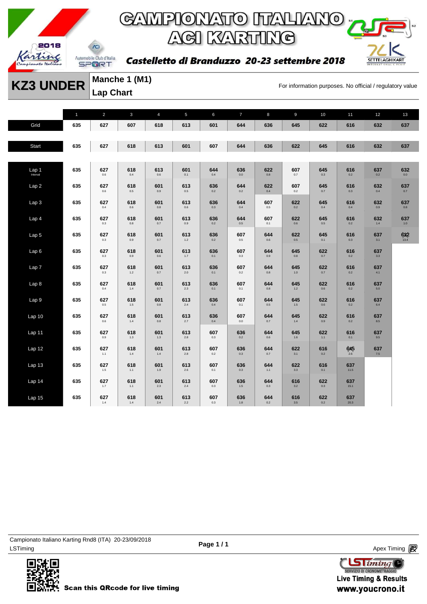

Castelletto di Branduzzo 20-23 settembre 2018



**KZ3 UNDER** Manche 1 (M1)<br>For information purposes. No official / regulatory value

**Manche 1 (M1) Lap Chart** 

|                   | $\mathbf{1}$ | $\overline{2}$ | $\mathbf{3}$   | $\overline{4}$ | 5              | 6              | $\overline{7}$ | 8              | $\overline{9}$ | 10             | 11          | 12             | 13              |
|-------------------|--------------|----------------|----------------|----------------|----------------|----------------|----------------|----------------|----------------|----------------|-------------|----------------|-----------------|
| Grid              | 635          | 627            | 607            | 618            | 613            | 601            | 644            | 636            | 645            | 622            | 616         | 632            | 637             |
|                   |              |                |                |                |                |                |                |                |                |                |             |                |                 |
| Start             | 635          | 627            | 618            | 613            | 601            | 607            | 644            | 636            | 622            | 645            | 616         | 632            | 637             |
|                   |              |                |                |                |                |                |                |                |                |                |             |                |                 |
| Lap <sub>1</sub>  | 635          | 627<br>0.6     | 618<br>0.4     | 613<br>0.6     | 601<br>0.1     | 644<br>0.4     | 636<br>0.0     | 622<br>0.8     | 607<br>0.7     | 645<br>0.3     | 616<br>0.2  | 637<br>0.2     | 632<br>0.0      |
| Lap2              | 635          | 627<br>0.6     | 618<br>$0.5\,$ | 601<br>0.9     | 613<br>$0.5\,$ | 636<br>0.2     | 644<br>$0.2\,$ | 622<br>0.4     | 607<br>0.2     | 645<br>$0.7\,$ | 616<br>0.3  | 632<br>0.4     | 637<br>0.7      |
| Lap <sub>3</sub>  | 635          | 627<br>0.4     | 618<br>0.6     | 601<br>0.8     | 613<br>0.6     | 636<br>0.3     | 644<br>0.4     | 607<br>0.5     | 622<br>0.2     | 645<br>0.4     | 616<br>0.4  | 632<br>0.9     | 637<br>$0.8\,$  |
| Lap <sub>4</sub>  | 635          | 627<br>$0.3\,$ | 618<br>$0.8\,$ | 601<br>0.7     | 613<br>0.9     | 636<br>0.2     | 644<br>$0.5\,$ | 607<br>0.1     | 622<br>0.6     | 645<br>$0.5\,$ | 616<br>0.2  | 632<br>$1.4\,$ | 637<br>1.0      |
| Lap <sub>5</sub>  | 635          | 627<br>$0.3\,$ | 618<br>0.9     | 601<br>0.7     | 613<br>$1.2$   | 636<br>0.2     | 607<br>0.5     | 644<br>0.6     | 622<br>0.5     | 645<br>0.1     | 616<br>0.3  | 637<br>3.1     | $632$<br>$13.4$ |
| Lap6              | 635          | 627<br>0.3     | 618<br>0.9     | 601<br>0.6     | 613<br>1.7     | 636<br>0.1     | 607<br>0.3     | 644<br>0.9     | 645<br>0.8     | 622<br>0.7     | 616<br>0.2  | 637<br>3.3     |                 |
| Lap <sub>7</sub>  | 635          | 627<br>$0.3\,$ | 618<br>$1.2\,$ | 601<br>$0.7\,$ | 613<br>$2.0\,$ | 636<br>0.1     | 607<br>$0.2\,$ | 644<br>$0.8\,$ | 645<br>$1.0\,$ | 622<br>$0.7\,$ | 616<br>0.2  | 637<br>4.1     |                 |
| Lap <sub>8</sub>  | 635          | 627<br>0.4     | 618<br>1.4     | 601<br>0.7     | 613<br>2.3     | 636<br>0.1     | 607<br>0.1     | 644<br>0.8     | 645<br>1.2     | 622<br>0.6     | 616<br>0.2  | 637<br>5.0     |                 |
| Lap <sub>9</sub>  | 635          | 627<br>$0.5\,$ | 618<br>$1.5\,$ | 601<br>$0.8\,$ | 613<br>$2.4\,$ | 636<br>0.4     | 607<br>0.1     | 644<br>$0.5\,$ | 645<br>1.5     | 622<br>$0.6\,$ | 616<br>0.2  | 637<br>$6.4\,$ |                 |
| Lap <sub>10</sub> | 635          | 627<br>$0.6\,$ | 618<br>1.4     | 601<br>$0.8\,$ | 613<br>2.7     | 636<br>0.4     | 607<br>0.0     | 644<br>$0.7\,$ | 645<br>$1.4\,$ | 622<br>0.9     | 616<br>0.2  | 637<br>8.5     |                 |
| Lap 11            | 635          | 627<br>0.9     | 618<br>1.3     | 601<br>1.3     | 613<br>$2.8\,$ | 607<br>$0.3\,$ | 636<br>$0.2\,$ | 644<br>$0.6\,$ | 645<br>1.6     | 622<br>1.1     | 616<br>0.1  | 637<br>9.5     |                 |
| Lap 12            | 635          | 627<br>$1.1$   | 618<br>$1.4\,$ | 601<br>1.4     | 613<br>$2.8\,$ | 607<br>0.2     | 636<br>$0.3\,$ | 644<br>0.7     | 622<br>3.1     | 616<br>$0.2\,$ | 645<br>2.6  | 637<br>$7.5\,$ |                 |
| Lap <sub>13</sub> | 635          | 627<br>1.5     | 618<br>1.1     | 601<br>1.9     | 613<br>2.6     | 607<br>0.1     | 636<br>0.3     | 644<br>$1.1$   | 622<br>3.3     | 616<br>0.1     | 637<br>11.5 |                |                 |
| Lap 14            | 635          | 627<br>1.7     | 618<br>1.1     | 601<br>2.3     | 613<br>2.4     | 607<br>0.3     | 636<br>1.5     | 644<br>0.3     | 616<br>3.2     | 622<br>0.3     | 637<br>15.1 |                |                 |
| Lap 15            | 635          | 627<br>$1.4\,$ | 618<br>1.4     | 601<br>2.4     | 613<br>2.2     | 607<br>0.3     | 636<br>1.8     | 644<br>0.2     | 616<br>3.5     | 622<br>0.2     | 637<br>20.3 |                |                 |

LSTiming Apex Timing Apex Timing Apex Timing Apex Timing Apex Timing Apex Timing Apex Timing Campionato Italiano Karting Rnd8 (ITA) 20-23/09/2018



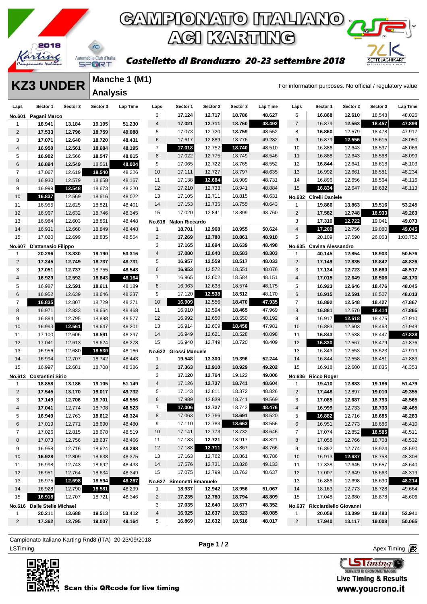

### GAMPIONATO ITALIANO <sub>"</sub> **ACI KARTING**



#### Castelletto di Branduzzo 20-23 settembre 2018

**KZ3 UNDER** Manche 1 (M1)<br>For information purposes. No official / regulatory value **Manche 1 (M1) Analysis** 

| Laps            | Sector 1                    | Sector 2 | Sector 3 | Lap Time | Laps            | Sector 1                  | Sector 2 | Sector 3 | Lap Time | Laps                     | Sector 1                 | Sector 2 | Sector 3 | Lap Time |
|-----------------|-----------------------------|----------|----------|----------|-----------------|---------------------------|----------|----------|----------|--------------------------|--------------------------|----------|----------|----------|
| No.601          | Pagani Marco                |          |          |          | 3               | 17.124                    | 12.717   | 18.786   | 48.627   | 6                        | 16.868                   | 12.610   | 18.548   | 48.026   |
| 1               | 18.941                      | 13.184   | 19.105   | 51.230   | $\overline{4}$  | 17.021                    | 12.711   | 18.760   | 48.492   | $\overline{7}$           | 16.879                   | 12.563   | 18.457   | 47.899   |
| $\overline{2}$  | 17.533                      | 12.796   | 18.759   | 49.088   | 5               | 17.073                    | 12.720   | 18.759   | 48.552   | 8                        | 16.860                   | 12.579   | 18.478   | 47.917   |
| 3               | 17.071                      | 12.640   | 18.720   | 48.431   | $6\phantom{1}6$ | 17.617                    | 12.889   | 18.776   | 49.282   | 9                        | 16.879                   | 12.556   | 18.615   | 48.050   |
| $\overline{4}$  | 16.950                      | 12.561   | 18.684   | 48.195   | $\overline{7}$  | 17.018                    | 12.752   | 18.740   | 48.510   | 10                       | 16.886                   | 12.643   | 18.537   | 48.066   |
| 5               | 16.902                      | 12.566   | 18.547   | 48.015   | 8               | 17.022                    | 12.775   | 18.749   | 48.546   | 11                       | 16.888                   | 12.643   | 18.568   | 48.099   |
| 6               | 16.894                      | 12.549   | 18.561   | 48.004   | 9               | 17.065                    | 12.722   | 18.765   | 48.552   | 12                       | 16.844                   | 12.641   | 18.618   | 48.103   |
| $\overline{7}$  | 17.067                      | 12.619   | 18.540   | 48.226   | 10              | 17.111                    | 12.727   | 18.797   | 48.635   | 13                       | 16.992                   | 12.661   | 18.581   | 48.234   |
| 8               | 16.930                      | 12.579   | 18.658   | 48.167   | 11              | 17.138                    | 12.684   | 18.909   | 48.731   | 14                       | 16.896                   | 12.656   | 18.564   | 48.116   |
| 9               | 16.999                      | 12.548   | 18.673   | 48.220   | 12              | 17.210                    | 12.733   | 18.941   | 48.884   | 15                       | 16.834                   | 12.647   | 18.632   | 48.113   |
| 10              | 16.837                      | 12.569   | 18.616   | 48.022   | 13              | 17.105                    | 12.711   | 18.815   | 48.631   |                          | No.632 Cirelli Daniele   |          |          |          |
| 11              | 16.955                      | 12.625   | 18.821   | 48.401   | 14              | 17.153                    | 12.735   | 18.755   | 48.643   | 1                        | 19.866                   | 13.863   | 19.516   | 53.245   |
| 12              | 16.967                      | 12.632   | 18.746   | 48.345   | 15              | 17.020                    | 12.841   | 18.899   | 48.760   | $\sqrt{2}$               | 17.582                   | 12.748   | 18.933   | 49.263   |
| 13              | 16.984                      | 12.603   | 18.861   | 48.448   |                 | No.618 Nalon Riccardo     |          |          |          | 3                        | 17.310                   | 12.722   | 19.041   | 49.073   |
| 14              | 16.931                      | 12.668   | 18.849   | 48.448   | $\mathbf{1}$    | 18.701                    | 12.968   | 18.955   | 50.624   | $\overline{4}$           | 17.209                   | 12.756   | 19.080   | 49.045   |
| 15              | 17.020                      | 12.699   | 18.835   | 48.554   | 2               | 17.269                    | 12.780   | 18.861   | 48.910   | 5                        | 20.109                   | 17.590   | 26.053   | 1:03.752 |
|                 | No.607 D'attanasio Filippo  |          |          |          | 3               | 17.165                    | 12.694   | 18.639   | 48.498   |                          | No.635 Cavina Alessandro |          |          |          |
| 1               | 20.296                      | 13.830   | 19.190   | 53.316   | $\overline{4}$  | 17.080                    | 12.640   | 18.583   | 48.303   | 1                        | 40.145                   | 12.854   | 18.903   | 50.576   |
| $\overline{2}$  | 17.245                      | 12.749   | 18.737   | 48.731   | 5               | 16.957                    | 12.559   | 18.517   | 48.033   | $\overline{c}$           | 17.149                   | 12.835   | 18.842   | 48.826   |
| 3               | 17.051                      | 12.737   | 18.755   | 48.543   | 6               | 16.953                    | 12.572   | 18.551   | 48.076   | 3                        | 17.134                   | 12.723   | 18.660   | 48.517   |
| $\overline{4}$  | 16.929                      | 12.592   | 18.643   | 48.164   | $\overline{7}$  | 16.965                    | 12.602   | 18.584   | 48.151   | 4                        | 17.015                   | 12.649   | 18.506   | 48.170   |
| 5               | 16.987                      | 12.591   | 18.611   | 48.189   | 8               | 16.963                    | 12.638   | 18.574   | 48.175   | 5                        | 16.923                   | 12.646   | 18.476   | 48.045   |
| 6               | 16.952                      | 12.639   | 18.646   | 48.237   | 9               | 17.120                    | 12.538   | 18.512   | 48.170   | 6                        | 16.915                   | 12.591   | 18.507   | 48.013   |
| $\overline{7}$  | 16.835                      | 12.807   | 18.729   | 48.371   | 10              | 16.909                    | 12.556   | 18.470   | 47.935   | $\overline{\mathcal{I}}$ | 16.892                   | 12.548   | 18.427   | 47.867   |
| 8               | 16.971                      | 12.833   | 18.664   | 48.468   | 11              | 16.910                    | 12.594   | 18.465   | 47.969   | 8                        | 16.881                   | 12.570   | 18.414   | 47.865   |
| 9               | 16.884                      | 12.795   | 18.898   | 48.577   | 12              | 16.992                    | 12.650   | 18.550   | 48.192   | 9                        | 16.917                   | 12.518   | 18.475   | 47.910   |
| 10              | 16.993                      | 12.561   | 18.647   | 48.201   | 13              | 16.914                    | 12.609   | 18.458   | 47.981   | 10                       | 16.883                   | 12.603   | 18.463   | 47.949   |
| 11              | 17.100                      | 12.606   | 18.591   | 48.297   | 14              | 16.949                    | 12.621   | 18.528   | 48.098   | 11                       | 16.843                   | 12.538   | 18.447   | 47.828   |
| 12              | 17.041                      | 12.613   | 18.624   | 48.278   | 15              | 16.940                    | 12.749   | 18.720   | 48.409   | 12                       | 16.830                   | 12.567   | 18.479   | 47.876   |
| 13              | 16.956                      | 12.680   | 18.530   | 48.166   | <b>No.622</b>   | Grossi Manuele            |          |          |          | 13                       | 16.843                   | 12.553   | 18.523   | 47.919   |
| 14              | 16.994                      | 12.707   | 18.742   | 48.443   | $\mathbf{1}$    | 19.548                    | 13.300   | 19.396   | 52.244   | 14                       | 16.844                   | 12.558   | 18.481   | 47.883   |
| 15              | 16.997                      | 12.681   | 18.708   | 48.386   | $\overline{2}$  | 17.363                    | 12.910   | 18.929   | 49.202   | 15                       | 16.918                   | 12.600   | 18.835   | 48.353   |
|                 | No.613 Costantini Sirio     |          |          |          | 3               | 17.120                    | 12.764   | 19.122   | 49.006   |                          | No.636 Ricco Roger       |          |          |          |
| $\mathbf{1}$    | 18.858                      | 13.186   | 19.105   | 51.149   | $\overline{4}$  | 17.126                    | 12.737   | 18.741   | 48.604   | 1                        | 19.410                   | 12.883   | 19.186   | 51.479   |
| $\overline{2}$  | 17.545                      | 13.170   | 19.017   | 49.732   | 5               | 17.143                    | 12.811   | 18.872   | 48.826   | $\overline{c}$           | 17.448                   | 12.897   | 19.010   | 49.355   |
| 3               | 17.149                      | 12.706   | 18.701   | 48.556   | $6\phantom{1}6$ | 17.989                    | 12.839   | 18.741   | 49.569   | 3                        | 17.085                   | 12.687   | 18.793   | 48.565   |
| $\overline{4}$  | 17.041                      | 12.774   | 18.708   | 48.523   | $\overline{7}$  | 17.006                    | 12.727   | 18.743   | 48.476   | 4                        | 16.999                   | 12.733   | 18.733   | 48.465   |
| 5               | 16.949                      | 12.763   | 18.612   | 48.324   | 8               | 17.063                    | 12.766   | 18.691   | 48.520   | 5                        | 16.882                   | 12.716   | 18.685   | 48.283   |
| 6               | 17.019                      | 12.771   | 18.690   | 48.480   | 9               | 17.110                    | 12.783   | 18.663   | 48.556   | 6                        | 16.951                   | 12.773   | 18.686   | 48.410   |
| 7               | 17.026                      | 12.815   | 18.678   | 48.519   | 10              | 17.141                    | 12.773   | 18.732   | 48.646   | 7                        | 17.074                   | 12.852   | 18.585   | 48.511   |
| 8               | 17.073                      | 12.756   | 18.637   | 48.466   | 11              | 17.183                    | 12.721   | 18.917   | 48.821   | 8                        | 17.058                   | 12.766   | 18.708   | 48.532   |
| 9               | 16.958                      | 12.716   | 18.624   | 48.298   | 12              | 17.188                    | 12.711   | 18.867   | 48.766   | 9                        | 16.892                   | 12.774   | 18.924   | 48.590   |
| 10 <sup>°</sup> | 16.928                      | 12.809   | 18.638   | 48.375   | 13              | 17.163                    | 12.762   | 18.861   | 48.786   | 10                       | 16.913                   | 12.637   | 18.758   | 48.308   |
| 11              | 16.998                      | 12.743   | 18.692   | 48.433   | 14              | 17.576                    | 12.731   | 18.826   | 49.133   | 11                       | 17.338                   | 12.645   | 18.657   | 48.640   |
| 12              | 16.951                      | 12.764   | 18.634   | 48.349   | 15              | 17.075                    | 12.799   | 18.763   | 48.637   | 12                       | 17.007                   | 12.649   | 18.663   | 48.319   |
| 13              | 16.975                      | 12.698   | 18.594   | 48.267   |                 | No.627 Simonetti Emanuele |          |          |          | 13                       | 16.886                   | 12.698   | 18.630   | 48.214   |
| 14              | 16.928                      | 12.790   | 18.581   | 48.299   | $\mathbf{1}$    | 18.937                    | 12.942   | 18.956   | 51.067   | 14                       | 18.163                   | 12.773   | 18.728   | 49.664   |
| 15              | 16.918                      | 12.707   | 18.721   | 48.346   | $\overline{2}$  | 17.235                    | 12.780   | 18.794   | 48.809   | 15                       | 17.048                   | 12.680   | 18.878   | 48.606   |
|                 | No.616 Dalle Stelle Michael |          |          |          | 3               | 17.035                    | 12.640   | 18.677   | 48.352   | <b>No.637</b>            | Ricciardiello Giovanni   |          |          |          |
| $\mathbf{1}$    | 20.211                      | 13.688   | 19.513   | 53.412   | $\overline{4}$  | 16.925                    | 12.637   | 18.523   | 48.085   | $\mathbf{1}$             | 20.059                   | 13.399   | 19.483   | 52.941   |
| $\overline{2}$  | 17.362                      | 12.795   | 19.007   | 49.164   | 5               | 16.869                    | 12.632   | 18.516   | 48.017   | $\overline{c}$           | 17.940                   | 13.117   | 19.008   | 50.065   |
|                 |                             |          |          |          |                 |                           |          |          |          |                          |                          |          |          |          |

ex Timing and the Company of the Company of the Company of the Company of the Company of the Apex Timing Apex Timing Campionato Italiano Karting Rnd8 (ITA) 20-23/09/2018



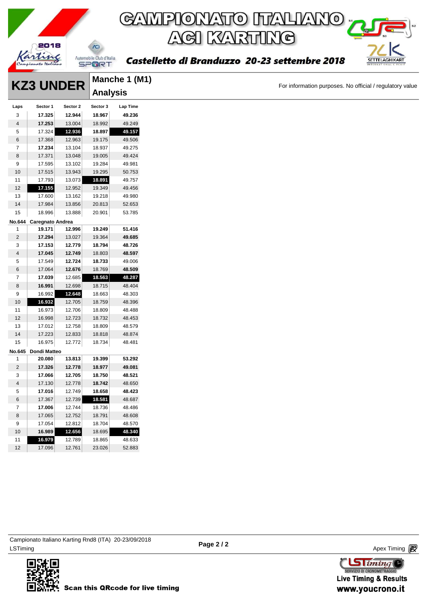

### GAMPIONATO ITALIANO <sub>"</sub> **AGI KARTING**

Castelletto di Branduzzo 20-23 settembre 2018

|                | <b>KZ3 UNDER</b>        |          |                 | Manche 1 (M1) |
|----------------|-------------------------|----------|-----------------|---------------|
|                |                         |          | <b>Analysis</b> |               |
| Laps           | Sector 1                | Sector 2 | Sector 3        | Lap Time      |
| 3              | 17.325                  | 12.944   | 18.967          | 49.236        |
| $\overline{4}$ | 17.253                  | 13.004   | 18.992          | 49.249        |
| 5              | 17.324                  | 12.936   | 18.897          | 49.157        |
| $\,6$          | 17.368                  | 12.963   | 19.175          | 49.506        |
| $\overline{7}$ | 17.234                  | 13.104   | 18.937          | 49.275        |
| $\,$ 8 $\,$    | 17.371                  | 13.048   | 19.005          | 49.424        |
| 9              | 17.595                  | 13.102   | 19.284          | 49.981        |
| 10             | 17.515                  | 13.943   | 19.295          | 50.753        |
| 11             | 17.793                  | 13.073   | 18.891          | 49.757        |
| 12             | 17.155                  | 12.952   | 19.349          | 49.456        |
| 13             | 17.600                  | 13.162   | 19.218          | 49.980        |
| 14             | 17.984                  | 13.856   | 20.813          | 52.653        |
| 15             | 18.996                  | 13.888   | 20.901          | 53.785        |
|                | No.644 Caregnato Andrea |          |                 |               |
| 1              | 19.171                  | 12.996   | 19.249          | 51.416        |
| $\overline{2}$ | 17.294                  | 13.027   | 19.364          | 49.685        |
| 3              | 17.153                  | 12.779   | 18.794          | 48.726        |
| $\sqrt{4}$     | 17.045                  | 12.749   | 18.803          | 48.597        |
| $\,$ 5 $\,$    | 17.549                  | 12.724   | 18.733          | 49.006        |
| $\,6$          | 17.064                  | 12.676   | 18.769          | 48.509        |
| $\overline{7}$ | 17.039                  | 12.685   | 18.563          | 48.287        |
| 8              | 16.991                  | 12.698   | 18.715          | 48.404        |
| 9              | 16.992                  | 12.648   | 18.663          | 48.303        |
| 10             | 16.932                  | 12.705   | 18.759          | 48.396        |
| 11             | 16.973                  | 12.706   | 18.809          | 48.488        |
| 12             | 16.998                  | 12.723   | 18.732          | 48.453        |
| 13             | 17.012                  | 12.758   | 18.809          | 48.579        |
| 14             | 17.223                  | 12.833   | 18.818          | 48.874        |
| 15             | 16.975                  | 12.772   | 18.734          | 48.481        |
|                | No.645 Dondi Matteo     |          |                 |               |
| $\mathbf{1}$   | 20.080                  | 13.813   | 19.399          | 53.292        |
| $\overline{2}$ | 17.326                  | 12.778   | 18.977          | 49.081        |
| 3              | 17.066                  | 12.705   | 18.750          | 48.521        |
| $\sqrt{4}$     | 17.130                  | 12.778   | 18.742          | 48.650        |
| 5              | 17.016                  | 12.749   | 18.658          | 48.423        |
| $\,6$          | 17.367                  | 12.739   | 18.581          | 48.687        |
| $\overline{7}$ | 17.006                  | 12.744   | 18.736          | 48.486        |
| $\,$ 8 $\,$    | 17.065                  | 12.752   | 18.791          | 48.608        |
| 9              | 17.054                  | 12.812   | 18.704          | 48.570        |
| 10             | 16.989                  | 12.656   | 18.695          | 48.340        |
| 11             | 16.979                  | 12.789   | 18.865          | 48.633        |

ex Timing and the Company of the Company of the Company of the Company of the Company of the Apex Timing (1990) and the Company of the Company of the Company of the Company of the Company of the Company of the Company of t Campionato Italiano Karting Rnd8 (ITA) 20-23/09/2018

17.096 12.761 23.026 52.883





SETTELAGHIKART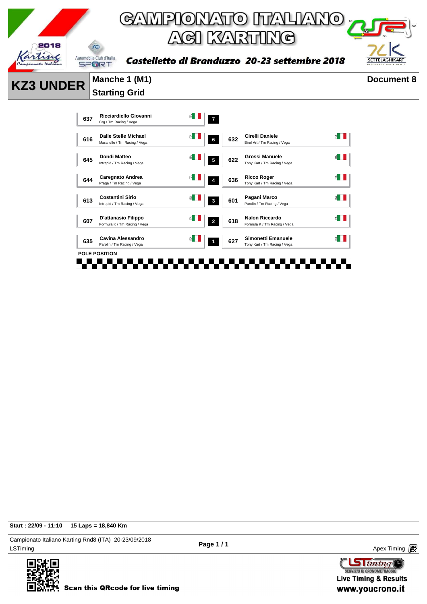

Birel Art / Tm Racing / Vega

 $\leq$ 

 $\leq$   $\blacksquare$ 

 $\leq$   $\blacksquare$ 

 $\leq$   $\blacksquare$ 

 $\leq$   $\blacksquare$ 

 $\leq$   $\blacksquare$ 

Tony Kart / Tm Racing / Vega

Tony Kart / Tm Racing / Vega

Parolin / Tm Racing / Vega

Formula K / Tm Racing / Vega

. . . . . . .

**Start : 22/09 - 11:10 15 Laps = 18,840 Km**

LSTiming Apex Timing Apex Timing Apex Timing Apex Timing Apex Timing Apex Timing Apex Timing Campionato Italiano Karting Rnd8 (ITA) 20-23/09/2018





**Scan this QRcode for live timing** 

**<sup>637</sup> Ricciardiello Giovanni**

**<sup>645</sup> Dondi Matteo**

**<sup>644</sup> Caregnato Andrea**

**<sup>613</sup> Costantini Sirio**

**<sup>607</sup> D'attanasio Filippo**

**<sup>635</sup> Cavina Alessandro**

T T

a ser

П

**POLE POSITION**

Ricciardiello Giovanni **1999 March 1999** 7<br>Crg / Tm Racing / Vega **7** 

**<sup>616</sup> Dalle Stelle Michael** Maranello / Tm Racing / Vega **<sup>6</sup> <sup>632</sup> Cirelli Daniele**

**Intrepid** / Tm Racing / Vega **5 622 Grossi Manuele**<br>
Intrepid / Tm Racing / Vega **5 622 Grossi Manuele** 

**Caregnato Andrea 1988 1998 1999 <b>1999 1999 <b>1999 1999 1999 1999 1999 1999 1999 1999 1999 1999 1999 1999 1999 1999 1999 1999 1999 1999 1999 1999 1999 1999 1999 1999 1** 

**Costantini Sirio**<br>
Intrepid / Tm Racing / Vega **3 1 801 Pagani Marco**<br> **8601 Pagani Marco** 

**D'attanasio Filippo**<br>Formula K / Tm Racing / Vega **2 2 618 Romula K / Tm Racing** 

Parolin / Tm Racing / Vega **<sup>1</sup> <sup>627</sup> Simonetti Emanuele** Tony Kart / Tm Racing / Vega

FFF

 $\overline{\phantom{a}}$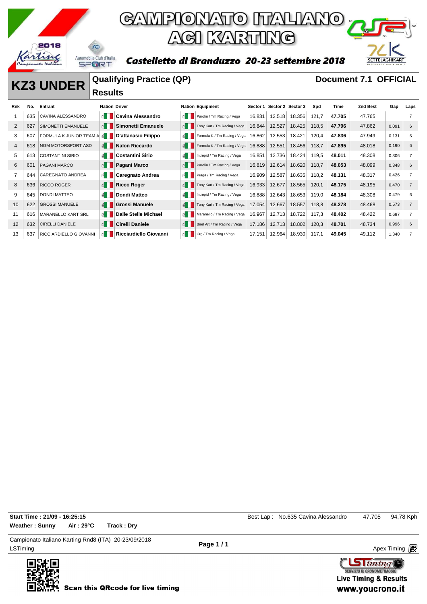

Castelletto di Branduzzo 20-23 settembre 2018



#### **KZ3 UNDER Qualifying Practice (QP) Document 7.1 OFFICIAL**

# **Results**

| Rnk            | No. | Entrant                 | <b>Nation Driver</b>  |                             |                       | <b>Nation Equipment</b>      |        | Sector 1 Sector 2 Sector 3 |        | Spd   | Time   | 2nd Best | Gap   | Laps           |
|----------------|-----|-------------------------|-----------------------|-----------------------------|-----------------------|------------------------------|--------|----------------------------|--------|-------|--------|----------|-------|----------------|
|                | 635 | CAVINA ALESSANDRO       | E I I                 | <b>Cavina Alessandro</b>    | ≦ III                 | Parolin / Tm Racing / Vega   | 16.831 | 12.518                     | 18.356 | 121,7 | 47.705 | 47.765   |       | $\overline{7}$ |
| $\overline{2}$ | 627 | SIMONETTI EMANUELE      | $\leq$ $\blacksquare$ | Simonetti Emanuele          |                       | Tony Kart / Tm Racing / Vega | 16.844 | 12.527                     | 18.425 | 118,5 | 47.796 | 47.862   | 0.091 | 6              |
| 3              | 607 | FORMULA K JUNIOR TEAM A | $\leq$                | <b>D'attanasio Filippo</b>  | é III                 | Formula K / Tm Racing / Vega | 16.862 | 12.553                     | 18.421 | 120,4 | 47.836 | 47.949   | 0.131 | 6              |
| $\overline{4}$ | 618 | NGM MOTORSPORT ASD      | $\leq$ $\blacksquare$ | <b>Nalon Riccardo</b>       | $\leq$ $\blacksquare$ | Formula K / Tm Racing / Vega | 16.888 | 12.551                     | 18.456 | 118,7 | 47.895 | 48.018   | 0.190 | 6              |
| 5              | 613 | <b>COSTANTINI SIRIO</b> | €H                    | <b>Costantini Sirio</b>     | é II                  | Intrepid / Tm Racing / Vega  | 16.851 | 12.736                     | 18.424 | 119,5 | 48.011 | 48.308   | 0.306 | 7              |
| 6              | 601 | <b>PAGANI MARCO</b>     | $\leq$ $\blacksquare$ | Pagani Marco                | $\leq$ $\blacksquare$ | Parolin / Tm Racing / Vega   | 16.819 | 12.614                     | 18.620 | 118,7 | 48.053 | 48.099   | 0.348 | 6              |
| 7              | 644 | CAREGNATO ANDREA        | ⋹∥∥                   | Caregnato Andrea            | $\leq$ $\blacksquare$ | Praga / Tm Racing / Vega     | 16.909 | 12.587                     | 18.635 | 118,2 | 48.131 | 48.317   | 0.426 | 7              |
| 8              | 636 | <b>RICCO ROGER</b>      | $\leq$ $\parallel$    | <b>Ricco Roger</b>          |                       | Tony Kart / Tm Racing / Vega | 16.933 | 12.677                     | 18.565 | 120,1 | 48.175 | 48.195   | 0.470 | 7              |
| 9              | 645 | <b>DONDI MATTEO</b>     | €H                    | <b>Dondi Matteo</b>         | $\leq$ $\blacksquare$ | Intrepid / Tm Racing / Vega  | 16.888 | 12.643                     | 18.653 | 119,0 | 48.184 | 48.308   | 0.479 | 6              |
| 10             | 622 | <b>GROSSI MANUELE</b>   | $\leq$ $\parallel$    | <b>Grossi Manuele</b>       |                       | Tony Kart / Tm Racing / Vega | 17.054 | 12.667                     | 18.557 | 118,8 | 48.278 | 48.468   | 0.573 | $\overline{7}$ |
| 11             | 616 | MARANELLO KART SRL      | ≝ I                   | <b>Dalle Stelle Michael</b> | ≦ II                  | Maranello / Tm Racing / Vega | 16.967 | 12.713                     | 18.722 | 117,3 | 48.402 | 48.422   | 0.697 | 7              |
| 12             | 632 | <b>CIRELLI DANIELE</b>  | $\leq$ $\blacksquare$ | <b>Cirelli Daniele</b>      | $\leq$ $\blacksquare$ | Birel Art / Tm Racing / Vega | 17.186 | 12.713                     | 18.802 | 120,3 | 48.701 | 48.734   | 0.996 | 6              |
| 13             | 637 | RICCIARDIELLO GIOVANNI  | ≝ I                   | Ricciardiello Giovanni      | $\leq$ $\blacksquare$ | Crg / Tm Racing / Vega       | 17.151 | 12.964                     | 18.930 | 117,1 | 49.045 | 49.112   | 1.340 | $\overline{7}$ |
|                |     |                         |                       |                             |                       |                              |        |                            |        |       |        |          |       |                |

**Start Time : 21/09 - 16:25:15 Best Lap : No.635 Cavina Alessandro** 47.705 94,78 Kph **Weather : Sunny Air : 29°C Track : Dry**

LSTiming Apex Timing Apex Timing Apex Timing Apex Timing Apex Timing Apex Timing Apex Timing Campionato Italiano Karting Rnd8 (ITA) 20-23/09/2018



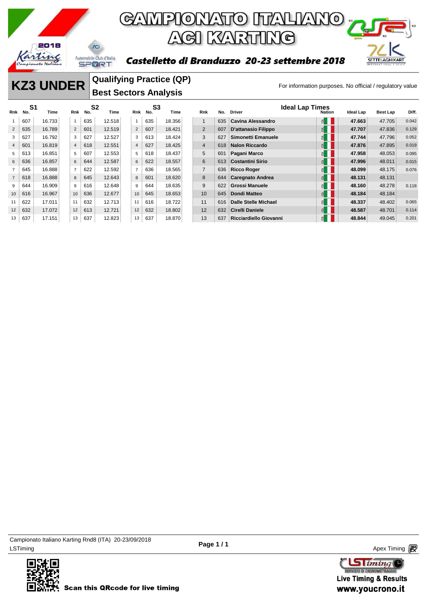

# GAMPIONATO ITALIANO <sub>"</sub> **ACI KARTING**

#### Castelletto di Branduzzo 20-23 settembre 2018



#### **KZ3 UNDER** Qualitying Practice (QP)<br>For information purposes. No official / regulatory value **Qualifying Practice (QP) Best Sectors Analysis**

|                | S <sub>1</sub><br>Rnk No. | Time   | Rnk            | S <sub>2</sub><br>No. | Time   | Rnk            | S <sub>3</sub><br>No. | Time   | Rnk            | No. | <b>Driver</b>               | <b>Ideal Lap Times</b> | <b>Nation</b> | Ideal Lap | Best Lap | Diff. |
|----------------|---------------------------|--------|----------------|-----------------------|--------|----------------|-----------------------|--------|----------------|-----|-----------------------------|------------------------|---------------|-----------|----------|-------|
|                | 607                       | 16.733 | $\mathbf{1}$   | 635                   | 12.518 | $\mathbf{1}$   | 635                   | 18.356 |                | 635 | Cavina Alessandro           |                        | E             | 47.663    | 47.705   | 0.042 |
| $\overline{2}$ | 635                       | 16.789 | $\overline{2}$ | 601                   | 12.519 | $\overline{2}$ | 607                   | 18.421 | 2              | 607 | D'attanasio Filippo         |                        | € ∣           | 47.707    | 47.836   | 0.129 |
| 3              | 627                       | 16.792 | 3              | 627                   | 12.527 | 3              | 613                   | 18.424 | 3              | 627 | Simonetti Emanuele          |                        | E             | 47.744    | 47.796   | 0.052 |
| $\overline{4}$ | 601                       | 16.819 | $\overline{4}$ | 618                   | 12.551 | $\overline{4}$ | 627                   | 18.425 | $\overline{4}$ | 618 | <b>Nalon Riccardo</b>       |                        | 1≦            | 47.876    | 47.895   | 0.019 |
| 5              | 613                       | 16.851 | 5              | 607                   | 12.553 | 5              | 618                   | 18.437 | 5              | 601 | Pagani Marco                |                        | 띕.            | 47.958    | 48.053   | 0.095 |
| 6              | 636                       | 16.857 | 6              | 644                   | 12.587 | 6              | 622                   | 18.557 | 6              | 613 | <b>Costantini Sirio</b>     |                        | $\leq$        | 47.996    | 48.011   | 0.015 |
|                | 645                       | 16.888 | $\overline{7}$ | 622                   | 12.592 | $\overline{7}$ | 636                   | 18.565 | $\overline{7}$ | 636 | <b>Ricco Roger</b>          |                        | ₫             | 48.099    | 48.175   | 0.076 |
| $\overline{7}$ | 618                       | 16.888 | 8              | 645                   | 12.643 | 8              | 601                   | 18.620 | 8              | 644 | <b>Caregnato Andrea</b>     |                        | E             | 48.131    | 48.131   |       |
| 9              | 644                       | 16.909 | 9              | 616                   | 12.648 | 9              | 644                   | 18.635 | 9              | 622 | <b>Grossi Manuele</b>       |                        | 뙵.            | 48.160    | 48.278   | 0.118 |
| 10             | 616                       | 16.967 | 10             | 636                   | 12.677 | 10             | 645                   | 18.653 | 10             | 645 | <b>Dondi Matteo</b>         |                        | E             | 48.184    | 48.184   |       |
| 11             | 622                       | 17.011 | 11             | 632                   | 12.713 | 11             | 616                   | 18.722 | 11             | 616 | <b>Dalle Stelle Michael</b> |                        | 띕.            | 48.337    | 48.402   | 0.065 |
| 12             | 632                       | 17.072 | 12             | 613                   | 12.721 | 12             | 632                   | 18.802 | 12             | 632 | <b>Cirelli Daniele</b>      |                        | "             | 48.587    | 48.701   | 0.114 |
| 13             | 637                       | 17.151 | 13             | 637                   | 12.823 | 13             | 637                   | 18.870 | 13             | 637 | Ricciardiello Giovanni      |                        | ₿.            | 48.844    | 49.045   | 0.201 |

LSTiming Apex Timing Apex Timing Apex Timing Apex Timing Apex Timing Apex Timing Apex Timing Campionato Italiano Karting Rnd8 (ITA) 20-23/09/2018



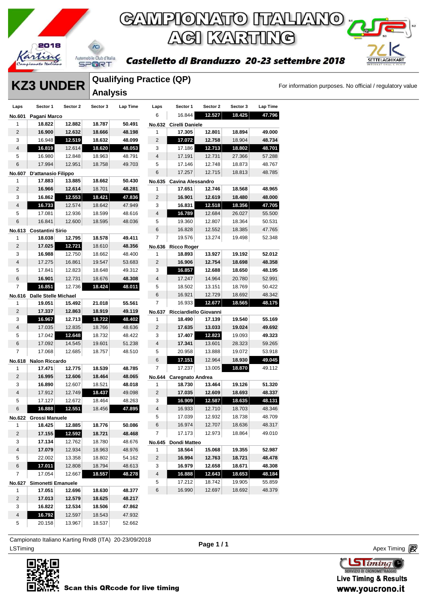

#### Castelletto di Branduzzo 20-23 settembre 2018

**KZ3 UNDER** For information purposes. No official / regulatory value

**SETTELAGHIKART** 

|          | <b>UNDER</b> |          | <b>Qualifying Practice (QP)</b><br><b>Analysis</b> |       |          |  |  |  |  |  |  |
|----------|--------------|----------|----------------------------------------------------|-------|----------|--|--|--|--|--|--|
|          |              |          |                                                    |       | Sector 1 |  |  |  |  |  |  |
| Sector 1 | Sector 2     | Sector 3 | I an Time                                          | l ans |          |  |  |  |  |  |  |

| Laps                    | Sector 1                    | Sector 2 | Sector 3 | Lap Time | Laps                    | Sector 1                | Sector 2 | Sector 3 | Lap Time |
|-------------------------|-----------------------------|----------|----------|----------|-------------------------|-------------------------|----------|----------|----------|
| No.601                  | Pagani Marco                |          |          |          | 6                       | 16.844                  | 12.527   | 18.425   | 47.796   |
| 1                       | 18.822                      | 12.882   | 18.787   | 50.491   | <b>No.632</b>           | Cirelli Daniele         |          |          |          |
| 2                       | 16.900                      | 12.632   | 18.666   | 48.198   | 1                       | 17.305                  | 12.801   | 18.894   | 49.000   |
| 3                       | 16.948                      | 12.519   | 18.632   | 48.099   | $\overline{2}$          | 17.072                  | 12.758   | 18.904   | 48.734   |
| 4                       | 16.819                      | 12.614   | 18.620   | 48.053   | 3                       | 17.186                  | 12.713   | 18.802   | 48.701   |
| 5                       | 16.980                      | 12.848   | 18.963   | 48.791   | $\overline{\mathbf{4}}$ | 17.191                  | 12.731   | 27.366   | 57.288   |
| 6                       | 17.994                      | 12.951   | 18.758   | 49.703   | 5                       | 17.146                  | 12.748   | 18.873   | 48.767   |
| <b>No.607</b>           | D'attanasio Filippo         |          |          |          | 6                       | 17.257                  | 12.715   | 18.813   | 48.785   |
| 1                       | 17.883                      | 13.885   | 18.662   | 50.430   | No.635                  | Cavina Alessandro       |          |          |          |
| $\overline{c}$          | 16.966                      | 12.614   | 18.701   | 48.281   | 1                       | 17.651                  | 12.746   | 18.568   | 48.965   |
| 3                       | 16.862                      | 12.553   | 18.421   | 47.836   | $\sqrt{2}$              | 16.901                  | 12.619   | 18.480   | 48.000   |
| 4                       | 16.733                      | 12.574   | 18.642   | 47.949   | 3                       | 16.831                  | 12.518   | 18.356   | 47.705   |
| 5                       | 17.081                      | 12.936   | 18.599   | 48.616   | $\sqrt{4}$              | 16.789                  | 12.684   | 26.027   | 55.500   |
| 6                       | 16.841                      | 12.600   | 18.595   | 48.036   | 5                       | 19.360                  | 12.807   | 18.364   | 50.531   |
| No.613                  | <b>Costantini Sirio</b>     |          |          |          | $\,6$                   | 16.828                  | 12.552   | 18.385   | 47.765   |
| 1                       | 18.038                      | 12.795   | 18.578   | 49.411   | $\overline{7}$          | 19.576                  | 13.274   | 19.498   | 52.348   |
| $\sqrt{2}$              | 17.025                      | 12.721   | 18.610   | 48.356   | No.636                  | <b>Ricco Roger</b>      |          |          |          |
| 3                       | 16.988                      | 12.750   | 18.662   | 48.400   | 1                       | 18.893                  | 13.927   | 19.192   | 52.012   |
| 4                       | 17.275                      | 16.861   | 19.547   | 53.683   | $\mathbf 2$             | 16.906                  | 12.754   | 18.698   | 48.358   |
| 5                       | 17.841                      | 12.823   | 18.648   | 49.312   | 3                       | 16.857                  | 12.688   | 18.650   | 48.195   |
| $\,6$                   | 16.901                      | 12.731   | 18.676   | 48.308   | $\sqrt{4}$              | 17.247                  | 14.964   | 20.780   | 52.991   |
| 7                       | 16.851                      | 12.736   | 18.424   | 48.011   | 5                       | 18.502                  | 13.151   | 18.769   | 50.422   |
| No.616                  | <b>Dalle Stelle Michael</b> |          |          |          | 6                       | 16.921                  | 12.729   | 18.692   | 48.342   |
| 1                       | 19.051                      | 15.492   | 21.018   | 55.561   | 7                       | 16.933                  | 12.677   | 18.565   | 48.175   |
| $\overline{2}$          | 17.337                      | 12.863   | 18.919   | 49.119   | No.637                  | Ricciardiello Giovanni  |          |          |          |
| 3                       | 16.967                      | 12.713   | 18.722   | 48.402   | 1                       | 18.490                  | 17.139   | 19.540   | 55.169   |
| 4                       | 17.035                      | 12.835   | 18.766   | 48.636   | $\sqrt{2}$              | 17.635                  | 13.033   | 19.024   | 49.692   |
| 5                       | 17.042                      | 12.648   | 18.732   | 48.422   | 3                       | 17.407                  | 12.823   | 19.093   | 49.323   |
| $\,6$                   | 17.092                      | 14.545   | 19.601   | 51.238   | 4                       | 17.341                  | 13.601   | 28.323   | 59.265   |
| 7                       | 17.068                      | 12.685   | 18.757   | 48.510   | 5                       | 20.958                  | 13.888   | 19.072   | 53.918   |
| <b>No.618</b>           | <b>Nalon Riccardo</b>       |          |          |          | 6                       | 17.151                  | 12.964   | 18.930   | 49.045   |
| 1                       | 17.471                      | 12.775   | 18.539   | 48.785   | $\overline{7}$          | 17.237                  | 13.005   | 18.870   | 49.112   |
| $\overline{c}$          | 16.995                      | 12.606   | 18.464   | 48.065   | <b>No.644</b>           | <b>Caregnato Andrea</b> |          |          |          |
| 3                       | 16.890                      | 12.607   | 18.521   | 48.018   | 1                       | 18.730                  | 13.464   | 19.126   | 51.320   |
| $\overline{\mathbf{4}}$ | 17.912                      | 12.749   | 18.437   | 49.098   | $\overline{c}$          | 17.035                  | 12.609   | 18.693   | 48.337   |
| 5                       | 17.127                      | 12.672   | 18.464   | 48.263   | 3                       | 16.909                  | 12.587   | 18.635   | 48.131   |
| 6                       | 16.888                      | 12.551   | 18.456   | 47.895   | $\sqrt{4}$              | 16.933                  | 12.710   | 18.703   | 48.346   |
|                         | No.622 Grossi Manuele       |          |          |          | 5                       | 17.039                  | 12.932   | 18.738   | 48.709   |
| 1                       | 18.425                      | 12.885   | 18.776   | 50.086   | 6                       | 16.974                  | 12.707   | 18.636   | 48.317   |
| 2                       | 17.155                      | 12.592   | 18.721   | 48.468   | 7                       | 17.173                  | 12.973   | 18.864   | 49.010   |
| 3                       | 17.134                      | 12.762   | 18.780   | 48.676   | No.645                  | Dondi Matteo            |          |          |          |
| 4                       | 17.079                      | 12.934   | 18.963   | 48.976   | 1                       | 18.564                  | 15.068   | 19.355   | 52.987   |
| 5                       | 22.002                      | 13.358   | 18.802   | 54.162   | 2                       | 16.994                  | 12.763   | 18.721   | 48.478   |
| $\,6$                   | 17.011                      | 12.808   | 18.794   | 48.613   | 3                       | 16.979                  | 12.658   | 18.671   | 48.308   |
| 7                       | 17.054                      | 12.667   | 18.557   | 48.278   | $\sqrt{4}$              | 16.888                  | 12.643   | 18.653   | 48.184   |
| No.627                  | Simonetti Emanuele          |          |          |          | 5                       | 17.212                  | 18.742   | 19.905   | 55.859   |
| 1                       | 17.051                      | 12.696   | 18.630   | 48.377   | 6                       | 16.990                  | 12.697   | 18.692   | 48.379   |
| $\sqrt{2}$              | 17.013                      | 12.579   | 18.625   | 48.217   |                         |                         |          |          |          |
| 3                       | 16.822                      | 12.534   | 18.506   | 47.862   |                         |                         |          |          |          |
| 4                       | 16.792                      | 12.597   | 18.543   | 47.932   |                         |                         |          |          |          |

LSTiming Apex Timing Apex Timing Apex Timing Apex Timing Apex Timing Apex Timing Apex Timing Campionato Italiano Karting Rnd8 (ITA) 20-23/09/2018

20.158 13.967 18.537 52.662



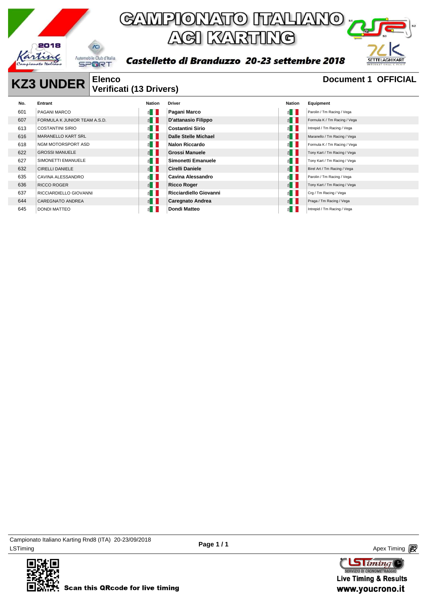

Castelletto di Branduzzo 20-23 settembre 2018



#### **KZ3 UNDER** Elenco Document 1 OFFICIAL **Verificati (13 Drivers)**

| No. | Entrant                      | Nation                | <b>Driver</b>              | Nation                | Equipment                    |
|-----|------------------------------|-----------------------|----------------------------|-----------------------|------------------------------|
| 601 | PAGANI MARCO                 | $\leq$ $\blacksquare$ | Pagani Marco               | $\epsilon$ in         | Parolin / Tm Racing / Vega   |
| 607 | FORMULA K JUNIOR TEAM A.S.D. | $\leq$ $\blacksquare$ | <b>D'attanasio Filippo</b> | E                     | Formula K / Tm Racing / Vega |
| 613 | <b>COSTANTINI SIRIO</b>      | $\leq$ $\blacksquare$ | <b>Costantini Sirio</b>    | € II                  | Intrepid / Tm Racing / Vega  |
| 616 | <b>MARANELLO KART SRL</b>    | $\leq$ $\blacksquare$ | Dalle Stelle Michael       | $\leq$ $\blacksquare$ | Maranello / Tm Racing / Vega |
| 618 | NGM MOTORSPORT ASD           | ⋹∥                    | <b>Nalon Riccardo</b>      | $\leq$                | Formula K / Tm Racing / Vega |
| 622 | <b>GROSSI MANUELE</b>        | ≦ II                  | <b>Grossi Manuele</b>      | $\leq$ $\blacksquare$ | Tony Kart / Tm Racing / Vega |
| 627 | SIMONETTI EMANUELE           | ≦ II                  | Simonetti Emanuele         | $\leq$ $\blacksquare$ | Tony Kart / Tm Racing / Vega |
| 632 | <b>CIRELLI DANIELE</b>       | $\leq$ $\blacksquare$ | <b>Cirelli Daniele</b>     | $\epsilon$            | Birel Art / Tm Racing / Vega |
| 635 | CAVINA ALESSANDRO            | $\leq$ $\blacksquare$ | Cavina Alessandro          | $\leq$ $\blacksquare$ | Parolin / Tm Racing / Vega   |
| 636 | <b>RICCO ROGER</b>           | $\epsilon$            | <b>Ricco Roger</b>         | $\leq$                | Tony Kart / Tm Racing / Vega |
| 637 | RICCIARDIELLO GIOVANNI       | €H                    | Ricciardiello Giovanni     | $\epsilon$            | Crg / Tm Racing / Vega       |
| 644 | <b>CAREGNATO ANDREA</b>      | $\leq$ $\blacksquare$ | <b>Caregnato Andrea</b>    | E                     | Praga / Tm Racing / Vega     |
| 645 | <b>DONDI MATTEO</b>          | É.                    | Dondi Matteo               | $\leq$ 1              | Intrepid / Tm Racing / Vega  |

LSTiming Apex Timing Apex Timing Apex Timing Apex Timing Apex Timing Apex Timing Apex Timing Campionato Italiano Karting Rnd8 (ITA) 20-23/09/2018